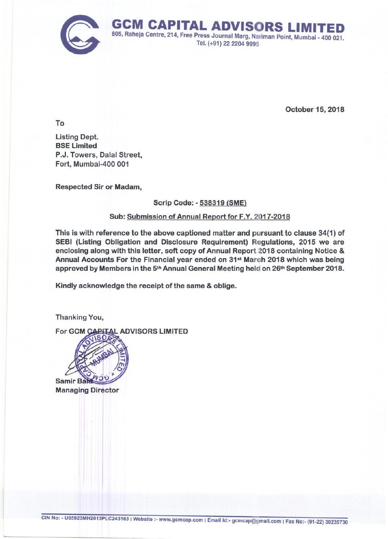

October 15, 2018

To

Listing Dept. **BSE Limited** P.J. Towers, Dalal Street, Fort, Mumbai-400 001

Respected Sir or Madam,

# Scrip Code: - 538319 (SME)

# Sub: Submission of Annual Report for F.Y. 2017-2018

This is with reference to the above captioned matter and pursuant to clause 34(1) of SEBI (Listing Obligation and Disclosure Requirement) Regulations, 2015 we are enclosing along with this letter, soft copy of Annual Report 2018 containing Notice & Annual Accounts For the Financial year ended on 31st March 2018 which was being approved by Members in the 5<sup>th</sup> Annual General Meeting held on 26<sup>th</sup> September 2018.

Kindly acknowledge the receipt of the same & oblige.

Thanking You,

For GCM **PITAL ADVISORS LIMITED** 



Managing Director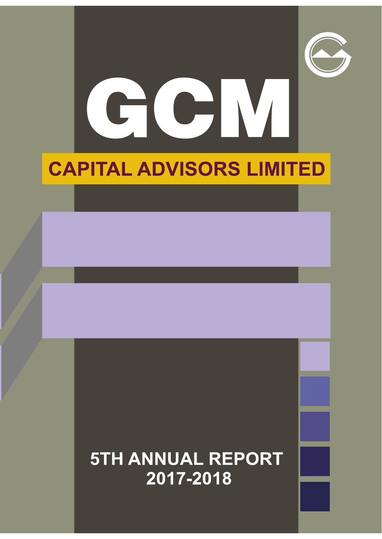



# **CAPITAL ADVISORS LIMITED**

# **5TH ANNUAL REPORT** 2017-2018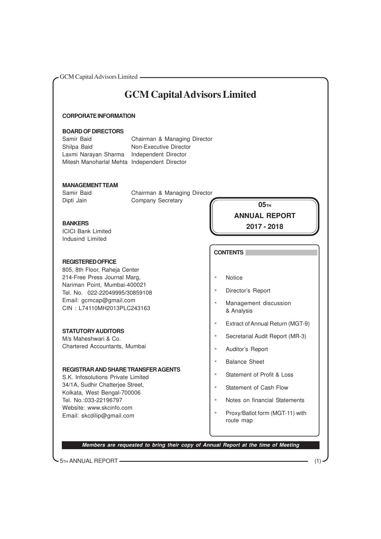# **GCM Capital Advisors Limited**

# **CORPORATE INFORMATION**

#### **BOARD OF DIRECTORS**

Shilpa Baid Non-Executive Director Laxmi Narayan Sharma Independent Director Mitesh Manoharlal Mehta Independent Director

Samir Baid Chairman & Managing Director

# **MANAGEMENT TEAM**

Samir Baid Chairman & Managing Director Dipti Jain Company Secretary

# **BANKERS**

ICICI Bank Limited Indusind Limited

# **REGISTERED OFFICE**

805, 8th Floor, Raheja Center 214-Free Press Journal Marg, Nariman Point, Mumbai-400021 Tel. No. 022-22049995/30859108 Email: gcmcap@gmail.com CIN : L74110MH2013PLC243163

# **STATUTORY AUDITORS**

M/s Maheshwari & Co. Chartered Accountants, Mumbai

# **REGISTRAR AND SHARE TRANSFER AGENTS**

S.K. Infosolutions Private Limited 34/1A, Sudhir Chatterjee Street, Kolkata, West Bengal-700006 Tel. No.:033-22196797 Website: www.skcinfo.com Email: skcdilip@gmail.com

**05TH ANNUAL REPORT 2017 - 2018**

# **CONTENTS**

- \* Notice
- \* Director's Report
- \* Management discussion & Analysis
- \* Extract of Annual Return (MGT-9)
- \* Secretarial Audit Report (MR-3)
- \* Auditor's Report
- \* Balance Sheet
- \* Statement of Profit & Loss
- \* Statement of Cash Flow
- \* Notes on financial Statements
- \* Proxy/Ballot form (MGT-11) with route map

**Members are requested to bring their copy of Annual Report at the time of Meeting**

5TH ANNUAL REPORT (1)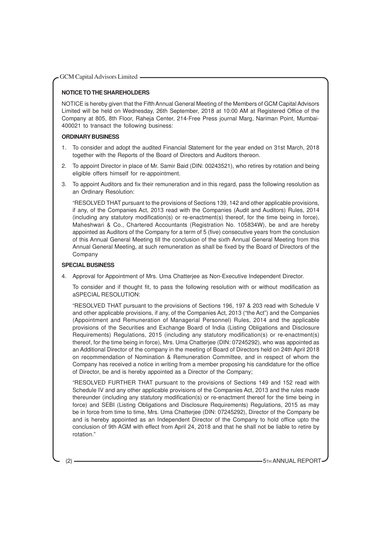# **NOTICE TO THE SHAREHOLDERS**

NOTICE is hereby given that the Fifth Annual General Meeting of the Members of GCM Capital Advisors Limited will be held on Wednesday, 26th September, 2018 at 10:00 AM at Registered Office of the Company at 805, 8th Floor, Raheja Center, 214-Free Press journal Marg, Nariman Point, Mumbai-400021 to transact the following business:

# **ORDINARY BUSINESS**

- 1. To consider and adopt the audited Financial Statement for the year ended on 31st March, 2018 together with the Reports of the Board of Directors and Auditors thereon.
- 2. To appoint Director in place of Mr. Samir Baid (DIN: 00243521), who retires by rotation and being eligible offers himself for re-appointment.
- 3. To appoint Auditors and fix their remuneration and in this regard, pass the following resolution as an Ordinary Resolution:

"RESOLVED THAT pursuant to the provisions of Sections 139, 142 and other applicable provisions, if any, of the Companies Act, 2013 read with the Companies (Audit and Auditors) Rules, 2014 (including any statutory modification(s) or re-enactment(s) thereof, for the time being in force), Maheshwari & Co., Chartered Accountants (Registration No. 105834W), be and are hereby appointed as Auditors of the Company for a term of 5 (five) consecutive years from the conclusion of this Annual General Meeting till the conclusion of the sixth Annual General Meeting from this Annual General Meeting, at such remuneration as shall be fixed by the Board of Directors of the Company

# **SPECIAL BUSINESS**

4. Approval for Appointment of Mrs. Uma Chatterjee as Non-Executive Independent Director.

To consider and if thought fit, to pass the following resolution with or without modification as aSPECIAL RESOLUTION:

"RESOLVED THAT pursuant to the provisions of Sections 196, 197 & 203 read with Schedule V and other applicable provisions, if any, of the Companies Act, 2013 ("the Act") and the Companies (Appointment and Remuneration of Managerial Personnel) Rules, 2014 and the applicable provisions of the Securities and Exchange Board of India (Listing Obligations and Disclosure Requirements) Regulations, 2015 (including any statutory modification(s) or re-enactment(s) thereof, for the time being in force), Mrs. Uma Chatterjee (DIN: 07245292), who was appointed as an Additional Director of the company in the meeting of Board of Directors held on 24th April 2018 on recommendation of Nomination & Remuneration Committee, and in respect of whom the Company has received a notice in writing from a member proposing his candidature for the office of Director, be and is hereby appointed as a Director of the Company;

"RESOLVED FURTHER THAT pursuant to the provisions of Sections 149 and 152 read with Schedule IV and any other applicable provisions of the Companies Act, 2013 and the rules made thereunder (including any statutory modification(s) or re-enactment thereof for the time being in force) and SEBI (Listing Obligations and Disclosure Requirements) Regulations, 2015 as may be in force from time to time, Mrs. Uma Chatterjee (DIN: 07245292), Director of the Company be and is hereby appointed as an Independent Director of the Company to hold office upto the conclusion of 9th AGM with effect from April 24, 2018 and that he shall not be liable to retire by rotation."

(2) **5TH ANNUAL REPORT 5TH ANNUAL REPORT**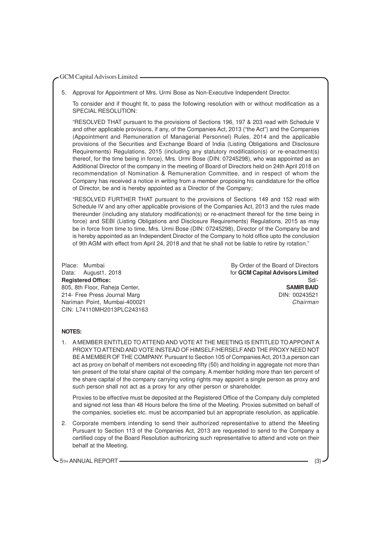5. Approval for Appointment of Mrs. Urmi Bose as Non-Executive Independent Director.

To consider and if thought fit, to pass the following resolution with or without modification as a SPECIAL RESOLUTION:

"RESOLVED THAT pursuant to the provisions of Sections 196, 197 & 203 read with Schedule V and other applicable provisions, if any, of the Companies Act, 2013 ("the Act") and the Companies (Appointment and Remuneration of Managerial Personnel) Rules, 2014 and the applicable provisions of the Securities and Exchange Board of India (Listing Obligations and Disclosure Requirements) Regulations, 2015 (including any statutory modification(s) or re-enactment(s) thereof, for the time being in force), Mrs. Urmi Bose (DIN: 07245298), who was appointed as an Additional Director of the company in the meeting of Board of Directors held on 24th April 2018 on recommendation of Nomination & Remuneration Committee, and in respect of whom the Company has received a notice in writing from a member proposing his candidature for the office of Director, be and is hereby appointed as a Director of the Company;

"RESOLVED FURTHER THAT pursuant to the provisions of Sections 149 and 152 read with Schedule IV and any other applicable provisions of the Companies Act, 2013 and the rules made thereunder (including any statutory modification(s) or re-enactment thereof for the time being in force) and SEBI (Listing Obligations and Disclosure Requirements) Regulations, 2015 as may be in force from time to time, Mrs. Urmi Bose (DIN: 07245298), Director of the Company be and is hereby appointed as an Independent Director of the Company to hold office upto the conclusion of 9th AGM with effect from April 24, 2018 and that he shall not be liable to retire by rotation."

CIN: L74110MH2013PLC243163

Place: Mumbai **By Order of the Board of Directors** Data: August1, 2018 **For Construction Construction Construction Construction Construction Construction Construction Registered Office:** Solution of the state of the state of the state of the state of the state of the state of the state of the state of the state of the state of the state of the state of the state of the state of the sta 805, 8th Floor, Raheja Center, **SAMIR BAID** 214- Free Press Journal Marg Dine State of the Contract of the DIN: 00243521 Nariman Point, Mumbai-400021 Chairman

# **NOTES:**

1. A MEMBER ENTITLED TO ATTEND AND VOTE AT THE MEETING IS ENTITLED TO APPOINT A PROXY TO ATTEND AND VOTE INSTEAD OF HIMSELF/HERSELF AND THE PROXY NEED NOT BE A MEMBER OF THE COMPANY. Pursuant to Section 105 of Companies Act, 2013,a person can act as proxy on behalf of members not exceeding fifty (50) and holding in aggregate not more than ten present of the total share capital of the company. A member holding more than ten percent of the share capital of the company carrying voting rights may appoint a single person as proxy and such person shall not act as a proxy for any other person or shareholder.

Proxies to be effective must be deposited at the Registered Office of the Company duly completed and signed not less than 48 Hours before the time of the Meeting. Proxies submitted on behalf of the companies, societies etc. must be accompanied but an appropriate resolution, as applicable.

2. Corporate members intending to send their authorized representative to attend the Meeting Pursuant to Section 113 of the Companies Act, 2013 are requested to send to the Company a certified copy of the Board Resolution authorizing such representative to attend and vote on their behalf at the Meeting.

5TH ANNUAL REPORT (3)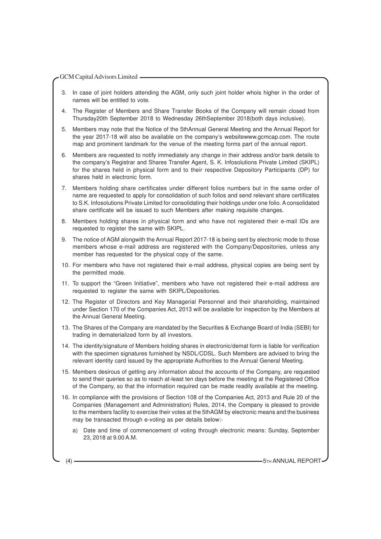- 3. In case of joint holders attending the AGM, only such joint holder whois higher in the order of names will be entitled to vote.
- 4. The Register of Members and Share Transfer Books of the Company will remain closed from Thursday20th September 2018 to Wednesday 26thSeptember 2018(both days inclusive).
- 5. Members may note that the Notice of the 5thAnnual General Meeting and the Annual Report for the year 2017-18 will also be available on the company's websitewww.gcmcap.com. The route map and prominent landmark for the venue of the meeting forms part of the annual report.
- 6. Members are requested to notify immediately any change in their address and/or bank details to the company's Registrar and Shares Transfer Agent, S. K. Infosolutions Private Limited (SKIPL) for the shares held in physical form and to their respective Depository Participants (DP) for shares held in electronic form.
- 7. Members holding share certificates under different folios numbers but in the same order of name are requested to apply for consolidation of such folios and send relevant share certificates to S.K. Infosolutions Private Limited for consolidating their holdings under one folio. A consolidated share certificate will be issued to such Members after making requisite changes.
- 8. Members holding shares in physical form and who have not registered their e-mail IDs are requested to register the same with SKIPL.
- 9. The notice of AGM alongwith the Annual Report 2017-18 is being sent by electronic mode to those members whose e-mail address are registered with the Company/Depositories, unless any member has requested for the physical copy of the same.
- 10. For members who have not registered their e-mail address, physical copies are being sent by the permitted mode.
- 11. To support the "Green Initiative", members who have not registered their e-mail address are requested to register the same with SKIPL/Depositories.
- 12. The Register of Directors and Key Managerial Personnel and their shareholding, maintained under Section 170 of the Companies Act, 2013 will be available for inspection by the Members at the Annual General Meeting.
- 13. The Shares of the Company are mandated by the Securities & Exchange Board of India (SEBI) for trading in dematerialized form by all investors.
- 14. The identity/signature of Members holding shares in electronic/demat form is liable for verification with the specimen signatures furnished by NSDL/CDSL. Such Members are advised to bring the relevant identity card issued by the appropriate Authorities to the Annual General Meeting.
- 15. Members desirous of getting any information about the accounts of the Company, are requested to send their queries so as to reach at-least ten days before the meeting at the Registered Office of the Company, so that the information required can be made readily available at the meeting.
- 16. In compliance with the provisions of Section 108 of the Companies Act, 2013 and Rule 20 of the Companies (Management and Administration) Rules, 2014, the Company is pleased to provide to the members facility to exercise their votes at the 5thAGM by electronic means and the business may be transacted through e-voting as per details below:
	- a) Date and time of commencement of voting through electronic means: Sunday, September 23, 2018 at 9.00 A.M.

(4) 5TH ANNUAL REPORT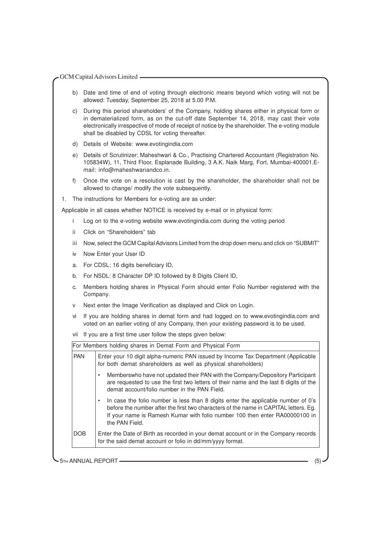- b) Date and time of end of voting through electronic means beyond which voting will not be allowed: Tuesday, September 25, 2018 at 5.00 P.M.
- c) During this period shareholders' of the Company, holding shares either in physical form or in dematerialized form, as on the cut-off date September 14, 2018, may cast their vote electronically irrespective of mode of receipt of notice by the shareholder. The e-voting module shall be disabled by CDSL for voting thereafter.
- d) Details of Website: www.evotingindia.com
- e) Details of Scrutinizer: Maheshwari & Co., Practising Chartered Accountant (Registration No. 105834W), 11, Third Floor, Esplanade Building, 3 A.K. Naik Marg, Fort, Mumbai-400001.Email: info@maheshwariandco.in.
- f) Once the vote on a resolution is cast by the shareholder, the shareholder shall not be allowed to change/ modify the vote subsequently.
- 1. The instructions for Members for e-voting are as under:

Applicable in all cases whether NOTICE is received by e-mail or in physical form:

- i Log on to the e-voting website www.evotingindia.com during the voting period
- ii Click on "Shareholders" tab
- iii Now, select the GCM Capital Advisors Limited from the drop down menu and click on "SUBMIT"
- iv Now Enter your User ID
- a. For CDSL: 16 digits beneficiary ID,
- b. For NSDL: 8 Character DP ID followed by 8 Digits Client ID,
- c. Members holding shares in Physical Form should enter Folio Number registered with the Company.
- Next enter the Image Verification as displayed and Click on Login.
- vi If you are holding shares in demat form and had logged on to www.evotingindia.com and voted on an earlier voting of any Company, then your existing password is to be used.
- vii If you are a first time user follow the steps given below:

| <b>PAN</b> | Enter your 10 digit alpha-numeric PAN issued by Income Tax Department (Applicable<br>for both demat shareholders as well as physical shareholders)                                                                                                                         |
|------------|----------------------------------------------------------------------------------------------------------------------------------------------------------------------------------------------------------------------------------------------------------------------------|
|            | Memberswho have not updated their PAN with the Company/Depository Participant<br>are requested to use the first two letters of their name and the last 8 digits of the<br>demat account/folio number in the PAN Field.                                                     |
|            | In case the folio number is less than 8 digits enter the applicable number of 0's<br>before the number after the first two characters of the name in CAPITAL letters. Eq.<br>If your name is Ramesh Kumar with folio number 100 then enter RA00000100 in<br>the PAN Field. |
| DOB        | Enter the Date of Birth as recorded in your demat account or in the Company records<br>for the said demat account or folio in dd/mm/yyyy format.                                                                                                                           |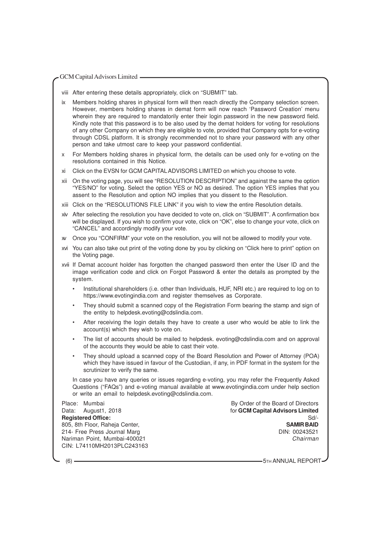- viii After entering these details appropriately, click on "SUBMIT" tab.
- ix Members holding shares in physical form will then reach directly the Company selection screen. However, members holding shares in demat form will now reach 'Password Creation' menu wherein they are required to mandatorily enter their login password in the new password field. Kindly note that this password is to be also used by the demat holders for voting for resolutions of any other Company on which they are eligible to vote, provided that Company opts for e-voting through CDSL platform. It is strongly recommended not to share your password with any other person and take utmost care to keep your password confidential.
- x For Members holding shares in physical form, the details can be used only for e-voting on the resolutions contained in this Notice.
- xi Click on the EVSN for GCM CAPITALADVISORS LIMITED on which you choose to vote.
- xii On the voting page, you will see "RESOLUTION DESCRIPTION" and against the same the option "YES/NO" for voting. Select the option YES or NO as desired. The option YES implies that you assent to the Resolution and option NO implies that you dissent to the Resolution.
- xiii Click on the "RESOLUTIONS FILE LINK" if you wish to view the entire Resolution details.
- xiv After selecting the resolution you have decided to vote on, click on "SUBMIT". A confirmation box will be displayed. If you wish to confirm your vote, click on "OK", else to change your vote, click on "CANCEL" and accordingly modify your vote.
- xv Once you "CONFIRM" your vote on the resolution, you will not be allowed to modify your vote.
- xvi You can also take out print of the voting done by you by clicking on "Click here to print" option on the Voting page.
- xvii If Demat account holder has forgotten the changed password then enter the User ID and the image verification code and click on Forgot Password & enter the details as prompted by the system.
	- Institutional shareholders (i.e. other than Individuals, HUF, NRI etc.) are required to log on to https://www.evotingindia.com and register themselves as Corporate.
	- They should submit a scanned copy of the Registration Form bearing the stamp and sign of the entity to helpdesk.evoting@cdslindia.com.
	- After receiving the login details they have to create a user who would be able to link the account(s) which they wish to vote on.
	- The list of accounts should be mailed to helpdesk. evoting@cdslindia.com and on approval of the accounts they would be able to cast their vote.
	- They should upload a scanned copy of the Board Resolution and Power of Attorney (POA) which they have issued in favour of the Custodian, if any, in PDF format in the system for the scrutinizer to verify the same.

In case you have any queries or issues regarding e-voting, you may refer the Frequently Asked Questions ("FAQs") and e-voting manual available at www.evotingindia.com under help section or write an email to helpdesk.evoting@cdslindia.com.

Place: Mumbai By Order of the Board of Directors Data: August1, 2018 **and Capital Advisors Limited** for **GCM Capital Advisors Limited Registered Office:** Sd/-<br>
805. 8th Floor. Raheia Center. **SAMIR BAID** 805, 8th Floor, Raheja Center, 214- Free Press Journal Marg DIN: 00243521 Nariman Point, Mumbai-400021 Chairman CIN: L74110MH2013PLC243163

(6) **5TH ANNUAL REPORT** 60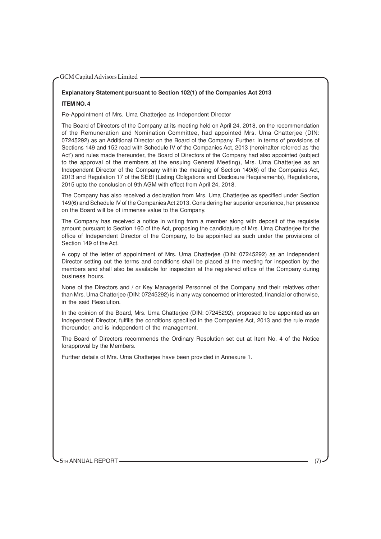# **Explanatory Statement pursuant to Section 102(1) of the Companies Act 2013 ITEM NO. 4**

Re-Appointment of Mrs. Uma Chatterjee as Independent Director

The Board of Directors of the Company at its meeting held on April 24, 2018, on the recommendation of the Remuneration and Nomination Committee, had appointed Mrs. Uma Chatterjee (DIN: 07245292) as an Additional Director on the Board of the Company. Further, in terms of provisions of Sections 149 and 152 read with Schedule IV of the Companies Act, 2013 (hereinafter referred as 'the Act') and rules made thereunder, the Board of Directors of the Company had also appointed (subject to the approval of the members at the ensuing General Meeting), Mrs. Uma Chatterjee as an Independent Director of the Company within the meaning of Section 149(6) of the Companies Act, 2013 and Regulation 17 of the SEBI (Listing Obligations and Disclosure Requirements), Regulations, 2015 upto the conclusion of 9th AGM with effect from April 24, 2018.

The Company has also received a declaration from Mrs. Uma Chatterjee as specified under Section 149(6) and Schedule IV of the Companies Act 2013. Considering her superior experience, her presence on the Board will be of immense value to the Company.

The Company has received a notice in writing from a member along with deposit of the requisite amount pursuant to Section 160 of the Act, proposing the candidature of Mrs. Uma Chatterjee for the office of Independent Director of the Company, to be appointed as such under the provisions of Section 149 of the Act.

A copy of the letter of appointment of Mrs. Uma Chatterjee (DIN: 07245292) as an Independent Director setting out the terms and conditions shall be placed at the meeting for inspection by the members and shall also be available for inspection at the registered office of the Company during business hours.

None of the Directors and / or Key Managerial Personnel of the Company and their relatives other than Mrs. Uma Chatterjee (DIN: 07245292) is in any way concerned or interested, financial or otherwise, in the said Resolution.

In the opinion of the Board, Mrs. Uma Chatterjee (DIN: 07245292), proposed to be appointed as an Independent Director, fulfills the conditions specified in the Companies Act, 2013 and the rule made thereunder, and is independent of the management.

The Board of Directors recommends the Ordinary Resolution set out at Item No. 4 of the Notice forapproval by the Members.

Further details of Mrs. Uma Chatterjee have been provided in Annexure 1.

5TH ANNUAL REPORT -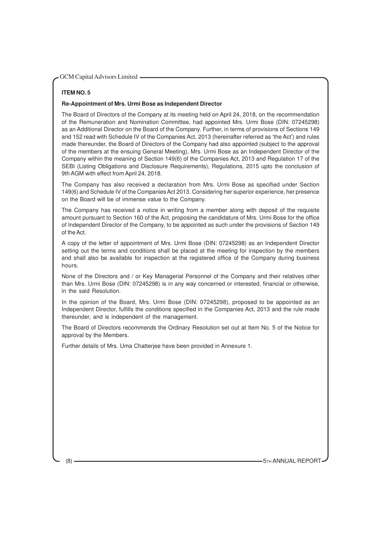# **ITEM NO. 5**

#### **Re-Appointment of Mrs. Urmi Bose as Independent Director**

The Board of Directors of the Company at its meeting held on April 24, 2018, on the recommendation of the Remuneration and Nomination Committee, had appointed Mrs. Urmi Bose (DIN: 07245298) as an Additional Director on the Board of the Company. Further, in terms of provisions of Sections 149 and 152 read with Schedule IV of the Companies Act, 2013 (hereinafter referred as 'the Act') and rules made thereunder, the Board of Directors of the Company had also appointed (subject to the approval of the members at the ensuing General Meeting), Mrs. Urmi Bose as an Independent Director of the Company within the meaning of Section 149(6) of the Companies Act, 2013 and Regulation 17 of the SEBI (Listing Obligations and Disclosure Requirements), Regulations, 2015 upto the conclusion of 9th AGM with effect from April 24, 2018.

The Company has also received a declaration from Mrs. Urmi Bose as specified under Section 149(6) and Schedule IV of the Companies Act 2013. Considering her superior experience, her presence on the Board will be of immense value to the Company.

The Company has received a notice in writing from a member along with deposit of the requisite amount pursuant to Section 160 of the Act, proposing the candidature of Mrs. Urmi Bose for the office of Independent Director of the Company, to be appointed as such under the provisions of Section 149 of the Act.

A copy of the letter of appointment of Mrs. Urmi Bose (DIN: 07245298) as an Independent Director setting out the terms and conditions shall be placed at the meeting for inspection by the members and shall also be available for inspection at the registered office of the Company during business hours.

None of the Directors and / or Key Managerial Personnel of the Company and their relatives other than Mrs. Urmi Bose (DIN: 07245298) is in any way concerned or interested, financial or otherwise, in the said Resolution.

In the opinion of the Board, Mrs. Urmi Bose (DIN: 07245298), proposed to be appointed as an Independent Director, fulfills the conditions specified in the Companies Act, 2013 and the rule made thereunder, and is independent of the management.

The Board of Directors recommends the Ordinary Resolution set out at Item No. 5 of the Notice for approval by the Members.

Further details of Mrs. Uma Chatterjee have been provided in Annexure 1.

(8) **5TH ANNUAL REPORT** (8) **5TH ANNUAL REPORT**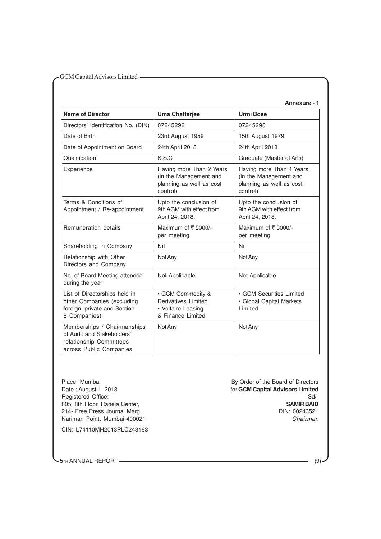# **Annexure - 1**

| <b>Name of Director</b>                                                                                         | <b>Uma Chatterjee</b>                                                                      | <b>Urmi Bose</b>                                                                           |
|-----------------------------------------------------------------------------------------------------------------|--------------------------------------------------------------------------------------------|--------------------------------------------------------------------------------------------|
| Directors' Identification No. (DIN)                                                                             | 07245292                                                                                   | 07245298                                                                                   |
| Date of Birth                                                                                                   | 23rd August 1959                                                                           | 15th August 1979                                                                           |
| Date of Appointment on Board                                                                                    | 24th April 2018                                                                            | 24th April 2018                                                                            |
| Qualification                                                                                                   | S.S.C                                                                                      | Graduate (Master of Arts)                                                                  |
| Experience                                                                                                      | Having more Than 2 Years<br>(in the Management and<br>planning as well as cost<br>control) | Having more Than 4 Years<br>(in the Management and<br>planning as well as cost<br>control) |
| Terms & Conditions of<br>Appointment / Re-appointment                                                           | Upto the conclusion of<br>9th AGM with effect from<br>April 24, 2018.                      | Upto the conclusion of<br>9th AGM with effect from<br>April 24, 2018.                      |
| Remuneration details                                                                                            | Maximum of $\bar{\tau}$ 5000/-<br>per meeting                                              | Maximum of $\bar{\tau}$ 5000/-<br>per meeting                                              |
| Shareholding in Company                                                                                         | Nil                                                                                        | Nil                                                                                        |
| Relationship with Other<br>Directors and Company                                                                | Not Any                                                                                    | Not Any                                                                                    |
| No. of Board Meeting attended<br>during the year                                                                | Not Applicable                                                                             | Not Applicable                                                                             |
| List of Directorships held in<br>other Companies (excluding<br>foreign, private and Section<br>8 Companies)     | • GCM Commodity &<br>Derivatives Limited<br>• Voltaire Leasing<br>& Finance Limited        | • GCM Securities Limited<br>• Global Capital Markets<br>Limited                            |
| Memberships / Chairmanships<br>of Audit and Stakeholders'<br>relationship Committees<br>across Public Companies | Not Any                                                                                    | Not Any                                                                                    |

Place: Mumbai By Order of the Board of Directors<br>
Date : August 1, 2018<br> **Date : August 1, 2018** 214- Free Press Journal Marg

for **GCM Capital Advisors Limited**<br>Sd/-Registered Office: Sd/-<br>
805, 8th Floor, Raheja Center, Schwarzen and Schwarzen and Schwarzen and Schwarzen and Schwarzen and Schwarz<br>
SAMIR BAID 805, 8th Floor, Raheja Center, **SAMIR BAID**<br>214- Free Press Journal Marq **SAMIR BAID**<br>214- Free Press Journal Marq Nariman Point, Mumbai-400021 Chairman Chairman

CIN: L74110MH2013PLC243163

**5TH ANNUAL REPORT** (9)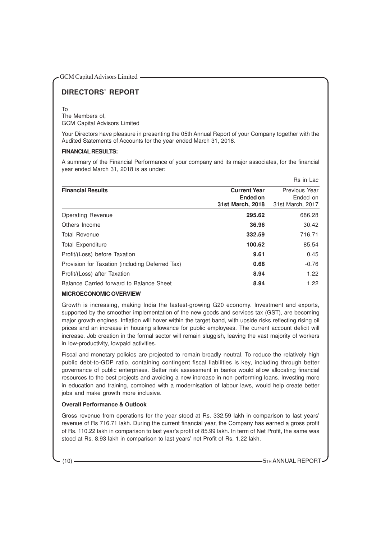# **DIRECTORS' REPORT**

#### To

The Members of, GCM Capital Advisors Limited

Your Directors have pleasure in presenting the 05th Annual Report of your Company together with the Audited Statements of Accounts for the year ended March 31, 2018.

# **FINANCIAL RESULTS:**

A summary of the Financial Performance of your company and its major associates, for the financial year ended March 31, 2018 is as under:

|                                                 |                                                     | Rs in Lac                                     |
|-------------------------------------------------|-----------------------------------------------------|-----------------------------------------------|
| <b>Financial Results</b>                        | <b>Current Year</b><br>Ended on<br>31st March, 2018 | Previous Year<br>Ended on<br>31st March, 2017 |
| Operating Revenue                               | 295.62                                              | 686.28                                        |
| Others Income                                   | 36.96                                               | 30.42                                         |
| <b>Total Revenue</b>                            | 332.59                                              | 716.71                                        |
| <b>Total Expenditure</b>                        | 100.62                                              | 85.54                                         |
| Profit/(Loss) before Taxation                   | 9.61                                                | 0.45                                          |
| Provision for Taxation (including Deferred Tax) | 0.68                                                | $-0.76$                                       |
| Profit/(Loss) after Taxation                    | 8.94                                                | 1.22                                          |
| Balance Carried forward to Balance Sheet        | 8.94                                                | 1.22                                          |

# **MICROECONOMIC OVERVIEW**

Growth is increasing, making India the fastest-growing G20 economy. Investment and exports, supported by the smoother implementation of the new goods and services tax (GST), are becoming major growth engines. Inflation will hover within the target band, with upside risks reflecting rising oil prices and an increase in housing allowance for public employees. The current account deficit will increase. Job creation in the formal sector will remain sluggish, leaving the vast majority of workers in low-productivity, lowpaid activities.

Fiscal and monetary policies are projected to remain broadly neutral. To reduce the relatively high public debt-to-GDP ratio, containing contingent fiscal liabilities is key, including through better governance of public enterprises. Better risk assessment in banks would allow allocating financial resources to the best projects and avoiding a new increase in non-performing loans. Investing more in education and training, combined with a modernisation of labour laws, would help create better jobs and make growth more inclusive.

# **Overall Performance & Outlook**

Gross revenue from operations for the year stood at Rs. 332.59 lakh in comparison to last years' revenue of Rs 716.71 lakh. During the current financial year, the Company has earned a gross profit of Rs. 110.22 lakh in comparison to last year's profit of 85.99 lakh. In term of Net Profit, the same was stood at Rs. 8.93 lakh in comparison to last years' net Profit of Rs. 1.22 lakh.

(10) **5TH ANNUAL REPORT**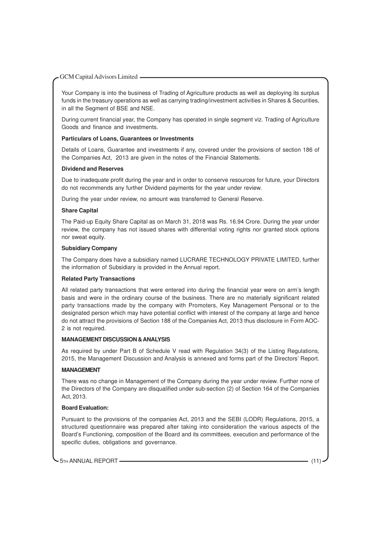Your Company is into the business of Trading of Agriculture products as well as deploying its surplus funds in the treasury operations as well as carrying trading/investment activities in Shares & Securities, in all the Segment of BSE and NSE.

During current financial year, the Company has operated in single segment viz. Trading of Agriculture Goods and finance and investments.

# **Particulars of Loans, Guarantees or Investments**

Details of Loans, Guarantee and investments if any, covered under the provisions of section 186 of the Companies Act, 2013 are given in the notes of the Financial Statements.

#### **Dividend and Reserves**

Due to inadequate profit during the year and in order to conserve resources for future, your Directors do not recommends any further Dividend payments for the year under review.

During the year under review, no amount was transferred to General Reserve.

# **Share Capital**

The Paid-up Equity Share Capital as on March 31, 2018 was Rs. 16.94 Crore. During the year under review, the company has not issued shares with differential voting rights nor granted stock options nor sweat equity.

# **Subsidiary Company**

The Company does have a subsidiary named LUCRARE TECHNOLOGY PRIVATE LIMITED, further the information of Subsidiary is provided in the Annual report.

# **Related Party Transactions**

All related party transactions that were entered into during the financial year were on arm's length basis and were in the ordinary course of the business. There are no materially significant related party transactions made by the company with Promoters, Key Management Personal or to the designated person which may have potential conflict with interest of the company at large and hence do not attract the provisions of Section 188 of the Companies Act, 2013 thus disclosure in Form AOC-2 is not required.

#### **MANAGEMENT DISCUSSION & ANALYSIS**

As required by under Part B of Schedule V read with Regulation 34(3) of the Listing Regulations, 2015, the Management Discussion and Analysis is annexed and forms part of the Directors' Report.

# **MANAGEMENT**

There was no change in Management of the Company during the year under review. Further none of the Directors of the Company are disqualified under sub-section (2) of Section 164 of the Companies Act, 2013.

#### **Board Evaluation:**

Pursuant to the provisions of the companies Act, 2013 and the SEBI (LODR) Regulations, 2015, a structured questionnaire was prepared after taking into consideration the various aspects of the Board's Functioning, composition of the Board and its committees, execution and performance of the specific duties, obligations and governance.

5TH ANNUAL REPORT (11) (11)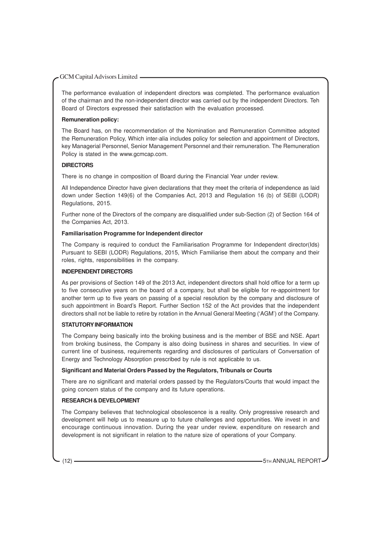The performance evaluation of independent directors was completed. The performance evaluation of the chairman and the non-independent director was carried out by the independent Directors. Teh Board of Directors expressed their satisfaction with the evaluation processed.

# **Remuneration policy:**

The Board has, on the recommendation of the Nomination and Remuneration Committee adopted the Remuneration Policy, Which inter-alia includes policy for selection and appointment of Directors, key Managerial Personnel, Senior Management Personnel and their remuneration. The Remuneration Policy is stated in the www.gcmcap.com.

# **DIRECTORS**

There is no change in composition of Board during the Financial Year under review.

All Independence Director have given declarations that they meet the criteria of independence as laid down under Section 149(6) of the Companies Act, 2013 and Regulation 16 (b) of SEBI (LODR) Regulations, 2015.

Further none of the Directors of the company are disqualified under sub-Section (2) of Section 164 of the Companies Act, 2013.

# **Familiarisation Programme for Independent director**

The Company is required to conduct the Familiarisation Programme for Independent director(Ids) Pursuant to SEBI (LODR) Regulations, 2015, Which Familiarise them about the company and their roles, rights, responsibilities in the company.

# **INDEPENDENT DIRECTORS**

As per provisions of Section 149 of the 2013 Act, independent directors shall hold office for a term up to five consecutive years on the board of a company, but shall be eligible for re-appointment for another term up to five years on passing of a special resolution by the company and disclosure of such appointment in Board's Report. Further Section 152 of the Act provides that the independent directors shall not be liable to retire by rotation in the Annual General Meeting ('AGM') of the Company.

# **STATUTORY INFORMATION**

The Company being basically into the broking business and is the member of BSE and NSE. Apart from broking business, the Company is also doing business in shares and securities. In view of current line of business, requirements regarding and disclosures of particulars of Conversation of Energy and Technology Absorption prescribed by rule is not applicable to us.

# **Significant and Material Orders Passed by the Regulators, Tribunals or Courts**

There are no significant and material orders passed by the Regulators/Courts that would impact the going concern status of the company and its future operations.

# **RESEARCH & DEVELOPMENT**

The Company believes that technological obsolescence is a reality. Only progressive research and development will help us to measure up to future challenges and opportunities. We invest in and encourage continuous innovation. During the year under review, expenditure on research and development is not significant in relation to the nature size of operations of your Company.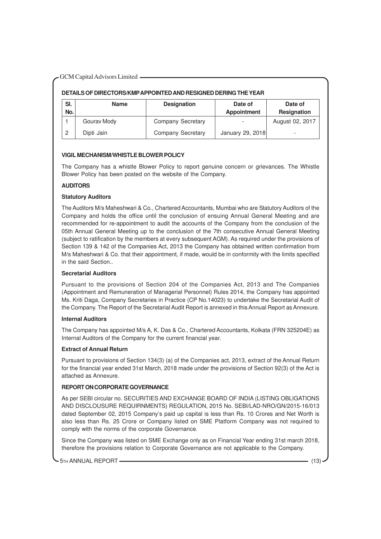# **DETAILS OF DIRECTORS/KMPAPPOINTED AND RESIGNED DERING THE YEAR**

| SI.<br>No. | <b>Name</b> | <b>Designation</b> | Date of<br><b>Appointment</b> | Date of<br>Resignation |
|------------|-------------|--------------------|-------------------------------|------------------------|
|            | Gourav Mody | Company Secretary  |                               | August 02, 2017        |
| っ          | Dipti Jain  | Company Secretary  | January 29, 2018              |                        |

# **VIGIL MECHANISM/WHISTLE BLOWER POLICY**

The Company has a whistle Blower Policy to report genuine concern or grievances. The Whistle Blower Policy has been posted on the website of the Company.

# **AUDITORS**

# **Statutory Auditors**

The Auditors M/s Maheshwari & Co., Chartered Accountants, Mumbai who are Statutory Auditors of the Company and holds the office until the conclusion of ensuing Annual General Meeting and are recommended for re-appointment to audit the accounts of the Company from the conclusion of the 05th Annual General Meeting up to the conclusion of the 7th consecutive Annual General Meeting (subject to ratification by the members at every subsequent AGM). As required under the provisions of Section 139 & 142 of the Companies Act, 2013 the Company has obtained written confirmation from M/s Maheshwari & Co. that their appointment, if made, would be in conformity with the limits specified in the said Section..

# **Secretarial Auditors**

Pursuant to the provisions of Section 204 of the Companies Act, 2013 and The Companies (Appointment and Remuneration of Managerial Personnel) Rules 2014, the Company has appointed Ms. Kriti Daga, Company Secretaries in Practice (CP No.14023) to undertake the Secretarial Audit of the Company. The Report of the Secretarial Audit Report is annexed in this Annual Report as Annexure.

# **Internal Auditors**

The Company has appointed M/s A, K. Das & Co., Chartered Accountants, Kolkata (FRN 325204E) as Internal Auditors of the Company for the current financial year.

# **Extract of Annual Return**

Pursuant to provisions of Section 134(3) (a) of the Companies act, 2013, extract of the Annual Return for the financial year ended 31st March, 2018 made under the provisions of Section 92(3) of the Act is attached as Annexure.

# **REPORT ON CORPORATE GOVERNANCE**

As per SEBI circular no. SECURITIES AND EXCHANGE BOARD OF INDIA (LISTING OBLIGATIONS AND DISCLOUSURE REQUIRNMENTS) REGULATION, 2015 No. SEBI/LAD-NRO/GN/2015-16/013 dated September 02, 2015 Company's paid up capital is less than Rs. 10 Crores and Net Worth is also less than Rs. 25 Crore or Company listed on SME Platform Company was not required to comply with the norms of the corporate Governance.

Since the Company was listed on SME Exchange only as on Financial Year ending 31st march 2018, therefore the provisions relation to Corporate Governance are not applicable to the Company.

5TH ANNUAL REPORT (13)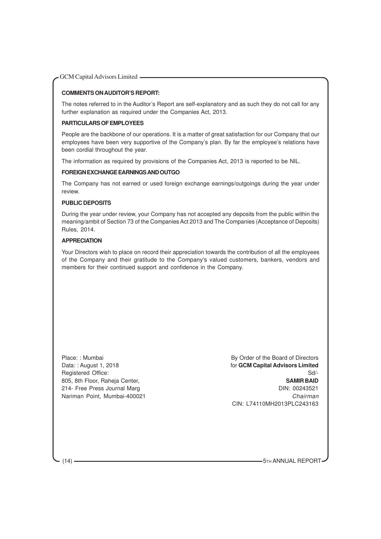# **COMMENTS ON AUDITOR'S REPORT:**

The notes referred to in the Auditor's Report are self-explanatory and as such they do not call for any further explanation as required under the Companies Act, 2013.

# **PARTICULARS OF EMPLOYEES**

People are the backbone of our operations. It is a matter of great satisfaction for our Company that our employees have been very supportive of the Company's plan. By far the employee's relations have been cordial throughout the year.

The information as required by provisions of the Companies Act, 2013 is reported to be NIL.

# **FOREIGN EXCHANGE EARNINGS AND OUTGO**

The Company has not earned or used foreign exchange earnings/outgoings during the year under review.

# **PUBLIC DEPOSITS**

During the year under review, your Company has not accepted any deposits from the public within the meaning/ambit of Section 73 of the Companies Act 2013 and The Companies (Acceptance of Deposits) Rules, 2014.

# **APPRECIATION**

Your Directors wish to place on record their appreciation towards the contribution of all the employees of the Company and their gratitude to the Company's valued customers, bankers, vendors and members for their continued support and confidence in the Company.

Place: : Mumbai **By Order of the Board of Directors** Data: : August 1, 2018 **For Construction Construction COM Capital Advisors Limited** Registered Office: Sd/-805, 8th Floor, Raheja Center, **SAMIR BAID** 214- Free Press Journal Marg DIN: 00243521 Nariman Point, Mumbai-400021 Chairman Chairman CIN: L74110MH2013PLC243163

(14) 5TH ANNUAL REPORT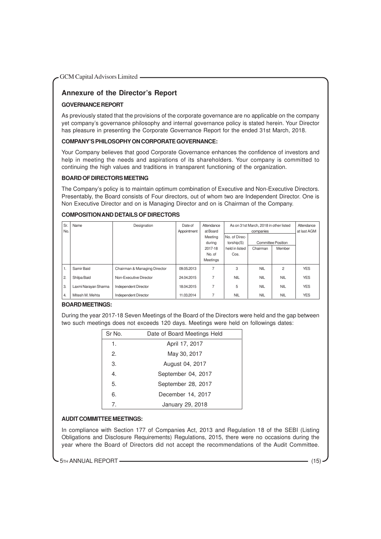# **Annexure of the Director's Report**

# **GOVERNANCE REPORT**

As previously stated that the provisions of the corporate governance are no applicable on the company yet company's governance philosophy and internal governance policy is stated herein. Your Director has pleasure in presenting the Corporate Governance Report for the ended 31st March, 2018.

# **COMPANY'S PHILOSOPHY ON CORPORATE GOVERNANCE:**

Your Company believes that good Corporate Governance enhances the confidence of investors and help in meeting the needs and aspirations of its shareholders. Your company is committed to continuing the high values and traditions in transparent functioning of the organization.

# **BOARD OF DIRECTORS MEETING**

The Company's policy is to maintain optimum combination of Executive and Non-Executive Directors. Presentably, the Board consists of Four directors, out of whom two are Independent Director. One is Non Executive Director and on is Managing Director and on is Chairman of the Company.

# **COMPOSITION AND DETAILS OF DIRECTORS**

| Sr.<br>No.     | Name                 | Designation                  | Date of<br>Appointment | Attendance<br>at Board |                | As on 31st March, 2018 in other listed<br>companies |                           | Attendance<br>at last AGM |
|----------------|----------------------|------------------------------|------------------------|------------------------|----------------|-----------------------------------------------------|---------------------------|---------------------------|
|                |                      |                              |                        | Meeting                | No. of Direc-  |                                                     |                           |                           |
|                |                      |                              |                        | during                 | torship(S)     |                                                     | <b>Committee Position</b> |                           |
|                |                      |                              |                        | 2017-18                | held in listed | Chairman                                            | Member                    |                           |
|                |                      |                              |                        | No. of                 | Cos.           |                                                     |                           |                           |
|                |                      |                              |                        | Meetings               |                |                                                     |                           |                           |
| 1.             | Samir Baid           | Chairman & Managing Director | 09.05.2013             | 7                      | 3              | <b>NIL</b>                                          | $\overline{c}$            | <b>YES</b>                |
| $\overline{2}$ | Shilpa Baid          | Non-Executive Director       | 24.04.2015             | 7                      | <b>NIL</b>     | <b>NIL</b>                                          | <b>NIL</b>                | <b>YES</b>                |
| 3.             | Laxmi Narayan Sharma | <b>Independent Director</b>  | 18.04.2015             | 7                      | 5              | <b>NIL</b>                                          | <b>NIL</b>                | <b>YES</b>                |
| $\overline{4}$ | Mitesh M. Mehta      | Independent Director         | 11.03.2014             | 7                      | <b>NIL</b>     | <b>NIL</b>                                          | <b>NIL</b>                | <b>YES</b>                |

# **BOARD MEETINGS:**

During the year 2017-18 Seven Meetings of the Board of the Directors were held and the gap between two such meetings does not exceeds 120 days. Meetings were held on followings dates:

| Sr No.<br>Date of Board Meetings Held |                    |  |
|---------------------------------------|--------------------|--|
| 1.                                    | April 17, 2017     |  |
| 2.                                    | May 30, 2017       |  |
| 3.                                    | August 04, 2017    |  |
| 4.                                    | September 04, 2017 |  |
| 5.                                    | September 28, 2017 |  |
| 6.                                    | December 14, 2017  |  |
| 7.                                    | January 29, 2018   |  |

# **AUDIT COMMITTEE MEETINGS:**

In compliance with Section 177 of Companies Act, 2013 and Regulation 18 of the SEBI (Listing Obligations and Disclosure Requirements) Regulations, 2015, there were no occasions during the year where the Board of Directors did not accept the recommendations of the Audit Committee.

5TH ANNUAL REPORT (15) (15)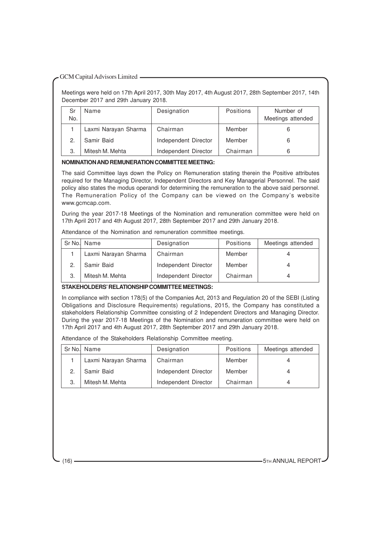Meetings were held on 17th April 2017, 30th May 2017, 4th August 2017, 28th September 2017, 14th December 2017 and 29th January 2018.

| Sr<br>No. | Name                 | Designation          | <b>Positions</b> | Number of<br>Meetings attended |
|-----------|----------------------|----------------------|------------------|--------------------------------|
|           | Laxmi Narayan Sharma | Chairman             | Member           |                                |
| 2.        | Samir Baid           | Independent Director | Member           |                                |
| 3.        | Mitesh M. Mehta      | Independent Director | Chairman         |                                |

# **NOMINATION AND REMUNERATION COMMITTEE MEETING:**

The said Committee lays down the Policy on Remuneration stating therein the Positive attributes required for the Managing Director, Independent Directors and Key Managerial Personnel. The said policy also states the modus operandi for determining the remuneration to the above said personnel. The Remuneration Policy of the Company can be viewed on the Company's website www.gcmcap.com.

During the year 2017-18 Meetings of the Nomination and remuneration committee were held on 17th April 2017 and 4th August 2017, 28th September 2017 and 29th January 2018.

Attendance of the Nomination and remuneration committee meetings.

|    | Sr No. Name          | Designation          | <b>Positions</b> | Meetings attended |
|----|----------------------|----------------------|------------------|-------------------|
|    | Laxmi Narayan Sharma | Chairman             | Member           |                   |
|    | Samir Baid           | Independent Director | Member           |                   |
| З. | Mitesh M. Mehta      | Independent Director | Chairman         |                   |

# **STAKEHOLDERS' RELATIONSHIP COMMITTEE MEETINGS:**

In compliance with section 178(5) of the Companies Act, 2013 and Regulation 20 of the SEBI (Listing Obligations and Disclosure Requirements) regulations, 2015, the Company has constituted a stakeholders Relationship Committee consisting of 2 Independent Directors and Managing Director. During the year 2017-18 Meetings of the Nomination and remuneration committee were held on 17th April 2017 and 4th August 2017, 28th September 2017 and 29th January 2018.

Attendance of the Stakeholders Relationship Committee meeting.

|    | Sr No. Name<br>Designation |                      | <b>Positions</b> | Meetings attended |
|----|----------------------------|----------------------|------------------|-------------------|
|    | Laxmi Narayan Sharma       | Chairman             | Member           |                   |
| 2. | Samir Baid                 | Independent Director | Member           |                   |
| 3. | Mitesh M. Mehta            | Independent Director | Chairman         |                   |

(16) 5TH ANNUAL REPORT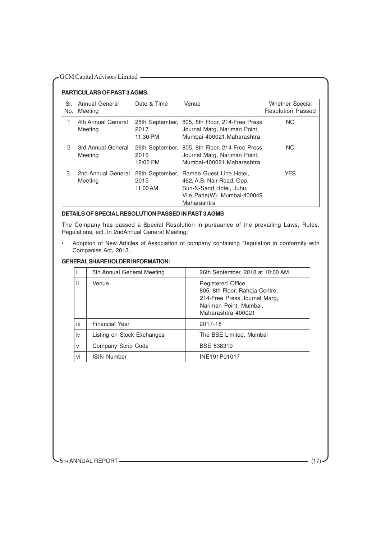| - GCM Capital Advisors Limited |  |  |
|--------------------------------|--|--|
|--------------------------------|--|--|

# **PARTICULARS OF PAST 3 AGMS.**

| Sr.<br>No. | Annual General<br>Meeting     | Date & Time                         | Venue                                                                                                                          | Whether Special<br><b>Resolution Passed</b> |  |  |  |
|------------|-------------------------------|-------------------------------------|--------------------------------------------------------------------------------------------------------------------------------|---------------------------------------------|--|--|--|
| 1          | 4th Annual General<br>Meeting | 28th September,<br>2017<br>11:30 PM | 805, 8th Floor, 214-Free Press<br>Journal Marg, Nariman Point,<br>Mumbai-400021, Maharashtra                                   | NO.                                         |  |  |  |
| 2          | 3rd Annual General<br>Meeting | 29th September,<br>2016<br>12:00 PM | 805, 8th Floor, 214-Free Press<br>Journal Marg, Nariman Point,<br>Mumbai-400021, Maharashtra                                   | <b>NO</b>                                   |  |  |  |
| 3.         | 2nd Annual General<br>Meeting | 29th September,<br>2015<br>11:00 AM | Ramee Guest Line Hotel.<br>462, A.B. Nair Road, Opp.<br>Sun-N-Sand Hotel, Juhu,<br>Vile Parle(W), Mumbai-400049<br>Maharashtra | <b>YES</b>                                  |  |  |  |

# **DETAILS OF SPECIAL RESOLUTION PASSED IN PAST 3 AGMS**

The Company has passed a Special Resolution in pursuance of the prevailing Laws, Rules, Regulations, ect. In 2ndAnnual General Meeting:

• Adoption of New Articles of Association of company containing Regulation in conformity with Companies Act, 2013.

# **GENERAL SHAREHOLDER INFORMATION:**

|              | 5th Annual General Meeting | 26th September, 2018 at 10:00 AM                                                                                                           |
|--------------|----------------------------|--------------------------------------------------------------------------------------------------------------------------------------------|
| ii           | Venue                      | <b>Registered Office</b><br>805, 8th Floor, Raheja Centre,<br>214-Free Press Journal Marg,<br>Nariman Point, Mumbai,<br>Maharashtra-400021 |
| iii          | Financial Year             | 2017-18                                                                                                                                    |
| iv           | Listing on Stock Exchanges | The BSE Limited, Mumbai                                                                                                                    |
| $\mathsf{V}$ | Company Scrip Code         | BSE 538319                                                                                                                                 |
| vi           | <b>ISIN Number</b>         | INE191P01017                                                                                                                               |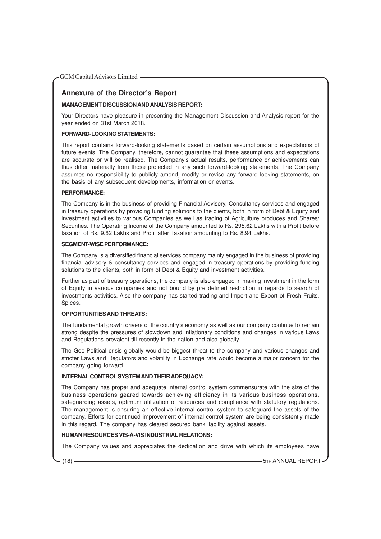# **Annexure of the Director's Report**

# **MANAGEMENT DISCUSSION AND ANALYSIS REPORT:**

Your Directors have pleasure in presenting the Management Discussion and Analysis report for the year ended on 31st March 2018.

# **FORWARD-LOOKING STATEMENTS:**

This report contains forward-looking statements based on certain assumptions and expectations of future events. The Company, therefore, cannot guarantee that these assumptions and expectations are accurate or will be realised. The Company's actual results, performance or achievements can thus differ materially from those projected in any such forward-looking statements. The Company assumes no responsibility to publicly amend, modify or revise any forward looking statements, on the basis of any subsequent developments, information or events.

# **PERFORMANCE:**

The Company is in the business of providing Financial Advisory, Consultancy services and engaged in treasury operations by providing funding solutions to the clients, both in form of Debt & Equity and investment activities to various Companies as well as trading of Agriculture produces and Shares/ Securities. The Operating Income of the Company amounted to Rs. 295.62 Lakhs with a Profit before taxation of Rs. 9.62 Lakhs and Profit after Taxation amounting to Rs. 8.94 Lakhs.

# **SEGMENT-WISE PERFORMANCE:**

The Company is a diversified financial services company mainly engaged in the business of providing financial advisory & consultancy services and engaged in treasury operations by providing funding solutions to the clients, both in form of Debt & Equity and investment activities.

Further as part of treasury operations, the company is also engaged in making investment in the form of Equity in various companies and not bound by pre defined restriction in regards to search of investments activities. Also the company has started trading and Import and Export of Fresh Fruits, Spices.

# **OPPORTUNITIES AND THREATS:**

The fundamental growth drivers of the country's economy as well as our company continue to remain strong despite the pressures of slowdown and inflationary conditions and changes in various Laws and Regulations prevalent till recently in the nation and also globally.

The Geo-Political crisis globally would be biggest threat to the company and various changes and stricter Laws and Regulators and volatility in Exchange rate would become a major concern for the company going forward.

# **INTERNAL CONTROL SYSTEM AND THEIR ADEQUACY:**

The Company has proper and adequate internal control system commensurate with the size of the business operations geared towards achieving efficiency in its various business operations, safeguarding assets, optimum utilization of resources and compliance with statutory regulations. The management is ensuring an effective internal control system to safeguard the assets of the company. Efforts for continued improvement of internal control system are being consistently made in this regard. The company has cleared secured bank liability against assets.

# **HUMAN RESOURCES VIS-À-VIS INDUSTRIAL RELATIONS:**

The Company values and appreciates the dedication and drive with which its employees have

(18) **- The ANNUAL REPORT** (18) **- The ANNUAL REPORT**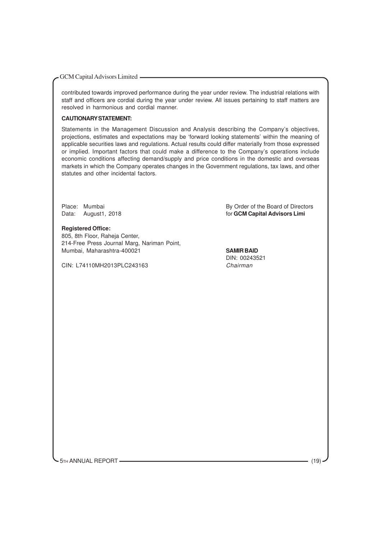contributed towards improved performance during the year under review. The industrial relations with staff and officers are cordial during the year under review. All issues pertaining to staff matters are resolved in harmonious and cordial manner.

# **CAUTIONARY STATEMENT:**

Statements in the Management Discussion and Analysis describing the Company's objectives, projections, estimates and expectations may be 'forward looking statements' within the meaning of applicable securities laws and regulations. Actual results could differ materially from those expressed or implied. Important factors that could make a difference to the Company's operations include economic conditions affecting demand/supply and price conditions in the domestic and overseas markets in which the Company operates changes in the Government regulations, tax laws, and other statutes and other incidental factors.

#### **Registered Office:**

805, 8th Floor, Raheja Center, 214-Free Press Journal Marg, Nariman Point, Mumbai, Maharashtra-400021 **SAMIR BAID**

CIN: L74110MH2013PLC243163 Chairman

Place: Mumbai By Order of the Board of Directors Data: August1, 2018 **For Capital Advisors Limi For GCM Capital Advisors Limi** 

DIN: 00243521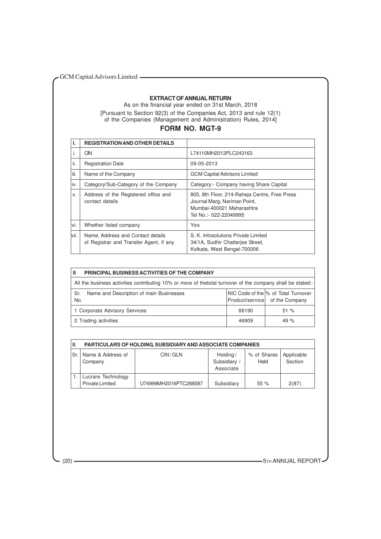# **EXTRACT OF ANNUAL RETURN**

As on the financial year ended on 31st March, 2018 [Pursuant to Section 92(3) of the Companies Act, 2013 and rule 12(1) of the Companies (Management and Administration) Rules, 2014]

# **FORM NO. MGT-9**

|       | <b>REGISTRATION AND OTHER DETAILS</b>                                        |                                                                                                                                      |
|-------|------------------------------------------------------------------------------|--------------------------------------------------------------------------------------------------------------------------------------|
| I.    | CIN                                                                          | L74110MH2013PLC243163                                                                                                                |
| ii.   | <b>Registration Date</b>                                                     | 09-05-2013                                                                                                                           |
| iii.  | Name of the Company                                                          | <b>GCM Capital Advisors Limited</b>                                                                                                  |
| iv.   | Category/Sub-Category of the Company                                         | Category:- Company having Share Capital                                                                                              |
| V.    | Address of the Registered office and<br>contact details                      | 805, 8th Floor, 214-Raheja Centre, Free Press<br>Journal Marg, Nariman Point,<br>Mumbai-400021 Maharashtra<br>Tel No.:- 022-22049995 |
| vi.   | Whether listed company                                                       | Yes                                                                                                                                  |
| lvii. | Name, Address and Contact details<br>of Registrar and Transfer Agent, if any | S. K. Infosolutions Private Limited<br>34/1A, Sudhir Chatteriee Street,<br>Kolkata, West Bengal-700006                               |

| PRINCIPAL BUSINESS ACTIVITIES OF THE COMPANY<br>Ш                                                          |       |                                                                        |  |  |  |  |
|------------------------------------------------------------------------------------------------------------|-------|------------------------------------------------------------------------|--|--|--|--|
| All the business activities contributing 10% or more of thetotal turnover of the company shall be stated:- |       |                                                                        |  |  |  |  |
| Name and Description of main Businesses<br>Sr.<br>No.                                                      |       | NIC Code of the \% of Total Turnover<br>Product/service of the Company |  |  |  |  |
| 1 Corporate Advisory Services                                                                              | 66190 | 51%                                                                    |  |  |  |  |
| 2 Trading activities                                                                                       | 46909 | 49 $%$                                                                 |  |  |  |  |

| III. | <b>PARTICULARS OF HOLDING, SUBSIDIARY AND ASSOCIATE COMPANIES</b> |                       |                                       |                     |                       |  |  |  |
|------|-------------------------------------------------------------------|-----------------------|---------------------------------------|---------------------|-----------------------|--|--|--|
| Sr.  | Name & Address of<br>Company                                      | CIN/GLN               | Holding/<br>Subsidiary /<br>Associate | % of Shares<br>Held | Applicable<br>Section |  |  |  |
|      | Lucrare Technology<br><b>Private Limited</b>                      | U74999MH2016PTC288587 | Subsidiary                            | 55%                 | 2(87)                 |  |  |  |

(20) **STEP ANNUAL REPORT**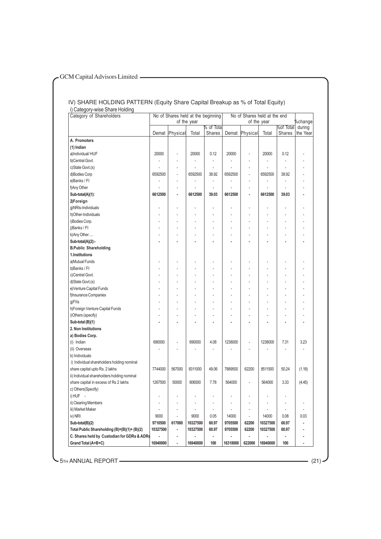#### IV) SHARE HOLDING PATTERN (Equity Share Capital Breakup as % of Total Equity) i) Category-wise Share Holding

| Category of Shareholders                    |          | No of Shares held at the beginning |             |                      |          | No of Shares held at the end |             |                            |                          |
|---------------------------------------------|----------|------------------------------------|-------------|----------------------|----------|------------------------------|-------------|----------------------------|--------------------------|
|                                             |          |                                    | of the year |                      |          |                              | of the year |                            | %change                  |
|                                             |          | Demat Physical                     | Total       | % of Total<br>Shares |          | Demat Physical               | Total       | <b>Mof Total</b><br>Shares | during<br>the Year       |
| A. Promoters                                |          |                                    |             |                      |          |                              |             |                            |                          |
| (1) Indian                                  |          |                                    |             |                      |          |                              |             |                            |                          |
| a)Individual/HUF                            | 20000    |                                    | 20000       | 0.12                 | 20000    |                              | 20000       | 0.12                       |                          |
| b)Central Govt.                             |          |                                    |             |                      | Ĭ.       |                              |             |                            |                          |
| c)State Govt.(s)                            |          | ä,                                 |             | ä,                   |          |                              |             |                            |                          |
| d)Bodies Corp                               | 6592500  | ÷,                                 | 6592500     | 38.92                | 6592500  | ÷,                           | 6592500     | 38.92                      |                          |
| e)Banks / Fl                                |          |                                    |             |                      |          |                              |             |                            |                          |
| f)Any Other                                 |          | L,                                 |             |                      |          |                              |             |                            |                          |
| Sub-total(A)(1):                            | 6612500  | ٠                                  | 6612500     | 39.03                | 6612500  |                              | 6612500     | 39.03                      |                          |
| 2)Foreign                                   |          |                                    |             |                      |          |                              |             |                            |                          |
| g)NRIs-Individuals                          |          |                                    |             |                      |          |                              |             |                            |                          |
| h)Other-Individuals                         |          | L,                                 |             |                      |          |                              |             |                            |                          |
| i)Bodies Corp.                              |          |                                    |             |                      |          |                              |             |                            |                          |
| j)Banks / Fl                                |          |                                    |             |                      |          |                              |             |                            |                          |
| k) Any Other                                |          |                                    |             |                      |          |                              |             |                            |                          |
| Sub-total(A)(2):-                           |          |                                    |             |                      |          |                              |             |                            |                          |
| <b>B.Public Shareholding</b>                |          |                                    |             |                      |          |                              |             |                            |                          |
| 1.Institutions                              |          |                                    |             |                      |          |                              |             |                            |                          |
| a)Mutual Funds                              |          |                                    |             |                      |          |                              |             |                            |                          |
| b)Banks / Fl                                |          |                                    |             |                      |          |                              |             |                            |                          |
| c)Central Govt.                             |          |                                    |             |                      |          |                              |             |                            |                          |
| d)State Govt.(s)                            |          |                                    |             |                      |          |                              |             |                            |                          |
| e) Venture Capital Funds                    |          |                                    |             |                      |          |                              |             |                            |                          |
| f)Insurance Companies                       |          |                                    |             |                      |          |                              |             |                            |                          |
| g)Flls                                      |          |                                    |             |                      |          |                              |             |                            |                          |
| h) Foreign Venture Capital Funds            |          |                                    |             |                      |          |                              |             |                            |                          |
| i)Others (specify)                          |          |                                    |             |                      |          |                              |             |                            |                          |
| Sub-total (B)(1)                            |          |                                    |             |                      |          |                              |             |                            |                          |
| 2. Non Institutions                         |          |                                    |             |                      |          |                              |             |                            |                          |
| a) Bodies Corp.                             |          |                                    |             |                      |          |                              |             |                            |                          |
| (i) Indian                                  | 690000   |                                    | 690000      | 4.08                 | 1238000  |                              | 1238000     | 7.31                       | 3.23                     |
| (ii) Overseas                               |          |                                    |             |                      |          |                              |             |                            |                          |
| b) Individuals                              |          |                                    |             |                      |          |                              |             |                            |                          |
| i) Individual shareholders holding nominal  |          |                                    |             |                      |          |                              |             |                            |                          |
| share capital upto Rs. 2 lakhs              | 7744000  | 567000                             | 8311000     | 49.06                | 7889500  | 62200                        | 8511500     | 50.24                      | (1.18)                   |
| ii) Individual shareholders holding nominal |          |                                    |             |                      |          |                              |             |                            |                          |
| share capital in excess of Rs 2 lakhs       | 1267500  | 50000                              | 806000      | 7.78                 | 564000   |                              | 564000      | 3.33                       | (4.45)                   |
| c) Others(Specify)                          |          |                                    |             |                      |          |                              |             |                            |                          |
| i) HUF -                                    |          |                                    |             |                      |          |                              |             |                            |                          |
| ii) Clearing Members                        | ÷,       | ÷,                                 | ä,          | ÷,                   | ÷,       | ÷,                           |             |                            | $\overline{\phantom{a}}$ |
| iii) Market Maker                           |          | ä,                                 |             | $\centerdot$         |          |                              |             |                            | Ĭ.                       |
| iv) NRI                                     | 9000     |                                    | 9000        | 0.05                 | 14000    | $\overline{\phantom{a}}$     | 14000       | 0.08                       | 0.03                     |
| Sub-total(B)(2)                             | 9710500  | 617000                             | 10327500    | 60.97                | 9705500  | 62200                        | 10327500    | 60.97                      | ٠                        |
| Total Public Shareholding (B)=(B)(1)+(B)(2) | 10327500 | ٠                                  | 10327500    | 60.97                | 9705500  | 62200                        | 10327500    | 60.97                      | $\overline{a}$           |
| C. Shares held by Custodian for GDRs & ADRs |          | ٠                                  |             | ٠                    |          | ۰                            |             |                            |                          |
| Grand Total (A+B+C)                         | 16940000 | ۰                                  | 16940000    | 100                  | 16318000 | 622000                       | 16940000    | 100                        | $\blacksquare$           |

**-** 5TH ANNUAL REPORT (21)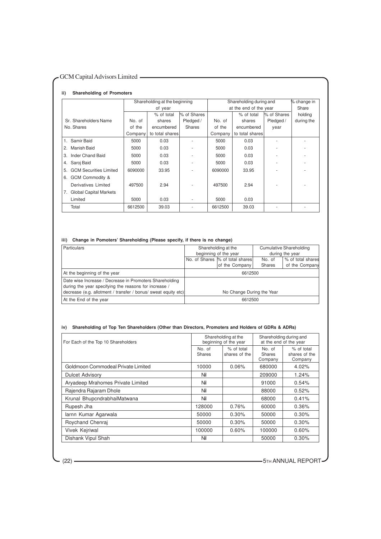#### **ii) Shareholding of Promoters**

|                                     | Shareholding at the beginning |                 |               | Shareholding during and |                 |             | % change in |
|-------------------------------------|-------------------------------|-----------------|---------------|-------------------------|-----------------|-------------|-------------|
|                                     | of year                       |                 |               | at the end of the year  |                 |             | Share       |
|                                     |                               | % of total      | % of Shares   |                         | % of total      | % of Shares | holding     |
| Sr. Shareholders Name               | No. of                        | shares          | Pledged /     | No. of                  | shares          | Pledged /   | during the  |
| No. Shares                          | of the                        | encumbered      | <b>Shares</b> | of the                  | encumbered      | year        |             |
|                                     | Company                       | to total shares |               | Company                 | to total shares |             |             |
| Samir Baid<br>1.                    | 5000                          | 0.03            |               | 5000                    | 0.03            |             |             |
| Manish Baid<br>2.                   | 5000                          | 0.03            |               | 5000                    | 0.03            |             |             |
| Inder Chand Baid<br>3.              | 5000                          | 0.03            |               | 5000                    | 0.03            |             |             |
| Saroj Baid<br>4.                    | 5000                          | 0.03            |               | 5000                    | 0.03            |             |             |
| <b>GCM Securities Limited</b><br>5. | 6090000                       | 33.95           |               | 6090000                 | 33.95           |             |             |
| GCM Commodity &<br>6.               |                               |                 |               |                         |                 |             |             |
| Derivatives Limited                 | 497500                        | 2.94            |               | 497500                  | 2.94            |             |             |
| <b>Global Capital Markets</b><br>7. |                               |                 |               |                         |                 |             |             |
| Limited                             | 5000                          | 0.03            |               | 5000                    | 0.03            |             |             |
| Total                               | 6612500                       | 39.03           |               | 6612500                 | 39.03           |             |             |

# **iii) Change in Pomoters' Shareholding (Please specify, if there is no change)**

| <b>Particulars</b>                                             | Shareholding at the       |                                  |               | <b>Cumulative Shareholding</b> |  |
|----------------------------------------------------------------|---------------------------|----------------------------------|---------------|--------------------------------|--|
|                                                                |                           | beginning of the year            |               | during the year                |  |
|                                                                |                           | No. of Shares  % of total shares | No. of        | % of total shares              |  |
|                                                                |                           | of the Company                   | <b>Shares</b> | of the Company                 |  |
| At the beginning of the year                                   | 6612500                   |                                  |               |                                |  |
| Date wise Increase / Decrease in Promoters Shareholding        |                           |                                  |               |                                |  |
| during the year specifying the reasons for increase /          |                           |                                  |               |                                |  |
| decrease (e.g. allotment / transfer / bonus/ sweat equity etc) | No Change During the Year |                                  |               |                                |  |
| At the End of the year                                         | 6612500                   |                                  |               |                                |  |

# **iv) Shareholding of Top Ten Shareholders (Other than Directors, Promoters and Holders of GDRs & ADRs)**

| For Each of the Top 10 Shareholders |                         | Shareholding at the<br>beginning of the year | Shareholding during and<br>at the end of the year |                                        |
|-------------------------------------|-------------------------|----------------------------------------------|---------------------------------------------------|----------------------------------------|
|                                     | No. of<br><b>Shares</b> | % of total<br>shares of the                  | No. of<br><b>Shares</b><br>Company                | % of total<br>shares of the<br>Company |
| Goldmoon Commodeal Private Limited  | 10000                   | 0.06%                                        | 680000                                            | 4.02%                                  |
| <b>Dulcet Advisory</b>              | Nil                     |                                              | 209000                                            | 1.24%                                  |
| Aryadeep Mrahomes Private Limited   | Nil                     |                                              | 91000                                             | 0.54%                                  |
| Rajendra Rajaram Dhole              | Nil                     |                                              | 88000                                             | 0.52%                                  |
| Krunal BhupcndrabhaiMatwana         | Nil                     |                                              | 68000                                             | 0.41%                                  |
| Rupesh Jha                          | 128000                  | 0.76%                                        | 60000                                             | 0.36%                                  |
| larnn Kumar Agarwala                | 50000                   | 0.30%                                        | 50000                                             | 0.30%                                  |
| Roychand Chenraj                    | 50000                   | $0.30\%$                                     | 50000                                             | 0.30%                                  |
| Vivek Kejriwal                      | 100000                  | $0.60\%$                                     | 100000                                            | 0.60%                                  |
| Dishank Vipul Shah                  | Nil                     |                                              | 50000                                             | 0.30%                                  |

(22) **CONTROLLED ANNUAL REPORT**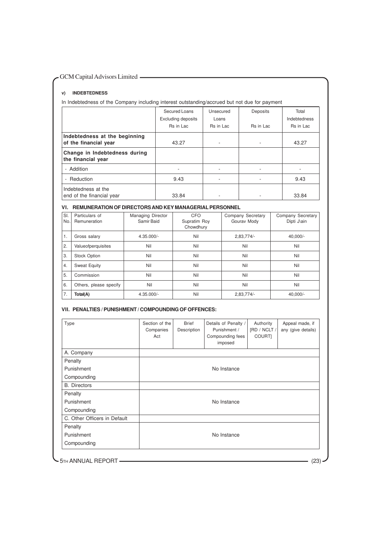# **v) INDEBTEDNESS**

In Indebtedness of the Company including interest outstanding/accrued but not due for payment

|                                                        | Secured Loans<br><b>Excluding deposits</b><br>Rs in Lac | Unsecured<br>Loans<br>Rs in Lac | Deposits<br>Rs in Lac | Total<br>Indebtedness<br><b>Rs</b> in Lac |
|--------------------------------------------------------|---------------------------------------------------------|---------------------------------|-----------------------|-------------------------------------------|
| Indebtedness at the beginning<br>of the financial year | 43.27                                                   | ۰.                              | ۰                     | 43.27                                     |
| Change in Indebtedness during<br>the financial year    |                                                         |                                 |                       |                                           |
| - Addition                                             |                                                         |                                 | ٠                     |                                           |
| - Reduction                                            | 9.43                                                    |                                 | ٠                     | 9.43                                      |
| Indebtedness at the<br>end of the financial year       | 33.84                                                   |                                 |                       | 33.84                                     |

# **VI. REMUNERATION OF DIRECTORS AND KEY MANAGERIAL PERSONNEL**

| SI.<br>No. | Particulars of<br>Remuneration | Managing Director<br>Samir Baid | CFO<br>Supratim Roy<br>Chowdhury | Company Secretary<br>Gourav Mody | Company Secretary<br>Dipti J\ain |
|------------|--------------------------------|---------------------------------|----------------------------------|----------------------------------|----------------------------------|
| 1.         | Gross salary                   | $4.35.000/-$                    | Nil                              | $2,83,774/-$                     | 40.000/-                         |
| 2.         | Valueofperquisites             | Nil                             | Nil                              | Nil                              | Nil                              |
| 3.         | <b>Stock Option</b>            | Nil                             | Nil                              | Nil                              | Nil                              |
| 4.         | Sweat Equity                   | Nil                             | Nil                              | Nil                              | Nil                              |
| 5.         | Commission                     | Nil                             | Nil                              | Nil                              | Nil                              |
| 6.         | Others, please specify         | Nil                             | Nil                              | Nil                              | Nil                              |
| 7.         | Total(A)                       | 4.35.000/-                      | Nil                              | $2,83,774/-$                     | 40,000/-                         |

#### **VII. PENALTIES / PUNISHMENT / COMPOUNDING OF OFFENCES:**

| Type                         | Section of the<br>Companies<br>Act | <b>Brief</b><br>Description | Details of Penalty /<br>Punishment /<br>Compounding fees<br>imposed | Authority<br>[RD / NCLT /<br>COURT] | Appeal made, if<br>any (give details) |
|------------------------------|------------------------------------|-----------------------------|---------------------------------------------------------------------|-------------------------------------|---------------------------------------|
| A. Company                   |                                    |                             |                                                                     |                                     |                                       |
| Penalty                      |                                    |                             |                                                                     |                                     |                                       |
| Punishment                   |                                    |                             | No Instance                                                         |                                     |                                       |
| Compounding                  |                                    |                             |                                                                     |                                     |                                       |
| <b>B.</b> Directors          |                                    |                             |                                                                     |                                     |                                       |
| Penalty                      |                                    |                             |                                                                     |                                     |                                       |
| Punishment                   |                                    |                             | No Instance                                                         |                                     |                                       |
| Compounding                  |                                    |                             |                                                                     |                                     |                                       |
| C. Other Officers in Default |                                    |                             |                                                                     |                                     |                                       |
| Penalty                      |                                    |                             |                                                                     |                                     |                                       |
| Punishment                   |                                    |                             | No Instance                                                         |                                     |                                       |
| Compounding                  |                                    |                             |                                                                     |                                     |                                       |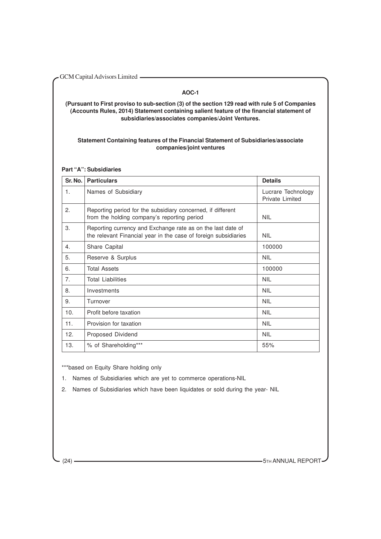GCM Capital Advisors Limited **- Algebra 2013** 

# **AOC-1**

**(Pursuant to First proviso to sub-section (3) of the section 129 read with rule 5 of Companies (Accounts Rules, 2014) Statement containing salient feature of the financial statement of subsidiaries/associates companies/Joint Ventures.**

# **Statement Containing features of the Financial Statement of Subsidiaries/associate companies/joint ventures**

**Part "A": Subsidiaries**

| Sr. No. | <b>Particulars</b>                                                                                                             | <b>Details</b>                        |
|---------|--------------------------------------------------------------------------------------------------------------------------------|---------------------------------------|
| 1.      | Names of Subsidiary                                                                                                            | Lucrare Technology<br>Private Limited |
| 2.      | Reporting period for the subsidiary concerned, if different<br>from the holding company's reporting period                     | <b>NIL</b>                            |
| 3.      | Reporting currency and Exchange rate as on the last date of<br>the relevant Financial year in the case of foreign subsidiaries | <b>NIL</b>                            |
| 4.      | Share Capital                                                                                                                  | 100000                                |
| 5.      | Reserve & Surplus                                                                                                              | NII.                                  |
| 6.      | <b>Total Assets</b>                                                                                                            | 100000                                |
| 7.      | <b>Total Liabilities</b>                                                                                                       | <b>NIL</b>                            |
| 8.      | Investments                                                                                                                    | <b>NIL</b>                            |
| 9.      | Turnover                                                                                                                       | <b>NIL</b>                            |
| 10.     | Profit before taxation                                                                                                         | <b>NIL</b>                            |
| 11.     | Provision for taxation                                                                                                         | <b>NIL</b>                            |
| 12.     | Proposed Dividend                                                                                                              | <b>NIL</b>                            |
| 13.     | % of Shareholding***                                                                                                           | 55%                                   |

\*\*\*based on Equity Share holding only

1. Names of Subsidiaries which are yet to commerce operations-NIL

2. Names of Subsidiaries which have been liquidates or sold during the year- NIL

(24) **STEP ANNUAL REPORT**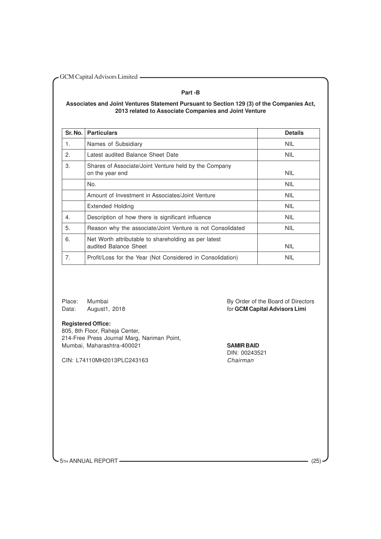# **Part -B**

# **Associates and Joint Ventures Statement Pursuant to Section 129 (3) of the Companies Act, 2013 related to Associate Companies and Joint Venture**

| Sr. No. | <b>Particulars</b>                                                            | <b>Details</b> |
|---------|-------------------------------------------------------------------------------|----------------|
| 1.      | Names of Subsidiary                                                           | <b>NIL</b>     |
| 2.      | Latest audited Balance Sheet Date                                             | <b>NIL</b>     |
| 3.      | Shares of Associate/Joint Venture held by the Company<br>on the year end      | <b>NIL</b>     |
|         | No.                                                                           | <b>NIL</b>     |
|         | Amount of Investment in Associates/Joint Venture                              | <b>NIL</b>     |
|         | Extended Holding                                                              | <b>NIL</b>     |
| 4.      | Description of how there is significant influence                             | <b>NIL</b>     |
| 5.      | Reason why the associate/Joint Venture is not Consolidated                    | <b>NIL</b>     |
| 6.      | Net Worth attributable to shareholding as per latest<br>audited Balance Sheet | <b>NIL</b>     |
| 7.      | Profit/Loss for the Year (Not Considered in Consolidation)                    | <b>NIL</b>     |

#### **Registered Office:**

805, 8th Floor, Raheja Center, 214-Free Press Journal Marg, Nariman Point, Mumbai, Maharashtra-400021 **SAMIR BAID**

CIN: L74110MH2013PLC243163

Place: Mumbai By Order of the Board of Directors Data: August1, 2018 **and Capital Advisors Limi** for **GCM Capital Advisors Limi** 

DIN: 00243521

**-** 5TH ANNUAL REPORT (25)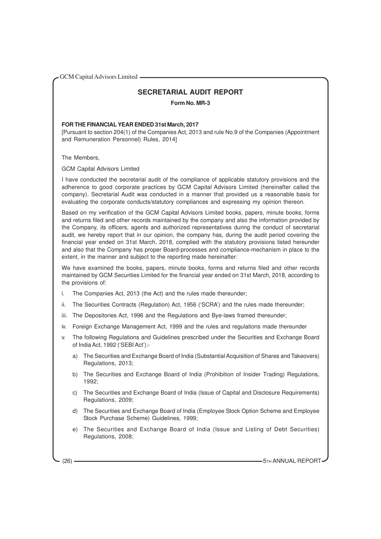# **SECRETARIAL AUDIT REPORT**

**Form No. MR-3**

# **FOR THE FINANCIAL YEAR ENDED 31st March, 2017**

[Pursuant to section 204(1) of the Companies Act, 2013 and rule No.9 of the Companies (Appointment and Remuneration Personnel) Rules, 2014]

The Members,

GCM Capital Advisors Limited

I have conducted the secretarial audit of the compliance of applicable statutory provisions and the adherence to good corporate practices by GCM Capital Advisors Limited (hereinafter called the company). Secretarial Audit was conducted in a manner that provided us a reasonable basis for evaluating the corporate conducts/statutory compliances and expressing my opinion thereon.

Based on my verification of the GCM Capital Advisors Limited books, papers, minute books, forms and returns filed and other records maintained by the company and also the information provided by the Company, its officers, agents and authorized representatives during the conduct of secretarial audit, we hereby report that in our opinion, the company has, during the audit period covering the financial year ended on 31st March, 2018, complied with the statutory provisions listed hereunder and also that the Company has proper Board-processes and compliance-mechanism in place to the extent, in the manner and subject to the reporting made hereinafter:

We have examined the books, papers, minute books, forms and returns filed and other records maintained by GCM Securities Limited for the financial year ended on 31st March, 2018, according to the provisions of:

- i. The Companies Act, 2013 (the Act) and the rules made thereunder;
- ii. The Securities Contracts (Regulation) Act, 1956 ('SCRA') and the rules made thereunder;
- iii. The Depositories Act, 1996 and the Regulations and Bye-laws framed thereunder;
- iv. Foreign Exchange Management Act, 1999 and the rules and regulations made thereunder
- v. The following Regulations and Guidelines prescribed under the Securities and Exchange Board of India Act, 1992 ('SEBI Act'):
	- a) The Securities and Exchange Board of India (Substantial Acquisition of Shares and Takeovers) Regulations, 2013;
	- b) The Securities and Exchange Board of India (Prohibition of Insider Trading) Regulations, 1992;
	- c) The Securities and Exchange Board of India (Issue of Capital and Disclosure Requirements) Regulations, 2009;
	- d) The Securities and Exchange Board of India (Employee Stock Option Scheme and Employee Stock Purchase Scheme) Guidelines, 1999;
	- e) The Securities and Exchange Board of India (Issue and Listing of Debt Securities) Regulations, 2008;

(26) **5TH ANNUAL REPORT 5TH ANNUAL REPORT**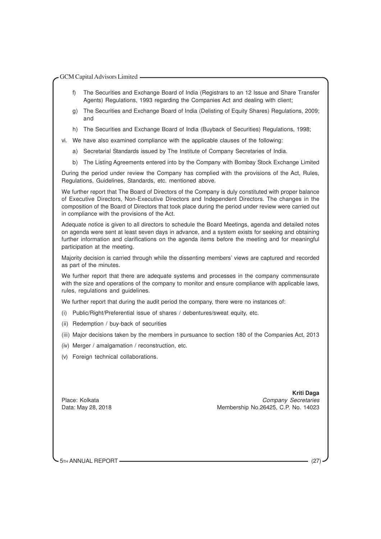- f) The Securities and Exchange Board of India (Registrars to an 12 Issue and Share Transfer Agents) Regulations, 1993 regarding the Companies Act and dealing with client;
- g) The Securities and Exchange Board of India (Delisting of Equity Shares) Regulations, 2009; and
- h) The Securities and Exchange Board of India (Buyback of Securities) Regulations, 1998;
- vi. We have also examined compliance with the applicable clauses of the following:
	- a) Secretarial Standards issued by The Institute of Company Secretaries of India.
	- b) The Listing Agreements entered into by the Company with Bombay Stock Exchange Limited

During the period under review the Company has complied with the provisions of the Act, Rules, Regulations, Guidelines, Standards, etc. mentioned above.

We further report that The Board of Directors of the Company is duly constituted with proper balance of Executive Directors, Non-Executive Directors and Independent Directors. The changes in the composition of the Board of Directors that took place during the period under review were carried out in compliance with the provisions of the Act.

Adequate notice is given to all directors to schedule the Board Meetings, agenda and detailed notes on agenda were sent at least seven days in advance, and a system exists for seeking and obtaining further information and clarifications on the agenda items before the meeting and for meaningful participation at the meeting.

Majority decision is carried through while the dissenting members' views are captured and recorded as part of the minutes.

We further report that there are adequate systems and processes in the company commensurate with the size and operations of the company to monitor and ensure compliance with applicable laws, rules, regulations and guidelines.

We further report that during the audit period the company, there were no instances of:

- (i) Public/Right/Preferential issue of shares / debentures/sweat equity, etc.
- (ii) Redemption / buy-back of securities
- (iii) Major decisions taken by the members in pursuance to section 180 of the Companies Act, 2013
- (iv) Merger / amalgamation / reconstruction, etc.
- (v) Foreign technical collaborations.

 **Kriti Daga** Place: Kolkata Company Secretaries **Company Secretaries** Data: May 28, 2018 Membership No.26425, C.P. No. 14023

5TH ANNUAL REPORT (27)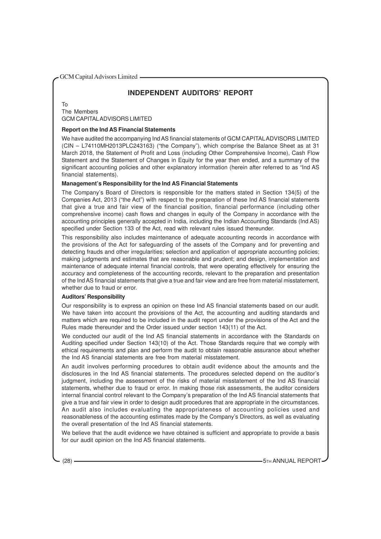# **INDEPENDENT AUDITORS' REPORT**

To The Members GCM CAPITALADVISORS LIMITED

# **Report on the Ind AS Financial Statements**

We have audited the accompanying Ind AS financial statements of GCM CAPITAL ADVISORS LIMITED (CIN – L74110MH2013PLC243163) ("the Company"), which comprise the Balance Sheet as at 31 March 2018, the Statement of Profit and Loss (including Other Comprehensive Income), Cash Flow Statement and the Statement of Changes in Equity for the year then ended, and a summary of the significant accounting policies and other explanatory information (herein after referred to as "Ind AS financial statements).

# **Management's Responsibility for the Ind AS Financial Statements**

The Company's Board of Directors is responsible for the matters stated in Section 134(5) of the Companies Act, 2013 ("the Act") with respect to the preparation of these Ind AS financial statements that give a true and fair view of the financial position, financial performance (including other comprehensive income) cash flows and changes in equity of the Company in accordance with the accounting principles generally accepted in India, including the Indian Accounting Standards (Ind AS) specified under Section 133 of the Act, read with relevant rules issued thereunder.

This responsibility also includes maintenance of adequate accounting records in accordance with the provisions of the Act for safeguarding of the assets of the Company and for preventing and detecting frauds and other irregularities; selection and application of appropriate accounting policies; making judgments and estimates that are reasonable and prudent; and design, implementation and maintenance of adequate internal financial controls, that were operating effectively for ensuring the accuracy and completeness of the accounting records, relevant to the preparation and presentation of the Ind AS financial statements that give a true and fair view and are free from material misstatement, whether due to fraud or error.

#### **Auditors' Responsibility**

Our responsibility is to express an opinion on these Ind AS financial statements based on our audit. We have taken into account the provisions of the Act, the accounting and auditing standards and matters which are required to be included in the audit report under the provisions of the Act and the Rules made thereunder and the Order issued under section 143(11) of the Act.

We conducted our audit of the Ind AS financial statements in accordance with the Standards on Auditing specified under Section 143(10) of the Act. Those Standards require that we comply with ethical requirements and plan and perform the audit to obtain reasonable assurance about whether the Ind AS financial statements are free from material misstatement.

An audit involves performing procedures to obtain audit evidence about the amounts and the disclosures in the Ind AS financial statements. The procedures selected depend on the auditor's judgment, including the assessment of the risks of material misstatement of the Ind AS financial statements, whether due to fraud or error. In making those risk assessments, the auditor considers internal financial control relevant to the Company's preparation of the Ind AS financial statements that give a true and fair view in order to design audit procedures that are appropriate in the circumstances. An audit also includes evaluating the appropriateness of accounting policies used and reasonableness of the accounting estimates made by the Company's Directors, as well as evaluating the overall presentation of the Ind AS financial statements.

We believe that the audit evidence we have obtained is sufficient and appropriate to provide a basis for our audit opinion on the Ind AS financial statements.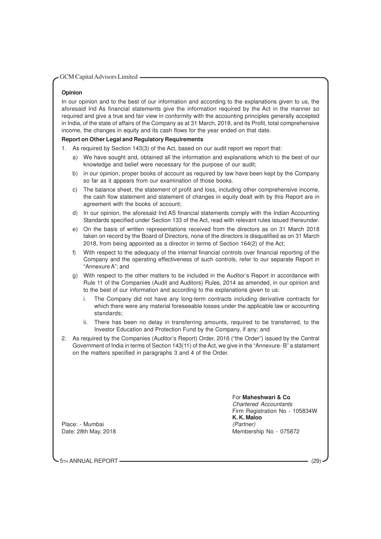# **Opinion**

In our opinion and to the best of our information and according to the explanations given to us, the aforesaid Ind As financial statements give the information required by the Act in the manner so required and give a true and fair view in conformity with the accounting principles generally accepted in India, of the state of affairs of the Company as at 31 March, 2018, and its Profit, total comprehensive income, the changes in equity and its cash flows for the year ended on that date.

# **Report on Other Legal and Regulatory Requirements**

- 1. As required by Section 143(3) of the Act, based on our audit report we report that:
	- a) We have sought and, obtained all the information and explanations which to the best of our knowledge and belief were necessary for the purpose of our audit;
	- b) in our opinion, proper books of account as required by law have been kept by the Company so far as it appears from our examination of those books.
	- c) The balance sheet, the statement of profit and loss, including other comprehensive income, the cash flow statement and statement of changes in equity dealt with by this Report are in agreement with the books of account;
	- d) In our opinion, the aforesaid Ind AS financial statements comply with the Indian Accounting Standards specified under Section 133 of the Act, read with relevant rules issued thereunder.
	- e) On the basis of written representations received from the directors as on 31 March 2018 taken on record by the Board of Directors, none of the directors is disqualified as on 31 March 2018, from being appointed as a director in terms of Section 164(2) of the Act;
	- f) With respect to the adequacy of the internal financial controls over financial reporting of the Company and the operating effectiveness of such controls, refer to our separate Report in "Annexure A"; and
	- g) With respect to the other matters to be included in the Auditor's Report in accordance with Rule 11 of the Companies (Audit and Auditors) Rules, 2014 as amended, in our opinion and to the best of our information and according to the explanations given to us:
		- i. The Company did not have any long-term contracts including derivative contracts for which there were any material foreseeable losses under the applicable law or accounting standards;
		- ii. There has been no delay in transferring amounts, required to be transferred, to the Investor Education and Protection Fund by the Company, if any; and
- 2. As required by the Companies (Auditor's Report) Order, 2016 ("the Order") issued by the Central Government of India in terms of Section 143(11) of the Act, we give in the "Annexure- B" a statement on the matters specified in paragraphs 3 and 4 of the Order.

# For **Maheshwari & Co** Chartered Accountants Firm Registration No - 105834W **K. K. Maloo** Date: 28th May, 2018 Membership No - 075872

Place: - Mumbai (Partner)

5TH ANNUAL REPORT (29)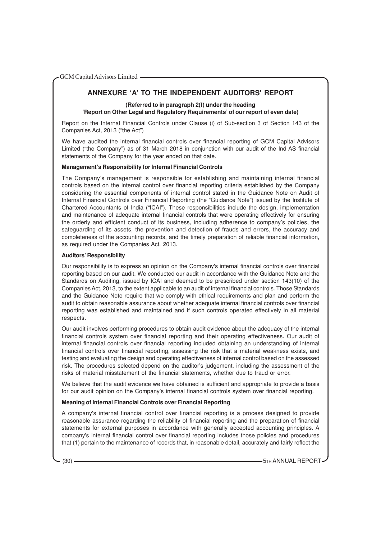# **ANNEXURE 'A' TO THE INDEPENDENT AUDITORS' REPORT**

**(Referred to in paragraph 2(f) under the heading 'Report on Other Legal and Regulatory Requirements' of our report of even date)**

Report on the Internal Financial Controls under Clause (i) of Sub-section 3 of Section 143 of the Companies Act, 2013 ("the Act")

We have audited the internal financial controls over financial reporting of GCM Capital Advisors Limited ("the Company") as of 31 March 2018 in conjunction with our audit of the Ind AS financial statements of the Company for the year ended on that date.

# **Management's Responsibility for Internal Financial Controls**

The Company's management is responsible for establishing and maintaining internal financial controls based on the internal control over financial reporting criteria established by the Company considering the essential components of internal control stated in the Guidance Note on Audit of Internal Financial Controls over Financial Reporting (the "Guidance Note") issued by the Institute of Chartered Accountants of India ("ICAI"). These responsibilities include the design, implementation and maintenance of adequate internal financial controls that were operating effectively for ensuring the orderly and efficient conduct of its business, including adherence to company's policies, the safeguarding of its assets, the prevention and detection of frauds and errors, the accuracy and completeness of the accounting records, and the timely preparation of reliable financial information, as required under the Companies Act, 2013.

# **Auditors' Responsibility**

Our responsibility is to express an opinion on the Company's internal financial controls over financial reporting based on our audit. We conducted our audit in accordance with the Guidance Note and the Standards on Auditing, issued by ICAI and deemed to be prescribed under section 143(10) of the Companies Act, 2013, to the extent applicable to an audit of internal financial controls. Those Standards and the Guidance Note require that we comply with ethical requirements and plan and perform the audit to obtain reasonable assurance about whether adequate internal financial controls over financial reporting was established and maintained and if such controls operated effectively in all material respects.

Our audit involves performing procedures to obtain audit evidence about the adequacy of the internal financial controls system over financial reporting and their operating effectiveness. Our audit of internal financial controls over financial reporting included obtaining an understanding of internal financial controls over financial reporting, assessing the risk that a material weakness exists, and testing and evaluating the design and operating effectiveness of internal control based on the assessed risk. The procedures selected depend on the auditor's judgement, including the assessment of the risks of material misstatement of the financial statements, whether due to fraud or error.

We believe that the audit evidence we have obtained is sufficient and appropriate to provide a basis for our audit opinion on the Company's internal financial controls system over financial reporting.

# **Meaning of Internal Financial Controls over Financial Reporting**

A company's internal financial control over financial reporting is a process designed to provide reasonable assurance regarding the reliability of financial reporting and the preparation of financial statements for external purposes in accordance with generally accepted accounting principles. A company's internal financial control over financial reporting includes those policies and procedures that (1) pertain to the maintenance of records that, in reasonable detail, accurately and fairly reflect the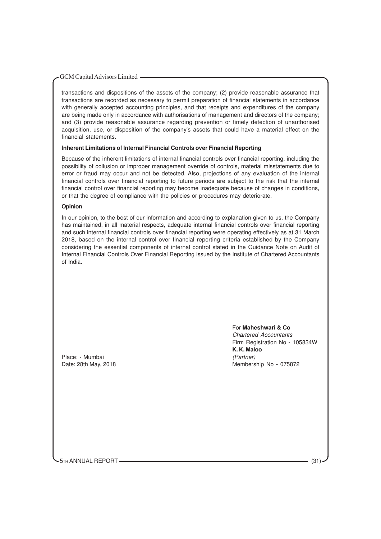transactions and dispositions of the assets of the company; (2) provide reasonable assurance that transactions are recorded as necessary to permit preparation of financial statements in accordance with generally accepted accounting principles, and that receipts and expenditures of the company are being made only in accordance with authorisations of management and directors of the company; and (3) provide reasonable assurance regarding prevention or timely detection of unauthorised acquisition, use, or disposition of the company's assets that could have a material effect on the financial statements.

# **Inherent Limitations of Internal Financial Controls over Financial Reporting**

Because of the inherent limitations of internal financial controls over financial reporting, including the possibility of collusion or improper management override of controls, material misstatements due to error or fraud may occur and not be detected. Also, projections of any evaluation of the internal financial controls over financial reporting to future periods are subject to the risk that the internal financial control over financial reporting may become inadequate because of changes in conditions, or that the degree of compliance with the policies or procedures may deteriorate.

# **Opinion**

In our opinion, to the best of our information and according to explanation given to us, the Company has maintained, in all material respects, adequate internal financial controls over financial reporting and such internal financial controls over financial reporting were operating effectively as at 31 March 2018, based on the internal control over financial reporting criteria established by the Company considering the essential components of internal control stated in the Guidance Note on Audit of Internal Financial Controls Over Financial Reporting issued by the Institute of Chartered Accountants of India.

Place: - Mumbai (Partner)

For **Maheshwari & Co** Chartered Accountants Firm Registration No - 105834W **K. K. Maloo** Date: 28th May, 2018 Membership No - 075872

5TH ANNUAL REPORT (31) (31)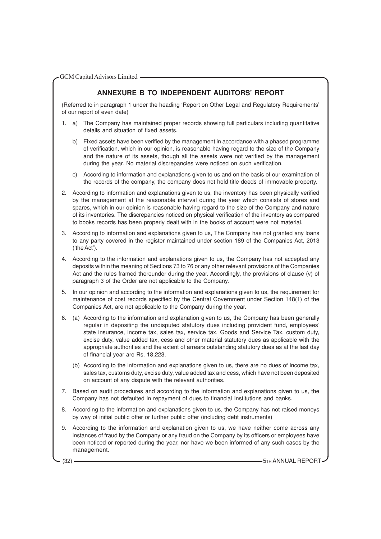# **ANNEXURE B TO INDEPENDENT AUDITORS' REPORT**

(Referred to in paragraph 1 under the heading 'Report on Other Legal and Regulatory Requirements' of our report of even date)

- 1. a) The Company has maintained proper records showing full particulars including quantitative details and situation of fixed assets.
	- b) Fixed assets have been verified by the management in accordance with a phased programme of verification, which in our opinion, is reasonable having regard to the size of the Company and the nature of its assets, though all the assets were not verified by the management during the year. No material discrepancies were noticed on such verification.
	- c) According to information and explanations given to us and on the basis of our examination of the records of the company, the company does not hold title deeds of immovable property.
- 2. According to information and explanations given to us, the inventory has been physically verified by the management at the reasonable interval during the year which consists of stores and spares, which in our opinion is reasonable having regard to the size of the Company and nature of its inventories. The discrepancies noticed on physical verification of the inventory as compared to books records has been properly dealt with in the books of account were not material.
- 3. According to information and explanations given to us, The Company has not granted any loans to any party covered in the register maintained under section 189 of the Companies Act, 2013 ('the Act').
- 4. According to the information and explanations given to us, the Company has not accepted any deposits within the meaning of Sections 73 to 76 or any other relevant provisions of the Companies Act and the rules framed thereunder during the year. Accordingly, the provisions of clause (v) of paragraph 3 of the Order are not applicable to the Company.
- 5. In our opinion and according to the information and explanations given to us, the requirement for maintenance of cost records specified by the Central Government under Section 148(1) of the Companies Act, are not applicable to the Company during the year.
- 6. (a) According to the information and explanation given to us, the Company has been generally regular in depositing the undisputed statutory dues including provident fund, employees' state insurance, income tax, sales tax, service tax, Goods and Service Tax, custom duty, excise duty, value added tax, cess and other material statutory dues as applicable with the appropriate authorities and the extent of arrears outstanding statutory dues as at the last day of financial year are Rs. 18,223.
	- (b) According to the information and explanations given to us, there are no dues of income tax, sales tax, customs duty, excise duty, value added tax and cess, which have not been deposited on account of any dispute with the relevant authorities.
- 7. Based on audit procedures and according to the information and explanations given to us, the Company has not defaulted in repayment of dues to financial Institutions and banks.
- 8. According to the information and explanations given to us, the Company has not raised moneys by way of initial public offer or further public offer (including debt instruments)
- 9. According to the information and explanation given to us, we have neither come across any instances of fraud by the Company or any fraud on the Company by its officers or employees have been noticed or reported during the year, nor have we been informed of any such cases by the management.

(32) **5TH ANNUAL REPORT** (32)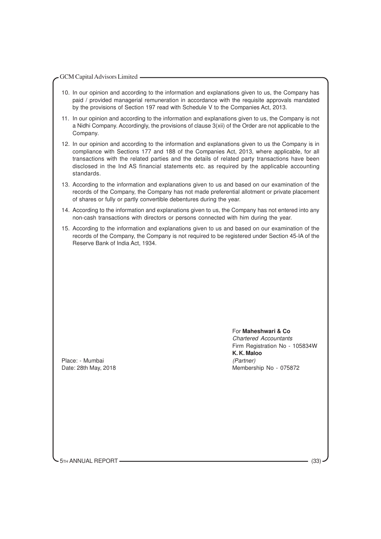- 10. In our opinion and according to the information and explanations given to us, the Company has paid / provided managerial remuneration in accordance with the requisite approvals mandated by the provisions of Section 197 read with Schedule V to the Companies Act, 2013.
- 11. In our opinion and according to the information and explanations given to us, the Company is not a Nidhi Company. Accordingly, the provisions of clause 3(xii) of the Order are not applicable to the Company.
- 12. In our opinion and according to the information and explanations given to us the Company is in compliance with Sections 177 and 188 of the Companies Act, 2013, where applicable, for all transactions with the related parties and the details of related party transactions have been disclosed in the Ind AS financial statements etc. as required by the applicable accounting standards.
- 13. According to the information and explanations given to us and based on our examination of the records of the Company, the Company has not made preferential allotment or private placement of shares or fully or partly convertible debentures during the year.
- 14. According to the information and explanations given to us, the Company has not entered into any non-cash transactions with directors or persons connected with him during the year.
- 15. According to the information and explanations given to us and based on our examination of the records of the Company, the Company is not required to be registered under Section 45-IA of the Reserve Bank of India Act, 1934.

Place: - Mumbai (Partner)

For **Maheshwari & Co** Chartered Accountants Firm Registration No - 105834W **K. K. Maloo** Date: 28th May, 2018 Membership No - 075872

5TH ANNUAL REPORT (33)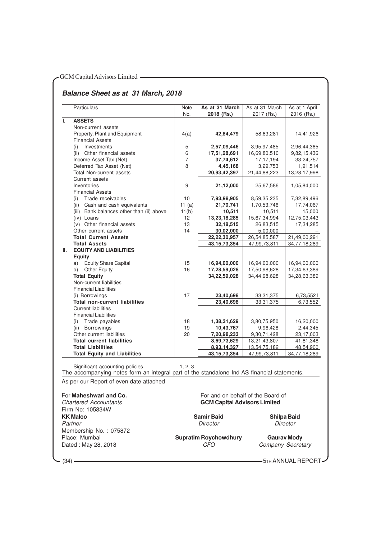# GCM Capital Advisors Limited **- Algebra 2013**

# **Balance Sheet as at 31 March, 2018**

|    | Particulars                                                                                                                                                               | Note<br>No.    | As at 31 March<br>2018 (Rs.)        | As at 31 March<br>2017 (Rs.) | As at 1 April<br>2016 (Rs.) |
|----|---------------------------------------------------------------------------------------------------------------------------------------------------------------------------|----------------|-------------------------------------|------------------------------|-----------------------------|
| L. | <b>ASSETS</b>                                                                                                                                                             |                |                                     |                              |                             |
|    | Non-current assets                                                                                                                                                        |                |                                     |                              |                             |
|    | Property, Plant and Equipment                                                                                                                                             | 4(a)           | 42,84,479                           | 58,63,281                    | 14,41,926                   |
|    | <b>Financial Assets</b>                                                                                                                                                   |                |                                     |                              |                             |
|    | Investments<br>(i)                                                                                                                                                        | 5              | 2,57,09,446                         | 3,95,97,485                  | 2,96,44,365                 |
|    | Other financial assets<br>(ii)                                                                                                                                            | 6              | 17,51,28,691                        | 16,69,80,510                 | 9,82,15,436                 |
|    | Income Asset Tax (Net)                                                                                                                                                    | $\overline{7}$ | 37,74,612                           | 17, 17, 194                  | 33,24,757                   |
|    | Deferred Tax Asset (Net)                                                                                                                                                  | 8              | 4,45,168                            | 3,29,753                     | 1,91,514                    |
|    | <b>Total Non-current assets</b>                                                                                                                                           |                | 20,93,42,397                        | 21,44,88,223                 | 13,28,17,998                |
|    | Current assets                                                                                                                                                            |                |                                     |                              |                             |
|    | Inventories                                                                                                                                                               | 9              | 21,12,000                           | 25,67,586                    | 1,05,84,000                 |
|    | <b>Financial Assets</b>                                                                                                                                                   |                |                                     |                              |                             |
|    | Trade receivables<br>(i)                                                                                                                                                  | 10             | 7,93,98,905                         | 8,59,35,235                  | 7,32,89,496                 |
|    | Cash and cash equivalents<br>(ii)                                                                                                                                         | 11 $(a)$       | 21,70,741                           | 1,70,53,746                  | 17,74,067                   |
|    | (iii) Bank balances other than (ii) above                                                                                                                                 | 11(b)          | 10,511                              | 10,511                       | 15,000                      |
|    | (iv) Loans                                                                                                                                                                | 12             | 13,23,18,285                        | 15,67,34,994                 | 12,75,03,443                |
|    | (v) Other financial assets                                                                                                                                                | 13             | 32,18,515                           | 26,83,515                    | 17,34,285                   |
|    | Other current assets                                                                                                                                                      | 14             | 30,02,000                           | 5,00,000                     |                             |
|    | <b>Total Current Assets</b>                                                                                                                                               |                | 22,22,30,957                        | 26,54,85,587                 | 21,49,00,291                |
|    | <b>Total Assets</b>                                                                                                                                                       |                | 43, 15, 73, 354                     | 47,99,73,811                 | 34,77,18,289                |
| Ш. | <b>EQUITY AND LIABILITIES</b>                                                                                                                                             |                |                                     |                              |                             |
|    | <b>Equity</b>                                                                                                                                                             |                |                                     |                              |                             |
|    | Equity Share Capital<br>a)                                                                                                                                                | 15             | 16,94,00,000                        | 16,94,00,000                 | 16,94,00,000                |
|    | b)<br><b>Other Equity</b>                                                                                                                                                 | 16             | 17,28,59,028                        | 17,50,98,628                 | 17,34,63,389                |
|    | <b>Total Equity</b>                                                                                                                                                       |                | 34,22,59,028                        | 34,44,98,628                 | 34,28,63,389                |
|    | Non-current liabilities                                                                                                                                                   |                |                                     |                              |                             |
|    | <b>Financial Liabilities</b>                                                                                                                                              |                |                                     |                              |                             |
|    | (i) Borrowings                                                                                                                                                            | 17             | 23,40,698                           | 33, 31, 375                  | 6,73,552                    |
|    | <b>Total non-current liabilities</b>                                                                                                                                      |                | 23,40,698                           | 33, 31, 375                  | 6,73,552                    |
|    | <b>Current liabilities</b>                                                                                                                                                |                |                                     |                              |                             |
|    | <b>Financial Liabilities</b>                                                                                                                                              |                |                                     |                              |                             |
|    | Trade payables<br>(i)                                                                                                                                                     | 18             | 1,38,31,629                         | 3,80,75,950                  | 16,20,000                   |
|    | (ii) Borrowings                                                                                                                                                           | 19             | 10,43,767                           | 9,96,428                     | 2,44,345                    |
|    | Other current liabilities                                                                                                                                                 | 20             | 7,20,98,233                         | 9,30,71,428                  | 23,17,003                   |
|    | <b>Total current liabilities</b>                                                                                                                                          |                | 8,69,73,629                         | 13,21,43,807                 | 41,81,348                   |
|    | <b>Total Liabilities</b>                                                                                                                                                  |                | 8,93,14,327                         | 13,54,75,182                 | 48,54,900                   |
|    | <b>Total Equity and Liabilities</b>                                                                                                                                       |                | 43, 15, 73, 354                     | 47,99,73,811                 | 34,77,18,289                |
|    | Significant accounting policies<br>The accompanying notes form an integral part of the standalone Ind AS financial statements.<br>As per our Report of even date attached | 1.2.3          |                                     |                              |                             |
|    |                                                                                                                                                                           |                |                                     |                              |                             |
|    | For Maheshwari and Co.                                                                                                                                                    |                | For and on behalf of the Board of   |                              |                             |
|    | <b>Chartered Accountants</b>                                                                                                                                              |                | <b>GCM Capital Advisors Limited</b> |                              |                             |

Firm No: 105834W<br>**KK Maloo** Partner Director Membership No. : 075872<br>Place: Mumbai Dated : May 28, 2018

**Kamir Baid**<br> **Camir Baid**<br> **Camir Shilpa Baid**<br> **Shilpa Baid**<br> **Shilpa Baid** 

Place: Mumbai **Supratim Roychowdhury Gaurav Mody**

(34) **5TH ANNUAL REPORT**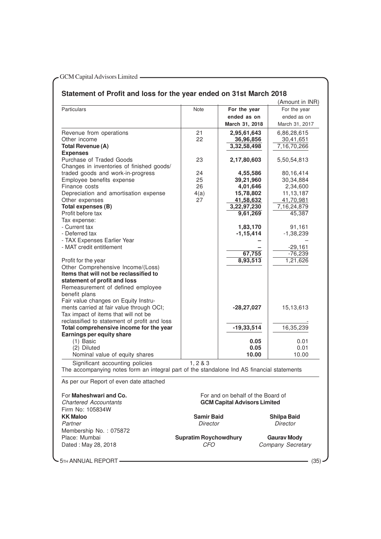# **Statement of Profit and loss for the year ended on 31st March 2018**

|                                                                                            |                              |                                     | (Amount in INR)          |
|--------------------------------------------------------------------------------------------|------------------------------|-------------------------------------|--------------------------|
| <b>Particulars</b>                                                                         | Note                         | For the year                        | For the year             |
|                                                                                            |                              | ended as on                         | ended as on              |
|                                                                                            |                              | March 31, 2018                      | March 31, 2017           |
| Revenue from operations                                                                    | 21                           | 2,95,61,643                         | 6,86,28,615              |
| Other income                                                                               | 22                           | 36,96,856                           | 30,41,651                |
| <b>Total Revenue (A)</b>                                                                   |                              | 3,32,58,498                         | 7,16,70,266              |
| <b>Expenses</b>                                                                            |                              |                                     |                          |
| Purchase of Traded Goods                                                                   | 23                           | 2,17,80,603                         | 5,50,54,813              |
| Changes in inventories of finished goods/                                                  |                              |                                     |                          |
| traded goods and work-in-progress                                                          | 24                           | 4,55,586                            | 80,16,414                |
| Employee benefits expense                                                                  | 25                           | 39,21,960                           | 30,34,884                |
| Finance costs                                                                              | 26                           | 4,01,646                            | 2,34,600                 |
| Depreciation and amortisation expense<br>Other expenses                                    | 4(a)<br>27                   | 15,78,802<br>41,58,632              | 11, 13, 187<br>41,70,981 |
| Total expenses (B)                                                                         |                              | 3,22,97,230                         | 7,16,24,879              |
| Profit before tax                                                                          |                              | 9,61,269                            | 45,387                   |
| Tax expense:                                                                               |                              |                                     |                          |
| - Current tax                                                                              |                              | 1,83,170                            | 91,161                   |
| - Deferred tax                                                                             |                              | $-1, 15, 414$                       | $-1,38,239$              |
| - TAX Expenses Earlier Year                                                                |                              |                                     |                          |
| - MAT credit entitlement                                                                   |                              |                                     | $-29,161$                |
|                                                                                            |                              | 67,755                              | $-76,239$                |
| Profit for the year                                                                        |                              | 8,93,513                            | 1,21,626                 |
| Other Comprehensive Income/(Loss)                                                          |                              |                                     |                          |
| Items that will not be reclassified to                                                     |                              |                                     |                          |
| statement of profit and loss<br>Remeasurement of defined employee                          |                              |                                     |                          |
| benefit plans                                                                              |                              |                                     |                          |
| Fair value changes on Equity Instru-                                                       |                              |                                     |                          |
| ments carried at fair value through OCI;                                                   |                              | $-28, 27, 027$                      | 15,13,613                |
| Tax impact of items that will not be                                                       |                              |                                     |                          |
| reclassified to statement of profit and loss                                               |                              |                                     |                          |
| Total comprehensive income for the year                                                    |                              | $-19, 33, 514$                      | 16,35,239                |
| <b>Earnings per equity share</b>                                                           |                              |                                     |                          |
| (1) Basic                                                                                  |                              | 0.05                                | 0.01                     |
| (2) Diluted                                                                                |                              | 0.05                                | 0.01                     |
| Nominal value of equity shares                                                             |                              | 10.00                               | 10.00                    |
| Significant accounting policies                                                            | 1, 283                       |                                     |                          |
| The accompanying notes form an integral part of the standalone Ind AS financial statements |                              |                                     |                          |
| As per our Report of even date attached                                                    |                              |                                     |                          |
|                                                                                            |                              |                                     |                          |
| For Maheshwari and Co.                                                                     |                              | For and on behalf of the Board of   |                          |
| <b>Chartered Accountants</b>                                                               |                              | <b>GCM Capital Advisors Limited</b> |                          |
| Firm No: 105834W                                                                           |                              |                                     |                          |
| <b>KK Maloo</b>                                                                            | <b>Samir Baid</b>            |                                     | <b>Shilpa Baid</b>       |
| Partner                                                                                    | Director                     |                                     | Director                 |
| Membership No.: 075872                                                                     |                              |                                     |                          |
| Place: Mumbai                                                                              | <b>Supratim Roychowdhury</b> |                                     | <b>Gaurav Mody</b>       |
| Dated: May 28, 2018                                                                        | <b>CFO</b>                   |                                     | Company Secretary        |
|                                                                                            |                              |                                     |                          |

- 5TH ANNUAL REPORT – (35) – (35) – (35) – (35) – (35) – (35) – (35) – (35) – (35) – (35) – (35) – (35) – (35) – (35) – (35) – (35) – (35) – (35) – (35) – (35) – (35) – (35) – (35) – (35) – (35) – (35) – (35) – (35) – (35)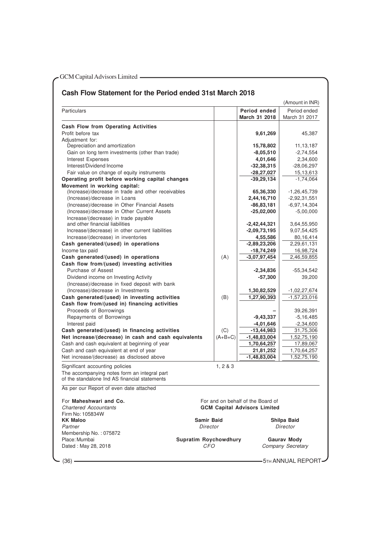# **Cash Flow Statement for the Period ended 31st March 2018**

|                                                                         |                              |          |                                     | (Amount in INR)       |
|-------------------------------------------------------------------------|------------------------------|----------|-------------------------------------|-----------------------|
| Particulars                                                             |                              |          | Period ended<br>March 31 2018       | Period ended          |
|                                                                         |                              |          |                                     | March 31 2017         |
| <b>Cash Flow from Operating Activities</b>                              |                              |          |                                     |                       |
| Profit before tax                                                       |                              |          | 9,61,269                            | 45,387                |
| Adjustment for:                                                         |                              |          |                                     |                       |
| Depreciation and amortization                                           |                              |          | 15,78,802                           | 11, 13, 187           |
| Gain on long term investments (other than trade)                        |                              |          | $-8,05,510$                         | $-2,74,554$           |
| Interest Expenses                                                       |                              |          | 4,01,646                            | 2,34,600              |
| Interest/Dividend Income                                                |                              |          | -32,38,315                          | $-28,06,297$          |
| Fair value on change of equity instruments                              |                              |          | $-28,27,027$                        | 15,13,613             |
| Operating profit before working capital changes                         |                              |          | $-39,29,134$                        | $-1,74,064$           |
| Movement in working capital:                                            |                              |          |                                     |                       |
| (Increase)/decrease in trade and other receivables                      |                              |          | 65,36,330                           | $-1,26,45,739$        |
| (Increase)/decrease in Loans                                            |                              |          | 2,44,16,710                         | $-2,92,31,551$        |
| (Increase)/decrease in Other Financial Assets                           |                              |          | -86,83,181                          | $-6,97,14,304$        |
| (Increase)/decrease in Other Current Assets                             |                              |          | $-25,02,000$                        | $-5,00,000$           |
| Increase/(decrease) in trade payable<br>and other financial liabilities |                              |          |                                     |                       |
|                                                                         |                              |          | $-2,42,44,321$                      | 3,64,55,950           |
| Increase/(decrease) in other current liabilities                        |                              |          | $-2,09,73,195$                      | 9,07,54,425           |
| Increase/(decrease) in inventories                                      |                              |          | 4,55,586                            | 80,16,414             |
| Cash generated/(used) in operations                                     |                              |          | $-2,89,23,206$                      | 2,29,61,131           |
| Income tax paid                                                         |                              |          | -18,74,249                          | 16,98,724             |
| Cash generated/(used) in operations                                     |                              | (A)      | $-3,07,97,454$                      | 2,46,59,855           |
| Cash flow from/(used) investing activities                              |                              |          |                                     |                       |
| Purchase of Assest                                                      |                              |          | $-2,34,836$                         | -55,34,542            |
| Dividend income on Investing Activity                                   |                              |          | -57,300                             | 39,200                |
| (Increase)/decrease in fixed deposit with bank                          |                              |          |                                     |                       |
| (Increase)/decrease in Investments                                      |                              |          | 1,30,82,529                         | $-1,02,27,674$        |
| Cash generated/(used) in investing activities                           |                              | (B)      | 1,27,90,393                         | $-1,57,23,016$        |
| Cash flow from/(used in) financing activities                           |                              |          |                                     |                       |
| Proceeds of Borrowings                                                  |                              |          |                                     | 39,26,391             |
| Repayments of Borrowings                                                |                              |          | $-9,43,337$                         | $-5,16,485$           |
| Interest paid                                                           |                              |          | $-4,01,646$                         | $-2,34,600$           |
| Cash generated/(used) in financing activities                           |                              | (C)      | $-13,44,983$                        | 31,75,306             |
| Net increase/(decrease) in cash and cash equivalents                    |                              | (A+B+C)  | $-1,48,83,004$                      | 1,52,75,190           |
| Cash and cash equivalent at beginning of year                           |                              |          | 1,70,64,257                         | 17,89,067             |
| Cash and cash equivalent at end of year                                 |                              |          | 21,81,252                           | 1,70,64,257           |
| Net increase/(decrease) as disclosed above                              |                              |          | $-1,48,83,004$                      | 1,52,75,190           |
| Significant accounting policies                                         |                              | 1, 2 & 3 |                                     |                       |
| The accompanying notes form an integral part                            |                              |          |                                     |                       |
| of the standalone Ind AS financial statements                           |                              |          |                                     |                       |
| As per our Heport of even date attached                                 |                              |          |                                     |                       |
| For Maheshwari and Co.                                                  |                              |          | For and on behalf of the Board of   |                       |
| <b>Chartered Accountants</b>                                            |                              |          | <b>GCM Capital Advisors Limited</b> |                       |
| Firm No: 105834W                                                        |                              |          |                                     |                       |
| <b>KK Maloo</b>                                                         | Samir Baid                   |          |                                     | Shilpa Baid           |
| Partner                                                                 | Director                     |          |                                     | Director              |
| Membership No.: 075872                                                  |                              |          |                                     |                       |
| Place: Mumbai                                                           | <b>Supratim Roychowdhury</b> |          |                                     | <b>Gaurav Mody</b>    |
| Dated: May 28, 2018                                                     | CFO                          |          |                                     | Company Secretary     |
|                                                                         |                              |          |                                     |                       |
| - (36) -                                                                |                              |          |                                     | - 5th ANNUAL REPORT – |
|                                                                         |                              |          |                                     |                       |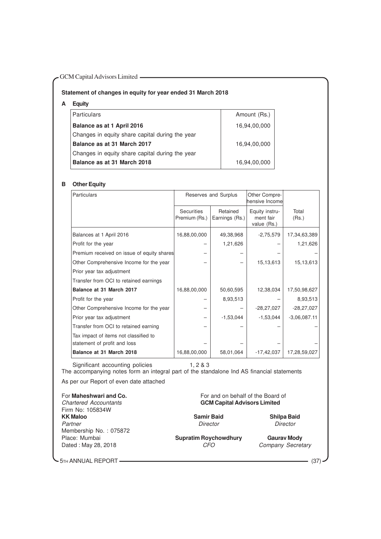# **Statement of changes in equity for year ended 31 March 2018**

| Equity |  |
|--------|--|
|--------|--|

| <b>Particulars</b>                              | Amount (Rs.) |
|-------------------------------------------------|--------------|
| Balance as at 1 April 2016                      | 16,94,00,000 |
| Changes in equity share capital during the year |              |
| Balance as at 31 March 2017                     | 16,94,00,000 |
| Changes in equity share capital during the year |              |
| Balance as at 31 March 2018                     | 16,94,00,000 |

# **B Other Equity**

| Particulars                                                           |                                    | Reserves and Surplus       | Other Compre-<br>hensive Incomel           |                |
|-----------------------------------------------------------------------|------------------------------------|----------------------------|--------------------------------------------|----------------|
|                                                                       | <b>Securities</b><br>Premium (Rs.) | Retained<br>Earnings (Rs.) | Equity instru-<br>ment fair<br>value (Rs.) | Total<br>(Rs.) |
| Balances at 1 April 2016                                              | 16,88,00,000                       | 49,38,968                  | $-2,75,579$                                | 17,34,63,389   |
| Profit for the year                                                   |                                    | 1,21,626                   |                                            | 1,21,626       |
| Premium received on issue of equity shares                            |                                    |                            |                                            |                |
| Other Comprehensive Income for the year                               |                                    |                            | 15,13,613                                  | 15,13,613      |
| Prior year tax adjustment                                             |                                    |                            |                                            |                |
| Transfer from OCI to retained earnings                                |                                    |                            |                                            |                |
| Balance at 31 March 2017                                              | 16,88,00,000                       | 50,60,595                  | 12,38,034                                  | 17,50,98,627   |
| Profit for the year                                                   |                                    | 8,93,513                   |                                            | 8,93,513       |
| Other Comprehensive Income for the year                               |                                    |                            | $-28,27,027$                               | $-28,27,027$   |
| Prior year tax adjustment                                             |                                    | $-1,53,044$                | $-1,53,044$                                | $-3,06,087.11$ |
| Transfer from OCI to retained earning                                 |                                    |                            |                                            |                |
| Tax impact of items not classified to<br>statement of profit and loss |                                    |                            |                                            |                |
| Balance at 31 March 2018                                              | 16,88,00,000                       | 58,01,064                  | $-17,42,037$                               | 17,28,59,027   |

Significant accounting policies 1, 2 & 3

The accompanying notes form an integral part of the standalone Ind AS financial statements

As per our Report of even date attached

Firm No: 105834W<br>KK Maloo Partner Director Director Director Director Director Director Membership No. : 075872 Place: Mumbai **Supratim Roychowdhury Gaurav Mody**<br>Dated: May 28, 2018 **Gauray** *CFO Company Secretary* Dated : May 28, 2018

For **Maheshwari and Co.** For and on behalf of the Board of Chartered Accountants **Formation** Chartered Accountants **GCM Capital Advisors Limited** 

**Kamir Baid**<br> **Camir Baid**<br> **Campion Shippa Baid**<br> **Shippa Baid**<br> **Shippa Baid**<br> **Shippa Baid** 

5TH ANNUAL REPORT (37)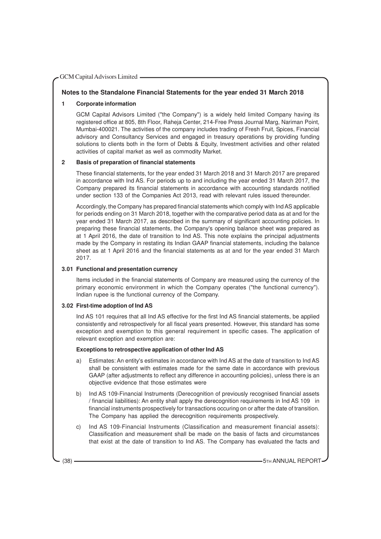# **Notes to the Standalone Financial Statements for the year ended 31 March 2018**

# **1 Corporate information**

GCM Capital Advisors Limited ("the Company") is a widely held limited Company having its registered office at 805, 8th Floor, Raheja Center, 214-Free Press Journal Marg, Nariman Point, Mumbai-400021. The activities of the company includes trading of Fresh Fruit, Spices, Financial advisory and Consultancy Services and engaged in treasury operations by providing funding solutions to clients both in the form of Debts & Equity, Investment activities and other related activities of capital market as well as commodity Market.

# **2 Basis of preparation of financial statements**

These financial statements, for the year ended 31 March 2018 and 31 March 2017 are prepared in accordance with Ind AS. For periods up to and including the year ended 31 March 2017, the Company prepared its financial statements in accordance with accounting standards notified under section 133 of the Companies Act 2013, read with relevant rules issued thereunder.

Accordingly, the Company has prepared financial statements which comply with Ind AS applicable for periods ending on 31 March 2018, together with the comparative period data as at and for the year ended 31 March 2017, as described in the summary of significant accounting policies. In preparing these financial statements, the Company's opening balance sheet was prepared as at 1 April 2016, the date of transition to Ind AS. This note explains the principal adjustments made by the Company in restating its Indian GAAP financial statements, including the balance sheet as at 1 April 2016 and the financial statements as at and for the year ended 31 March 2017.

#### **3.01 Functional and presentation currency**

Items included in the financial statements of Company are measured using the currency of the primary economic environment in which the Company operates ("the functional currency"). Indian rupee is the functional currency of the Company.

# **3.02 First-time adoption of Ind AS**

Ind AS 101 requires that all Ind AS effective for the first Ind AS financial statements, be applied consistently and retrospectively for all fiscal years presented. However, this standard has some exception and exemption to this general requirement in specific cases. The application of relevant exception and exemption are:

#### **Exceptions to retrospective application of other Ind AS**

- a) Estimates: An entity's estimates in accordance with Ind AS at the date of transition to Ind AS shall be consistent with estimates made for the same date in accordance with previous GAAP (after adjustments to reflect any difference in accounting policies), unless there is an objective evidence that those estimates were
- b) Ind AS 109-Financial Instruments (Derecognition of previously recognised financial assets / financial liabilities): An entity shall apply the derecognition requirements in Ind AS 109 in financial instruments prospectively for transactions occuring on or after the date of transition. The Company has applied the derecognition requirements prospectively.
- c) Ind AS 109-Financial Instruments (Classification and measurement financial assets): Classification and measurement shall be made on the basis of facts and circumstances that exist at the date of transition to Ind AS. The Company has evaluated the facts and

(38) **5TH ANNUAL REPORT** (38)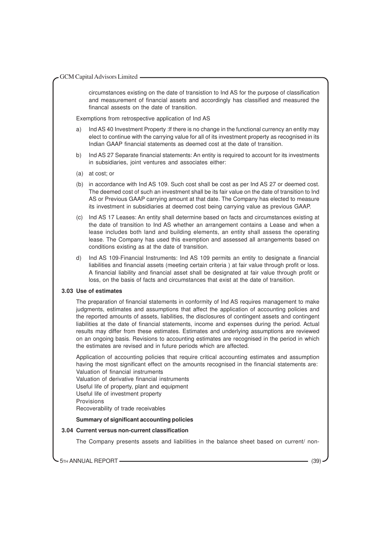circumstances existing on the date of transistion to Ind AS for the purpose of classification and measurement of financial assets and accordingly has classified and measured the financal assests on the date of transition.

Exemptions from retrospective application of Ind AS

- a) Ind AS 40 Investment Property :lf there is no change in the functional currency an entity may elect to continue with the carrying value for all of its investment property as recognised in its Indian GAAP financial statements as deemed cost at the date of transition.
- b) Ind AS 27 Separate financial statements: An entity is required to account for its investments in subsidiaries, joint ventures and associates either:
- (a) at cost; or
- (b) in accordance with Ind AS 109. Such cost shall be cost as per Ind AS 27 or deemed cost. The deemed cost of such an investment shall be its fair value on the date of transition to Ind AS or Previous GAAP carrying amount at that date. The Company has elected to measure its investment in subsidiaries at deemed cost being carrying value as previous GAAP.
- (c) Ind AS 17 Leases: An entity shall determine based on facts and circumstances existing at the date of transition to Ind AS whether an arrangement contains a Lease and when a lease includes both land and building elements, an entity shall assess the operating lease. The Company has used this exemption and assessed all arrangements based on conditions existing as at the date of transition.
- d) Ind AS 109-Financial Instruments: Ind AS 109 permits an entity to designate a financial liabilities and financial assets (meeting certain criteria ) at fair value through profit or loss. A financial liability and financial asset shall be designated at fair value through profit or loss, on the basis of facts and circumstances that exist at the date of transition.

#### **3.03 Use of estimates**

The preparation of financial statements in conformity of Ind AS requires management to make judgments, estimates and assumptions that affect the application of accounting policies and the reported amounts of assets, liabilities, the disclosures of contingent assets and contingent liabilities at the date of financial statements, income and expenses during the period. Actual results may differ from these estimates. Estimates and underlying assumptions are reviewed on an ongoing basis. Revisions to accounting estimates are recognised in the period in which the estimates are revised and in future periods which are affected.

Application of accounting policies that require critical accounting estimates and assumption having the most significant effect on the amounts recognised in the financial statements are: Valuation of financial instruments Valuation of derivative financial instruments

Useful life of property, plant and equipment Useful life of investment property Provisions Recoverability of trade receivables

#### **Summary of significant accounting policies**

#### **3.04 Current versus non-current classification**

The Company presents assets and liabilities in the balance sheet based on current/ non-

5TH ANNUAL REPORT (39)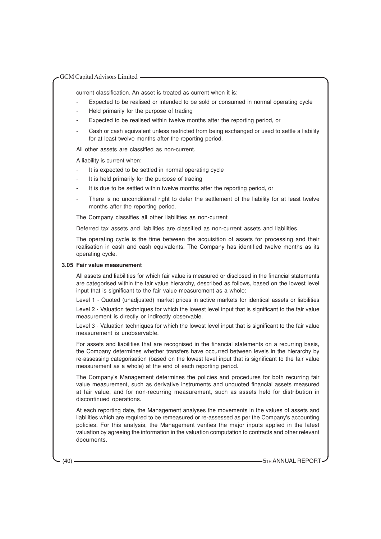current classification. An asset is treated as current when it is:

- Expected to be realised or intended to be sold or consumed in normal operating cycle
- Held primarily for the purpose of trading
- Expected to be realised within twelve months after the reporting period, or
- Cash or cash equivalent unless restricted from being exchanged or used to settle a liability for at least twelve months after the reporting period.

All other assets are classified as non-current.

A liability is current when:

- It is expected to be settled in normal operating cycle
- It is held primarily for the purpose of trading
- It is due to be settled within twelve months after the reporting period, or
- There is no unconditional right to defer the settlement of the liability for at least twelve months after the reporting period.

The Company classifies all other liabilities as non-current

Deferred tax assets and liabilities are classified as non-current assets and liabilities.

The operating cycle is the time between the acquisition of assets for processing and their realisation in cash and cash equivalents. The Company has identified twelve months as its operating cycle.

#### **3.05 Fair value measurement**

All assets and liabilities for which fair value is measured or disclosed in the financial statements are categorised within the fair value hierarchy, described as follows, based on the lowest level input that is significant to the fair value measurement as a whole:

Level 1 - Quoted (unadjusted) market prices in active markets for identical assets or liabilities Level 2 - Valuation techniques for which the lowest level input that is significant to the fair value measurement is directly or indirectly observable.

Level 3 - Valuation techniques for which the lowest level input that is significant to the fair value measurement is unobservable.

For assets and liabilities that are recognised in the financial statements on a recurring basis, the Company determines whether transfers have occurred between levels in the hierarchy by re-assessing categorisation (based on the lowest level input that is significant to the fair value measurement as a whole) at the end of each reporting period.

The Company's Management determines the policies and procedures for both recurring fair value measurement, such as derivative instruments and unquoted financial assets measured at fair value, and for non-recurring measurement, such as assets held for distribution in discontinued operations.

At each reporting date, the Management analyses the movements in the values of assets and liabilities which are required to be remeasured or re-assessed as per the Company's accounting policies. For this analysis, the Management verifies the major inputs applied in the latest valuation by agreeing the information in the valuation computation to contracts and other relevant documents.

(40) **5TH ANNUAL REPORT**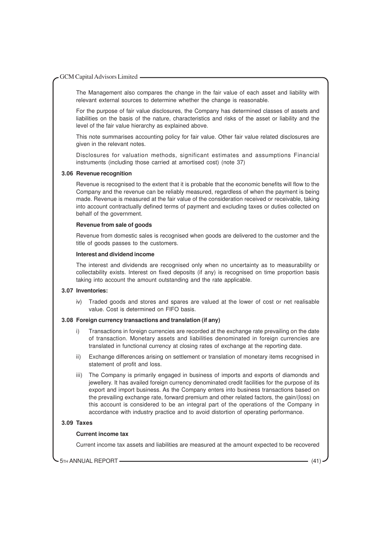The Management also compares the change in the fair value of each asset and liability with relevant external sources to determine whether the change is reasonable.

For the purpose of fair value disclosures, the Company has determined classes of assets and liabilities on the basis of the nature, characteristics and risks of the asset or liability and the level of the fair value hierarchy as explained above.

This note summarises accounting policy for fair value. Other fair value related disclosures are given in the relevant notes.

Disclosures for valuation methods, significant estimates and assumptions Financial instruments (including those carried at amortised cost) (note 37)

#### **3.06 Revenue recognition**

Revenue is recognised to the extent that it is probable that the economic benefits will flow to the Company and the revenue can be reliably measured, regardless of when the payment is being made. Revenue is measured at the fair value of the consideration received or receivable, taking into account contractually defined terms of payment and excluding taxes or duties collected on behalf of the government.

#### **Revenue from sale of goods**

Revenue from domestic sales is recognised when goods are delivered to the customer and the title of goods passes to the customers.

#### **Interest and dividend income**

The interest and dividends are recognised only when no uncertainty as to measurability or collectability exists. Interest on fixed deposits (if any) is recognised on time proportion basis taking into account the amount outstanding and the rate applicable.

#### **3.07 Inventories:**

iv) Traded goods and stores and spares are valued at the lower of cost or net realisable value. Cost is determined on FIFO basis.

# **3.08 Foreign currency transactions and translation (if any)**

- i) Transactions in foreign currencies are recorded at the exchange rate prevailing on the date of transaction. Monetary assets and liabilities denominated in foreign currencies are translated in functional currency at closing rates of exchange at the reporting date.
- ii) Exchange differences arising on settlement or translation of monetary items recognised in statement of profit and loss.
- iii) The Company is primarily engaged in business of imports and exports of diamonds and jewellery. It has availed foreign currency denominated credit facilities for the purpose of its export and import business. As the Company enters into business transactions based on the prevailing exchange rate, forward premium and other related factors, the gain/(loss) on this account is considered to be an integral part of the operations of the Company in accordance with industry practice and to avoid distortion of operating performance.

#### **3.09 Taxes**

#### **Current income tax**

Current income tax assets and liabilities are measured at the amount expected to be recovered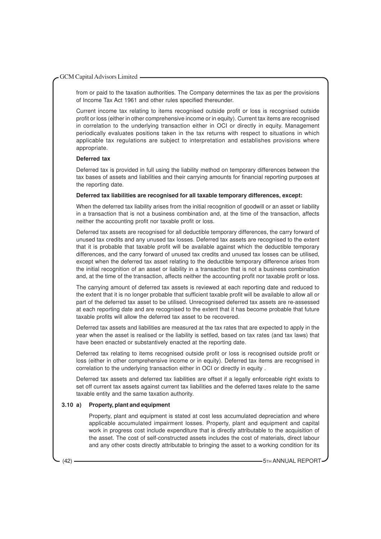from or paid to the taxation authorities. The Company determines the tax as per the provisions of Income Tax Act 1961 and other rules specified thereunder.

Current income tax relating to items recognised outside profit or loss is recognised outside profit or loss (either in other comprehensive income or in equity). Current tax items are recognised in correlation to the underlying transaction either in OCI or directly in equity. Management periodically evaluates positions taken in the tax returns with respect to situations in which applicable tax regulations are subject to interpretation and establishes provisions where appropriate.

# **Deferred tax**

Deferred tax is provided in full using the liability method on temporary differences between the tax bases of assets and liabilities and their carrying amounts for financial reporting purposes at the reporting date.

#### **Deferred tax liabilities are recognised for all taxable temporary differences, except:**

When the deferred tax liability arises from the initial recognition of goodwill or an asset or liability in a transaction that is not a business combination and, at the time of the transaction, affects neither the accounting profit nor taxable profit or loss.

Deferred tax assets are recognised for all deductible temporary differences, the carry forward of unused tax credits and any unused tax losses. Deferred tax assets are recognised to the extent that it is probable that taxable profit will be available against which the deductible temporary differences, and the carry forward of unused tax credits and unused tax losses can be utilised, except when the deferred tax asset relating to the deductible temporary difference arises from the initial recognition of an asset or liability in a transaction that is not a business combination and, at the time of the transaction, affects neither the accounting profit nor taxable profit or loss.

The carrying amount of deferred tax assets is reviewed at each reporting date and reduced to the extent that it is no longer probable that sufficient taxable profit will be available to allow all or part of the deferred tax asset to be utilised. Unrecognised deferred tax assets are re-assessed at each reporting date and are recognised to the extent that it has become probable that future taxable profits will allow the deferred tax asset to be recovered.

Deferred tax assets and liabilities are measured at the tax rates that are expected to apply in the year when the asset is realised or the liability is settled, based on tax rates (and tax laws) that have been enacted or substantively enacted at the reporting date.

Deferred tax relating to items recognised outside profit or loss is recognised outside profit or loss (either in other comprehensive income or in equity). Deferred tax items are recognised in correlation to the underlying transaction either in OCI or directly in equity .

Deferred tax assets and deferred tax liabilities are offset if a legally enforceable right exists to set off current tax assets against current tax liabilities and the deferred taxes relate to the same taxable entity and the same taxation authority.

#### **3.10 a) Property, plant and equipment**

Property, plant and equipment is stated at cost less accumulated depreciation and where applicable accumulated impairment losses. Property, plant and equipment and capital work in progress cost include expenditure that is directly attributable to the acquisition of the asset. The cost of self-constructed assets includes the cost of materials, direct labour and any other costs directly attributable to bringing the asset to a working condition for its

(42) **5TH ANNUAL REPORT**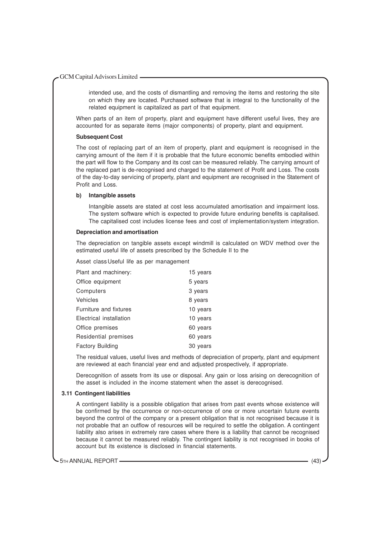intended use, and the costs of dismantling and removing the items and restoring the site on which they are located. Purchased software that is integral to the functionality of the related equipment is capitalized as part of that equipment.

When parts of an item of property, plant and equipment have different useful lives, they are accounted for as separate items (major components) of property, plant and equipment.

#### **Subsequent Cost**

The cost of replacing part of an item of property, plant and equipment is recognised in the carrying amount of the item if it is probable that the future economic benefits embodied within the part will flow to the Company and its cost can be measured reliably. The carrying amount of the replaced part is de-recognised and charged to the statement of Profit and Loss. The costs of the day-to-day servicing of property, plant and equipment are recognised in the Statement of Profit and Loss.

#### **b) Intangible assets**

Intangible assets are stated at cost less accumulated amortisation and impairment loss. The system software which is expected to provide future enduring benefits is capitalised. The capitalised cost includes license fees and cost of implementation/system integration.

#### **Depreciation and amortisation**

The depreciation on tangible assets except windmill is calculated on WDV method over the estimated useful life of assets prescribed by the Schedule II to the

Asset class Useful life as per management

| Plant and machinery:    | 15 years |
|-------------------------|----------|
| Office equipment        | 5 years  |
| Computers               | 3 years  |
| Vehicles                | 8 years  |
| Furniture and fixtures  | 10 years |
| Electrical installation | 10 years |
| Office premises         | 60 years |
| Residential premises    | 60 years |
| <b>Factory Building</b> | 30 years |

The residual values, useful lives and methods of depreciation of property, plant and equipment are reviewed at each financial year end and adjusted prospectively, if appropriate.

Derecognition of assets from its use or disposal. Any gain or loss arising on derecognition of the asset is included in the income statement when the asset is derecognised.

#### **3.11 Contingent liabilities**

A contingent liability is a possible obligation that arises from past events whose existence will be confirmed by the occurrence or non-occurrence of one or more uncertain future events beyond the control of the company or a present obligation that is not recognised because it is not probable that an outflow of resources will be required to settle the obligation. A contingent liability also arises in extremely rare cases where there is a liability that cannot be recognised because it cannot be measured reliably. The contingent liability is not recognised in books of account but its existence is disclosed in financial statements.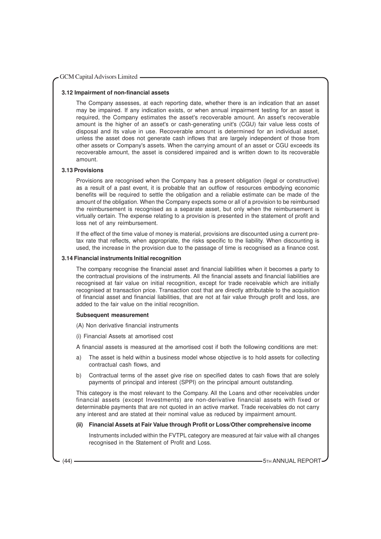#### **3.12 Impairment of non-financial assets**

The Company assesses, at each reporting date, whether there is an indication that an asset may be impaired. If any indication exists, or when annual impairment testing for an asset is required, the Company estimates the asset's recoverable amount. An asset's recoverable amount is the higher of an asset's or cash-generating unit's (CGU) fair value less costs of disposal and its value in use. Recoverable amount is determined for an individual asset, unless the asset does not generate cash inflows that are largely independent of those from other assets or Company's assets. When the carrying amount of an asset or CGU exceeds its recoverable amount, the asset is considered impaired and is written down to its recoverable amount.

#### **3.13 Provisions**

Provisions are recognised when the Company has a present obligation (legal or constructive) as a result of a past event, it is probable that an outflow of resources embodying economic benefits will be required to settle the obligation and a reliable estimate can be made of the amount of the obligation. When the Company expects some or all of a provision to be reimbursed the reimbursement is recognised as a separate asset, but only when the reimbursement is virtually certain. The expense relating to a provision is presented in the statement of profit and loss net of any reimbursement.

If the effect of the time value of money is material, provisions are discounted using a current pretax rate that reflects, when appropriate, the risks specific to the liability. When discounting is used, the increase in the provision due to the passage of time is recognised as a finance cost.

#### **3.14 Financial instruments Initial recognition**

The company recognise the financial asset and financial liabilities when it becomes a party to the contractual provisions of the instruments. All the financial assets and financial liabilities are recognised at fair value on initial recognition, except for trade receivable which are initially recognised at transaction price. Transaction cost that are directly attributable to the acquisition of financial asset and financial liabilities, that are not at fair value through profit and loss, are added to the fair value on the initial recognition.

#### **Subsequent measurement**

(A) Non derivative financial instruments

(i) Financial Assets at amortised cost

A financial assets is measured at the amortised cost if both the following conditions are met:

- a) The asset is held within a business model whose objective is to hold assets for collecting contractual cash flows, and
- b) Contractual terms of the asset give rise on specified dates to cash flows that are solely payments of principal and interest (SPPI) on the principal amount outstanding.

This category is the most relevant to the Company. All the Loans and other receivables under financial assets (except Investments) are non-derivative financial assets with fixed or determinable payments that are not quoted in an active market. Trade receivables do not carry any interest and are stated at their nominal value as reduced by impairment amount.

#### **(ii) Financial Assets at Fair Value through Profit or Loss/Other comprehensive income**

Instruments included within the FVTPL category are measured at fair value with all changes recognised in the Statement of Profit and Loss.

(44) **5TH ANNUAL REPORT 5TH ANNUAL REPORT**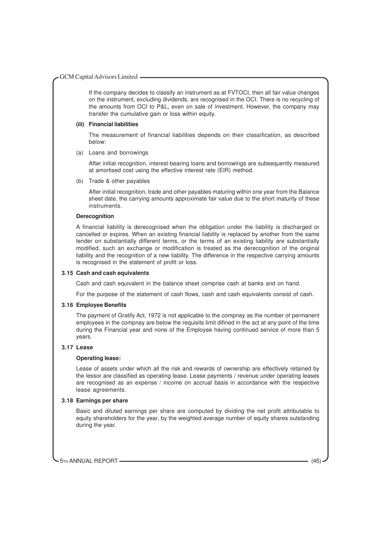If the company decides to classify an instrument as at FVTOCI, then all fair value changes on the instrument, excluding dividends, are recognised in the OCI. There is no recycling of the amounts from OCI to P&L, even on sale of investment. However, the company may transfer the cumulative gain or loss within equity.

#### **(iii) Financial liabilities**

The measurement of financial liabilities depends on their classification, as described below:

(a) Loans and borrowings

After initial recognition, interest-bearing loans and borrowings are subsequently measured at amortised cost using the effective interest rate (EIR) method.

(b) Trade & other payables

After initial recognition, trade and other payables maturing within one year from the Balance sheet date, the carrying amounts approximate fair value due to the short maturity of these instruments.

# **Derecognition**

A financial liability is derecognised when the obligation under the liability is discharged or cancelled or expires. When an existing financial liability is replaced by another from the same lender on substantially different terms, or the terms of an existing liability are substantially modified, such an exchange or modification is treated as the derecognition of the original liability and the recognition of a new liability. The difference in the respective carrying amounts is recognised in the statement of profit or loss.

# **3.15 Cash and cash equivalents**

Cash and cash equivalent in the balance sheet comprise cash at banks and on hand.

For the purpose of the statement of cash flows, cash and cash equivalents consist of cash.

# **3.16 Employee Benefits**

The payment of Gratify Act, 1972 is not applicable to the compnay as the number of permanent employees in the compnay are below the requisits limit difined in the act at any point of the time during the Financial year and none of the Employee having continued service of more than 5 years.

# **3.17 Lease**

#### **Operating lease:**

Lease of assets under which all the risk and rewards of ownership are effectively retained by the lessor are classified as operating lease. Lease payments / revenue under operating leases are recognised as an expense / income on accrual basis in accordance with the respective lease agreements.

#### **3.18 Earnings per share**

Basic and diluted earnings per share are computed by dividing the net profit attributable to equity shareholders for the year, by the weighted average number of equity shares outstanding during the year.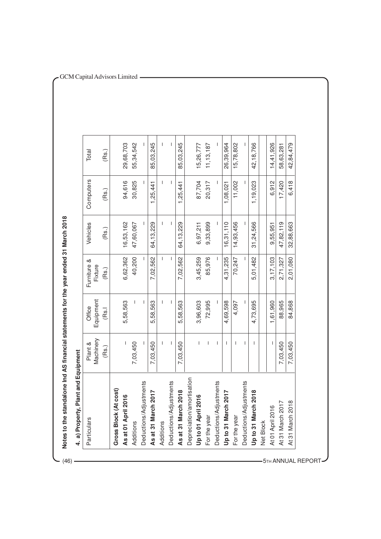| Particulars                                 | Machinery<br>Plant & | Equipment<br>Office | ∞ర<br>Furniture<br>Fixture | Vehicles    | Computers | Total       |
|---------------------------------------------|----------------------|---------------------|----------------------------|-------------|-----------|-------------|
|                                             | (Bs.)                | (Rs.I               | (Bs.)                      | (Bs.)       | (Rs.)     | (Rs.)       |
| Gross Block (At cost)                       |                      |                     |                            |             |           |             |
| As at 01 April 2016                         |                      | 5,58,563            | 6,62,362                   | 16,53,162   | 94,616    | 29,68,703   |
| Additions                                   | 7,03,450             |                     | 40,200                     | 47,60,067   | 30,825    | 55,34,542   |
| Deductions/Adjustments                      |                      | I                   |                            |             |           |             |
| 2017<br>As at 31 March                      | 7,03,450             | 5,58,563            | 7,02,562                   | 64,13,229   | 1,25,441  | 85,03,245   |
| Additions                                   | L                    |                     | $\mathbf{I}$               |             | T         |             |
| Deductions/Adjustments                      | I                    | I                   | $\overline{\phantom{a}}$   |             | I         |             |
| 12018<br>As at 31 March                     | 7,03,450             | 5,58,563            | 7,02,562                   | 64, 13, 229 | 1,25,441  | 85,03,245   |
| Depreciation/amortisation                   |                      |                     |                            |             |           |             |
| Up to 01 April 2016                         | $\overline{1}$       | 3,96,603            | 3,45,259                   | 6,97,211    | 87,704    | 15,26,777   |
| For the year                                | $\mathbf{I}$         | 72,995              | 85,976                     | 9,33,899    | 20,317    | 11, 13, 187 |
| Deductions/Adjustments                      | $\overline{1}$       | ı                   | $\overline{\phantom{a}}$   |             |           |             |
| 2017<br>Up to 31 March                      | $\mathbf{I}$         | 4,69,598            | 4,31,235                   | 16,31,110   | 1,08,021  | 26,39,964   |
| For the year                                | $\mathbf{I}$         | 4,097               | 70,247                     | 14,93,456   | 11,002    | 15,78,802   |
| Deductions/Adjustments                      | $\mathbf{I}$         |                     |                            |             |           |             |
| 2018<br>Up to 31 March                      | $\mathbf{I}$         | 4,73,695            | 5,01,482                   | 31,24,566   | 1,19,023  | 42,18,766   |
| Net Block                                   |                      |                     |                            |             |           |             |
| At 01 April 2016                            | $\mathbf{I}$         | 1,61,960            | 3,17,103                   | 9,55,951    | 6,912     | 14,41,926   |
| $\overline{\phantom{0}}$<br>At 31 March 201 | 7,03,450             | 88,965              | 2,71,327                   | 47,82,119   | 17,420    | 58,63,281   |
| $\infty$<br>At 31 March 20                  | 7,03,450             | 84,868              | 2,01,080                   | 32,88,663   | 6,418     | 42,84,479   |

(46)

5TH ANNUAL REPORT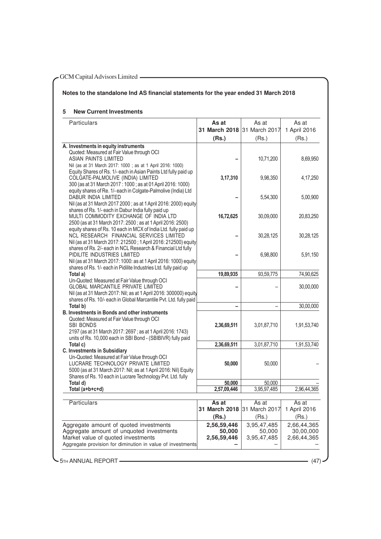# **Notes to the standalone Ind AS financial statements for the year ended 31 March 2018**

# **5 New Current Investments**

| Particulars                                                                                                                                                                                                                                                  | As at<br>31 March 2018 31 March 2017 | As at                                | As at<br>1 April 2016                   |
|--------------------------------------------------------------------------------------------------------------------------------------------------------------------------------------------------------------------------------------------------------------|--------------------------------------|--------------------------------------|-----------------------------------------|
|                                                                                                                                                                                                                                                              | (Rs.)                                | (Rs.)                                | (Rs.)                                   |
| A. Investments in equity instruments<br>Quoted: Measured at Fair Value through OCI<br>ASIAN PAINTS LIMITED<br>Nil (as at 31 March 2017: 1000 ; as at 1 April 2016: 1000)                                                                                     |                                      | 10,71,200                            | 8,69,950                                |
| Equity Shares of Rs. 1/- each in Asian Paints Ltd fully paid up<br>COLGATE-PALMOLIVE (INDIA) LIMITED<br>300 (as at 31 March 2017 : 1000 ; as at 01 April 2016: 1000)                                                                                         | 3,17,310                             | 9,98,350                             | 4,17,250                                |
| equity shares of Re. 1/- each in Colgate-Palmolive (India) Ltd<br>DABUR INDIA LIMITED<br>Nil (as at 31 March 2017 2000; as at 1 April 2016: 2000) equity                                                                                                     |                                      | 5,54,300                             | 5,00,900                                |
| shares of Rs. 1/- each in Dabur India fully paid up<br>MULTI COMMODITY EXCHANGE OF INDIA LTD<br>2500 (as at 31 March 2017: 2500; as at 1 April 2016: 2500)                                                                                                   | 16,72,625                            | 30,09,000                            | 20,83,250                               |
| equity shares of Rs. 10 each in MCX of India Ltd. fully paid up<br>NCL RESEARCH FINANCIAL SERVICES LIMITED<br>Nil (as at 31 March 2017: 212500; 1 April 2016: 212500) equity                                                                                 |                                      | 30,28,125                            | 30,28,125                               |
| shares of Rs. 2/- each in NCL Research & Financial Ltd fully<br>PIDILITE INDUSTRIES LIMITED<br>Nil (as at 31 March 2017: 1000: as at 1 April 2016: 1000) equity                                                                                              |                                      | 6,98,800                             | 5,91,150                                |
| shares of Rs. 1/- each in Pidilite Industries Ltd. fully paid up<br>Total a)                                                                                                                                                                                 | 19,89,935                            | 93,59,775                            | 74,90,625                               |
| Un-Quoted: Measured at Fair Value through OCI<br>GLOBAL MARCANTILE PRIVATE LIMITED<br>Nil (as at 31 March 2017: Nil; as at 1 April 2016: 300000) equity                                                                                                      |                                      |                                      | 30,00,000                               |
| shares of Rs. 10/- each in Global Marcantile Pvt. Ltd. fully paid<br>Total b)                                                                                                                                                                                | $\overline{\phantom{0}}$             |                                      | 30,00,000                               |
| <b>B. Investments in Bonds and other instruments</b>                                                                                                                                                                                                         |                                      |                                      |                                         |
| Quoted: Measured at Fair Value through OCI<br><b>SBI BONDS</b><br>2197 (as at 31 March 2017: 2697; as at 1 April 2016: 1743)<br>units of Rs. 10,000 each in SBI Bond - (SBIBIVR) fully paid                                                                  | 2,36,69,511                          | 3,01,87,710                          | 1,91,53,740                             |
| Total c)                                                                                                                                                                                                                                                     | 2,36,69,511                          | 3,01,87,710                          | 1,91,53,740                             |
| <b>C. Investments in Subsidiary</b><br>Un-Quoted: Measured at Fair Value through OCI<br>LUCRARE TECHNOLOGY PRIVATE LIMITED<br>5000 (as at 31 March 2017: Nil; as at 1 April 2016: Nil) Equity<br>Shares of Rs. 10 each in Lucrare Technology Pvt. Ltd. fully | 50,000                               | 50,000                               |                                         |
| Total d)                                                                                                                                                                                                                                                     | 50,000                               | 50,000                               |                                         |
| Total (a+b+c+d)                                                                                                                                                                                                                                              | 2,57,09,446                          | 3,95,97,485                          | 2,96,44,365                             |
| Particulars                                                                                                                                                                                                                                                  | As at                                | As at                                | As at                                   |
|                                                                                                                                                                                                                                                              | 31 March 2018<br>(Rs.)               | 31 March 2017<br>(Rs.)               | 1 April 2016<br>(Rs.)                   |
| Aggregate amount of quoted investments<br>Aggregate amount of unquoted investments<br>Market value of quoted investments<br>Aggregate provision for diminution in value of investments                                                                       | 2,56,59,446<br>50,000<br>2,56,59,446 | 3,95,47,485<br>50,000<br>3,95,47,485 | 2,66,44,365<br>30,00,000<br>2,66,44,365 |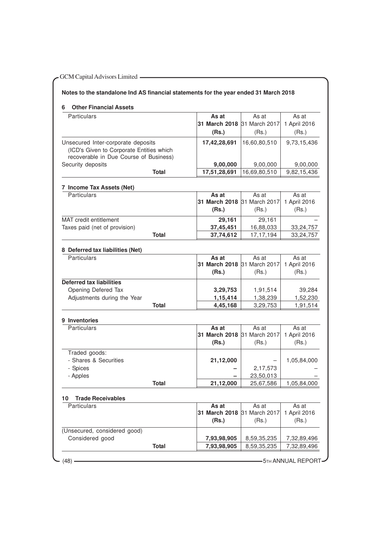| <b>Other Financial Assets</b><br>6                                                                                       |              |               |               |              |
|--------------------------------------------------------------------------------------------------------------------------|--------------|---------------|---------------|--------------|
| Particulars                                                                                                              |              | As at         | As at         | As at        |
|                                                                                                                          |              | 31 March 2018 | 31 March 2017 | 1 April 2016 |
|                                                                                                                          |              | (Rs.)         | (Rs.)         | (Rs.)        |
| Unsecured Inter-corporate deposits<br>(ICD's Given to Corporate Entities which<br>recoverable in Due Course of Business) |              | 17,42,28,691  | 16,60,80,510  | 9,73,15,436  |
| Security deposits                                                                                                        |              | 9,00,000      | 9,00,000      | 9,00,000     |
|                                                                                                                          | <b>Total</b> | 17,51,28,691  | 16,69,80,510  | 9,82,15,436  |
| 7 Income Tax Assets (Net)                                                                                                |              |               |               |              |
| Particulars                                                                                                              |              | As at         | As at         | As at        |
|                                                                                                                          |              | 31 March 2018 | 31 March 2017 | 1 April 2016 |
|                                                                                                                          |              | (Rs.)         | (Rs.)         | (Rs.)        |
| MAT credit entitlement                                                                                                   |              | 29,161        | 29,161        |              |
| Taxes paid (net of provision)                                                                                            |              | 37,45,451     | 16,88,033     | 33, 24, 757  |
|                                                                                                                          | <b>Total</b> | 37,74,612     | 17, 17, 194   | 33,24,757    |
| 8 Deferred tax liabilities (Net)                                                                                         |              |               |               |              |
| Particulars                                                                                                              |              | As at         | As at         | As at        |
|                                                                                                                          |              | 31 March 2018 | 31 March 2017 | 1 April 2016 |
|                                                                                                                          |              | (Rs.)         | (Rs.)         | (Rs.)        |
| <b>Deferred tax liabilities</b>                                                                                          |              |               |               |              |
| Opening Defered Tax                                                                                                      |              | 3,29,753      | 1,91,514      | 39,284       |
| Adjustments during the Year                                                                                              |              | 1,15,414      | 1,38,239      | 1,52,230     |
|                                                                                                                          | <b>Total</b> | 4,45,168      | 3,29,753      | 1,91,514     |
| 9 Inventories                                                                                                            |              |               |               |              |
| Particulars                                                                                                              |              | As at         | As at         | As at        |
|                                                                                                                          |              | 31 March 2018 | 31 March 2017 | 1 April 2016 |
|                                                                                                                          |              | (Rs.)         | (Rs.)         | (Rs.)        |
| Traded goods:                                                                                                            |              |               |               |              |
| - Shares & Securities                                                                                                    |              | 21,12,000     |               | 1,05,84,000  |
| - Spices                                                                                                                 |              |               | 2,17,573      |              |
| - Apples                                                                                                                 |              |               | 23,50,013     |              |
|                                                                                                                          | <b>Total</b> | 21,12,000     | 25,67,586     | 1,05,84,000  |
| <b>Trade Receivables</b><br>10                                                                                           |              |               |               |              |
| Particulars                                                                                                              |              | As at         | As at         | As at        |
|                                                                                                                          |              | 31 March 2018 | 31 March 2017 | 1 April 2016 |
|                                                                                                                          |              | (Rs.)         | (Rs.)         | (Rs.)        |
| (Unsecured, considered good)                                                                                             |              |               |               |              |
| Considered good                                                                                                          |              | 7,93,98,905   | 8,59,35,235   | 7,32,89,496  |
|                                                                                                                          | <b>Total</b> | 7,93,98,905   | 8,59,35,235   | 7,32,89,496  |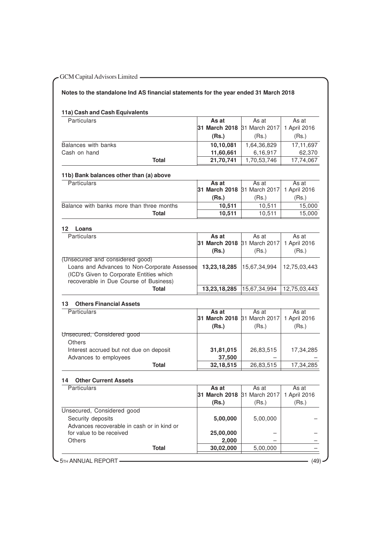# **Notes to the standalone Ind AS financial statements for the year ended 31 March 2018**

# **11a) Cash and Cash Equivalents**

| <b>Particulars</b>  |       | As at                                           | As at       | As at     |
|---------------------|-------|-------------------------------------------------|-------------|-----------|
|                     |       | <b>31 March 2018</b> 81 March 2017 1 April 2016 |             |           |
|                     |       | (Rs.)                                           | (Rs.)       | (Rs.)     |
| Balances with banks |       | 10,10,081                                       | 1,64,36,829 | 17.11.697 |
| Cash on hand        |       | 11,60,661                                       | 6,16,917    | 62.370    |
|                     | Total | 21,70,741                                       | 1,70,53,746 | 17.74.067 |

# **11b) Bank balances other than (a) above**

| <b>Particulars</b>                        | As at                                    | As at  | As at  |
|-------------------------------------------|------------------------------------------|--------|--------|
|                                           | 31 March 2018 31 March 2017 1 April 2016 |        |        |
|                                           | (Rs.)                                    | (Rs.)  | (Rs.)  |
| Balance with banks more than three months | 10.511                                   | 10.511 | 15.000 |
| Total                                     | 10.511                                   | 10.511 | 15.000 |

| 12<br>Loans                                  |                             |              |              |
|----------------------------------------------|-----------------------------|--------------|--------------|
| <b>Particulars</b>                           | As at                       | As at        | As at        |
|                                              | 31 March 2018 31 March 2017 |              | 1 April 2016 |
|                                              | (Rs.)                       | (Rs.)        | (Rs.)        |
| (Unsecured and considered good)              |                             |              |              |
| Loans and Advances to Non-Corporate Assessee | 13,23,18,285                | 15,67,34,994 | 12,75,03,443 |
| (ICD's Given to Corporate Entities which     |                             |              |              |
| recoverable in Due Course of Business)       |                             |              |              |
| Total                                        | 13,23,18,285                | 15,67,34,994 | 12,75,03,443 |

# **13 Others Financial Assets**

| <b>Particulars</b>                      | As at                                    | As at     | As at     |
|-----------------------------------------|------------------------------------------|-----------|-----------|
|                                         | 31 March 2018 31 March 2017 1 April 2016 |           |           |
|                                         | (Rs.)                                    | (Rs.)     | (Rs.)     |
| Unsecured, Considered good              |                                          |           |           |
| <b>Others</b>                           |                                          |           |           |
| Interest accrued but not due on deposit | 31,81,015                                | 26,83,515 | 17.34.285 |
| Advances to employees                   | 37,500                                   |           |           |
| Total                                   | 32, 18, 515                              | 26,83,515 | 17,34,285 |

#### **14 Other Current Assets**

| <b>Particulars</b>                         | As at                              | As at    | As at        |
|--------------------------------------------|------------------------------------|----------|--------------|
|                                            | <b>31 March 2018</b> B1 March 2017 |          | 1 April 2016 |
|                                            | (Rs.)                              | (Rs.)    | (Rs.)        |
| Unsecured, Considered good                 |                                    |          |              |
| Security deposits                          | 5,00,000                           | 5,00,000 |              |
| Advances recoverable in cash or in kind or |                                    |          |              |
| for value to be received                   | 25,00,000                          |          |              |
| Others                                     | 2,000                              |          |              |
| <b>Total</b>                               | 30,02,000                          | 5,00,000 |              |
|                                            |                                    |          |              |
| - 5TH ANNUAL REPORT                        |                                    |          | (49)         |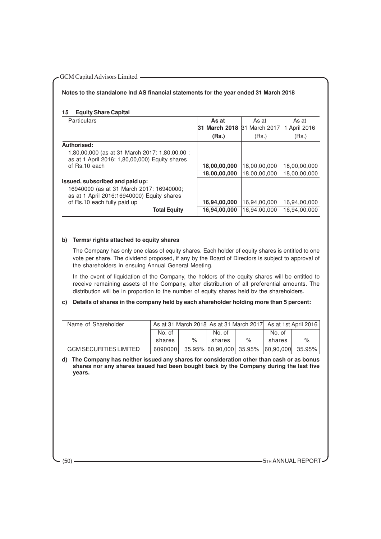# **Notes to the standalone Ind AS financial statements for the year ended 31 March 2018**

#### **15 Equity Share Capital**

| <b>Particulars</b>                                                                              | As at                       | As at        | As at        |
|-------------------------------------------------------------------------------------------------|-----------------------------|--------------|--------------|
|                                                                                                 | 31 March 2018 31 March 2017 |              | 1 April 2016 |
|                                                                                                 | (Rs.)                       | (Rs.)        | (Rs.)        |
| Authorised:                                                                                     |                             |              |              |
| 1,80,00,000 (as at 31 March 2017: 1,80,00,00;<br>as at 1 April 2016: 1,80,00,000) Equity shares |                             |              |              |
| of Rs.10 each                                                                                   | 18,00,00,000                | 18,00,00,000 | 18,00,00,000 |
|                                                                                                 | 18,00,00,000                | 18,00,00,000 | 18,00,00,000 |
| Issued, subscribed and paid up:                                                                 |                             |              |              |
| 16940000 (as at 31 March 2017: 16940000;<br>as at 1 April 2016:16940000) Equity shares          |                             |              |              |
| of Rs.10 each fully paid up                                                                     | 16,94,00,000                | 16,94,00,000 | 16,94,00,000 |
| <b>Total Equity</b>                                                                             | 16,94,00,000                | 16.94.00.000 | 16,94,00,000 |
|                                                                                                 |                             |              |              |

# **b) Terms/ rights attached to equity shares**

The Company has only one class of equity shares. Each holder of equity shares is entitled to one vote per share. The dividend proposed, if any by the Board of Directors is subject to approval of the shareholders in ensuing Annual General Meeting.

In the event of liquidation of the Company, the holders of the equity shares will be entitled to receive remaining assets of the Company, after distribution of all preferential amounts. The distribution will be in proportion to the number of equity shares held bv the shareholders.

#### **c) Details of shares in the company held by each shareholder holding more than 5 percent:**

| Name of Shareholder           |         |      | As at 31 March 2018 As at 31 March 2017 As at 1st April 2016 |   |        |   |
|-------------------------------|---------|------|--------------------------------------------------------------|---|--------|---|
|                               | No. of  |      | No. of                                                       |   | No. of |   |
|                               | shares  | $\%$ | shares                                                       | % | shares | % |
| <b>GCM SECURITIES LIMITED</b> | 6090000 |      | 35.95% 60.90.000 35.95% 60.90.000 35.95%                     |   |        |   |

**d) The Company has neither issued any shares for consideration other than cash or as bonus shares nor any shares issued had been bought back by the Company during the last five years.**

(50) **- The ANNUAL REPORT** 5TH ANNUAL REPORT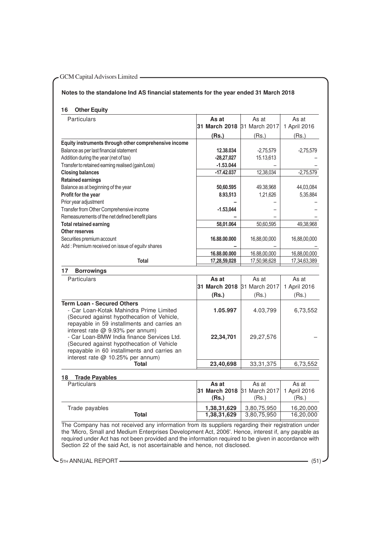# **Notes to the standalone Ind AS financial statements for the year ended 31 March 2018**

# **16 Other Equity**

| Particulars                                                                    | As at         | As at         | As at        |
|--------------------------------------------------------------------------------|---------------|---------------|--------------|
|                                                                                | 31 March 2018 | 31 March 2017 | 1 April 2016 |
|                                                                                | (Rs.)         | (Rs.)         | (Rs.)        |
| Equity instruments through other comprehensive income                          |               |               |              |
| Balance as per last financial statement                                        | 12.38.034     | $-2,75,579$   | $-2,75,579$  |
| Addition during the year (net of tax)                                          | $-28,27,027$  | 15.13,613     |              |
| Transfer to retained earning realised (gain/Loss)                              | $-1.53.044$   |               |              |
| <b>Closing balances</b>                                                        | $-17.42.037$  | 12,38,034     | $-2,75,579$  |
| <b>Retained earnings</b>                                                       |               |               |              |
| Balance as at beginning of the year                                            | 50,60.595     | 49.38.968     | 44,03,084    |
| Profit for the year                                                            | 8.93,513      | 1,21,626      | 5,35,884     |
| Prior year adjustment                                                          |               |               |              |
| Transfer from Other Comprehensive income                                       | $-1.53,044$   |               |              |
| Remeasurements of the net defined benefit plans                                |               |               |              |
| <b>Total retained earning</b>                                                  | 58,01.064     | 50,60,595     | 49,38,968    |
| Other reserves                                                                 |               |               |              |
| Securities premium account                                                     | 16.88.00.000  | 16,88,00,000  | 16,88,00,000 |
| Add : Premium received on issue of eguitv shares                               |               |               |              |
|                                                                                | 16.88.00.000  | 16.88,00,000  | 16,88,00,000 |
| <b>Total</b>                                                                   | 17,28,59,028  | 17,50,98,628  | 17,34,63,389 |
| <b>Borrowings</b><br>17                                                        |               |               |              |
| Particulars                                                                    | As at         | As at         | As at        |
|                                                                                | 31 March 2018 | 31 March 2017 | 1 April 2016 |
|                                                                                | (Rs.)         | (Rs.)         | (Rs.)        |
| <b>Term Loan - Secured Others</b>                                              |               |               |              |
| - Car Loan-Kotak Mahindra Prime Limited                                        | 1.05.997      | 4.03,799      | 6,73,552     |
| (Secured against hypothecation of Vehicle,                                     |               |               |              |
| repayable in 59 installments and carries an                                    |               |               |              |
| interest rate @ 9.93% per annum)<br>- Car Loan-BMW India finance Services Ltd. | 22,34,701     | 29,27,576     |              |
|                                                                                |               |               |              |

interest rate @ 10.25% per annum) **Total 23,40,698** 33,31,375 6,73,552 **18 Trade Payables** Particulars **As at** As at As at As at As at As at As at As at As at As at As at As at As at As at As at As at As at As at As at As at As at As at As at As at As at As at As at As at As at As at As at As at As at As at As a **31 March 2018** 31 March 2017  **(Rs.)** (Rs.) (Rs.) Trade payables<br> **1,38,31,629** 3,80,75,950 16,20,000<br> **1,38,31,629** 3,80,75,950 16,20,000 **1,38,31,629** 

The Company has not received any information from its suppliers regarding their registration under the 'Micro, Small and Medium Enterprises Development Act, 2006'. Hence, interest if, any payable as required under Act has not been provided and the information required to be given in accordance with Section 22 of the said Act, is not ascertainable and hence, not disclosed.

5TH ANNUAL REPORT (51) (51)

(Secured against hypothecation of Vehicle repayable in 60 installments and carries an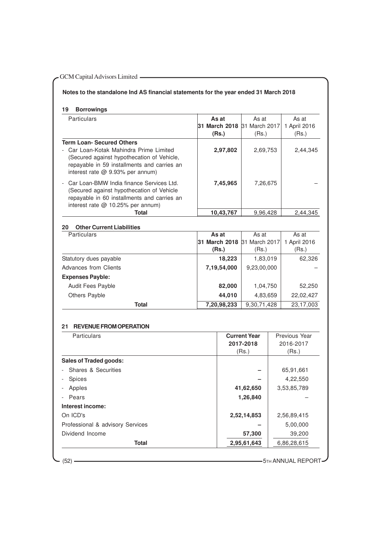# GCM Capital Advisors Limited ————————————————————

# **Notes to the standalone Ind AS financial statements for the year ended 31 March 2018**

**19 Borrowings**

| Particulars                                                                                                                                                                                                    | As at<br>31 March 2018 31 March 2017<br>(Rs.) | As at<br>(Rs.) | As at<br>1 April 2016<br>(Rs.) |
|----------------------------------------------------------------------------------------------------------------------------------------------------------------------------------------------------------------|-----------------------------------------------|----------------|--------------------------------|
| <b>Term Loan- Secured Others</b><br>- Car Loan-Kotak Mahindra Prime Limited<br>(Secured against hypothecation of Vehicle,<br>repayable in 59 installments and carries an<br>interest rate $@$ 9.93% per annum) | 2,97,802                                      | 2,69,753       | 2,44,345                       |
| Car Loan-BMW India finance Services Ltd.<br>(Secured against hypothecation of Vehicle<br>repayable in 60 installments and carries an<br>interest rate $@$ 10.25% per annum)                                    | 7,45,965                                      | 7,26,675       |                                |
| Total                                                                                                                                                                                                          | 10,43,767                                     | 9.96.428       | 2.44.345                       |

# **20 Other Current Liabilities** Particulars **As at** As at As at As at As at As at As at As at As at As at As at As at As at As at As at As at As at As at As at As at As at As at As at As at As at As at As at As at As at As at As at As at As at As at As a **31 March 2018** 31 March 2017 1 April 2016  **(Rs.)** (Rs.) (Rs.) Statutory dues payable **18,223** 1,83,019 62,326 Advances from Clients **7,19,54,000** 9,23,00,000 – **Expenses Payble:** Audit Fees Payble **82,000** 1,04,750 52,250 Others Payble **44,010** 4,83,659 22,02,427 **Total 7,20,98,233** 9,30,71,428 23,17,003

#### **21 REVENUE FROM OPERATION**

| <b>Particulars</b>               | <b>Current Year</b> | Previous Year |
|----------------------------------|---------------------|---------------|
|                                  | 2017-2018           | 2016-2017     |
|                                  | (Rs.)               | (Rs.)         |
| <b>Sales of Traded goods:</b>    |                     |               |
| - Shares & Securities            |                     | 65,91,661     |
| <b>Spices</b>                    |                     | 4,22,550      |
| Apples                           | 41,62,650           | 3,53,85,789   |
| Pears                            | 1,26,840            |               |
| Interest income:                 |                     |               |
| On ICD's                         | 2,52,14,853         | 2,56,89,415   |
| Professional & advisory Services |                     | 5,00,000      |
| Dividend Income                  | 57,300              | 39,200        |
| <b>Total</b>                     | 2,95,61,643         | 6,86,28,615   |

(52) **5TH ANNUAL REPORT**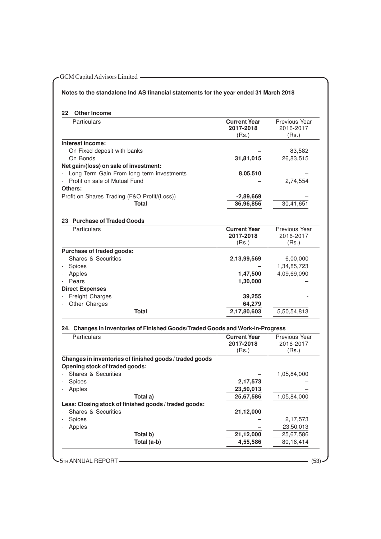# **Notes to the standalone Ind AS financial statements for the year ended 31 March 2018**

# **22 Other Income**

| <b>Particulars</b>                           | <b>Current Year</b><br>2017-2018<br>(Rs.) | Previous Year<br>2016-2017<br>(Rs.) |
|----------------------------------------------|-------------------------------------------|-------------------------------------|
| Interest income:                             |                                           |                                     |
| On Fixed deposit with banks                  |                                           | 83,582                              |
| On Bonds                                     | 31,81,015                                 | 26,83,515                           |
| Net gain/(loss) on sale of investment:       |                                           |                                     |
| - Long Term Gain From long term investments  | 8,05,510                                  |                                     |
| - Profit on sale of Mutual Fund              |                                           | 2,74,554                            |
| Others:                                      |                                           |                                     |
| Profit on Shares Trading (F&O Profit/(Loss)) | $-2,89,669$                               |                                     |
| Total                                        | 36,96,856                                 | 30,41,651                           |

# **23 Purchase of Traded Goods**

| <b>Particulars</b>        | <b>Current Year</b><br>2017-2018 | Previous Year<br>2016-2017 |
|---------------------------|----------------------------------|----------------------------|
|                           | (Rs.)                            | (Rs.)                      |
| Purchase of traded goods: |                                  |                            |
| Shares & Securities       | 2,13,99,569                      | 6,00,000                   |
| <b>Spices</b>             |                                  | 1,34,85,723                |
| Apples                    | 1,47,500                         | 4,09,69,090                |
| - Pears                   | 1,30,000                         |                            |
| <b>Direct Expenses</b>    |                                  |                            |
| Freight Charges           | 39,255                           |                            |
| <b>Other Charges</b>      | 64,279                           |                            |
| <b>Total</b>              | 2,17,80,603                      | 5,50,54,813                |

# **24. Changes In Inventories of Finished Goods/Traded Goods and Work-in-Progress**

| <b>Particulars</b>                                      | <b>Current Year</b><br>2017-2018 | Previous Year<br>2016-2017 |
|---------------------------------------------------------|----------------------------------|----------------------------|
|                                                         | (Rs.)                            | (Rs.)                      |
| Changes in inventories of finished goods / traded goods |                                  |                            |
| Opening stock of traded goods:                          |                                  |                            |
| Shares & Securities                                     |                                  | 1,05,84,000                |
| <b>Spices</b>                                           | 2,17,573                         |                            |
| Apples                                                  | 23,50,013                        |                            |
| Total a)                                                | 25,67,586                        | 1,05,84,000                |
| Less: Closing stock of finished goods / traded goods:   |                                  |                            |
| Shares & Securities                                     | 21,12,000                        |                            |
| <b>Spices</b>                                           |                                  | 2,17,573                   |
| Apples                                                  |                                  | 23,50,013                  |
| Total b)                                                | 21,12,000                        | 25,67,586                  |
| Total (a-b)                                             | 4,55,586                         | 80,16,414                  |

**-** 5TH ANNUAL REPORT (53)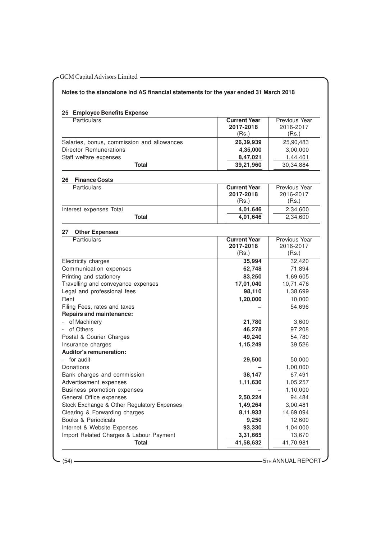# **Notes to the standalone Ind AS financial statements for the year ended 31 March 2018**

# **25 Employee Benefits Expense**

| Particulars                                | <b>Current Year</b><br>2017-2018 | Previous Year<br>2016-2017 |
|--------------------------------------------|----------------------------------|----------------------------|
|                                            | (Rs.)                            | (Rs.)                      |
| Salaries, bonus, commission and allowances | 26,39,939                        | 25,90,483                  |
| Director Remunerations                     | 4,35,000                         | 3,00,000                   |
| Staff welfare expenses                     | 8,47,021                         | 1,44,401                   |
| <b>Total</b>                               | 39,21,960                        | 30,34,884                  |
|                                            |                                  |                            |
| 26<br><b>Finance Costs</b>                 |                                  |                            |
| Particulars                                | <b>Current Year</b>              | Previous Year              |
|                                            | 2017-2018                        | 2016-2017                  |
|                                            | (Rs.)                            | (Rs.)                      |
| Interest expenses Total                    | 4,01,646                         | 2,34,600                   |
| <b>Total</b>                               | 4,01,646                         | 2,34,600                   |
| <b>Other Expenses</b><br>27                |                                  |                            |
| Particulars                                | <b>Current Year</b>              | <b>Previous Year</b>       |
|                                            | 2017-2018                        | 2016-2017                  |
|                                            | (Rs.)                            | (Rs.)                      |
| Electricity charges                        | 35,994                           | 32,420                     |
| Communication expenses                     | 62,748                           | 71,894                     |
| Printing and stationery                    | 83,250                           | 1,69,605                   |
| Travelling and conveyance expenses         | 17,01,040                        | 10,71,476                  |
| Legal and professional fees                | 98,110                           | 1,38,699                   |
| Rent                                       | 1,20,000                         | 10,000                     |
| Filing Fees, rates and taxes               |                                  | 54,696                     |
| <b>Repairs and maintenance:</b>            |                                  |                            |
| of Machinery                               | 21,780                           | 3,600                      |
| of Others                                  | 46,278                           | 97,208                     |
| Postal & Courier Charges                   | 49,240                           | 54,780                     |
| Insurance charges                          | 1,15,249                         | 39,526                     |
| <b>Auditor's remuneration:</b>             |                                  |                            |
| for audit                                  | 29,500                           | 50,000                     |
| Donations                                  |                                  | 1,00,000                   |
| Bank charges and commission                | 38,147                           | 67,491                     |
| Advertisement expenses                     | 1,11,630                         | 1,05,257                   |
| Business promotion expenses                |                                  | 1,10,000                   |
| General Office expenses                    | 2,50,224                         | 94,484                     |
| Stock Exchange & Other Regulatory Expenses | 1,49,264                         | 3,00,481                   |
| Clearing & Forwarding charges              | 8,11,933                         | 14,69,094                  |
| Books & Periodicals                        | 9,250                            | 12,600                     |
| Internet & Website Expenses                | 93,330                           | 1,04,000                   |
| Import Related Charges & Labour Payment    | 3,31,665                         | 13,670                     |
| <b>Total</b>                               | 41,58,632                        | 41,70,981                  |
|                                            |                                  |                            |

(54) 5TH ANNUAL REPORT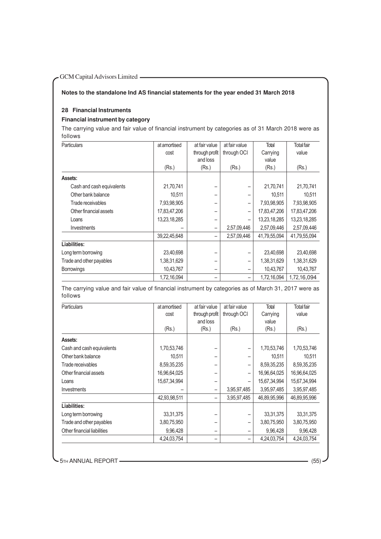# GCM Capital Advisors Limited **COM Capital Advisors Limited**

# **Notes to the standalone Ind AS financial statements for the year ended 31 March 2018**

# **28 Financial Instruments**

# **Financial instrument by category**

The carrying value and fair value of financial instrument by categories as of 31 March 2018 were as follows

| <b>Particulars</b>        | at amortised | at fair value            | at fair value | Total        | Total fair   |
|---------------------------|--------------|--------------------------|---------------|--------------|--------------|
|                           | cost         | through profit           | through OCI   | Carrying     | value        |
|                           |              | and loss                 |               | value        |              |
|                           | (Rs.)        | (Rs.)                    | (Rs.)         | (Rs.)        | (Rs.)        |
| Assets:                   |              |                          |               |              |              |
| Cash and cash equivalents | 21,70,741    |                          |               | 21,70,741    | 21,70,741    |
| Other bank balance        | 10,511       |                          | -             | 10,511       | 10,511       |
| Trade receivables         | 7,93,98,905  | -                        | -             | 7,93,98,905  | 7,93,98,905  |
| Other financial assets    | 17,83,47,206 |                          | -             | 17,83,47,206 | 17,83,47,206 |
| Loans                     | 13,23,18,285 |                          |               | 13,23,18,285 | 13,23,18,285 |
| Investments               |              |                          | 2,57,09,446   | 2,57,09,446  | 2,57,09,446  |
|                           | 39,22,45,648 | $\qquad \qquad -$        | 2,57,09,446   | 41,79,55,094 | 41,79,55,094 |
| Liabilities:              |              |                          |               |              |              |
| Long term borrowing       | 23,40,698    |                          |               | 23,40,698    | 23,40,698    |
| Trade and other payables  | 1,38,31,629  |                          |               | 1,38,31,629  | 1,38,31,629  |
| <b>Borrowings</b>         | 10,43,767    | -                        |               | 10,43,767    | 10,43,767    |
|                           | 1,72,16,094  | $\overline{\phantom{0}}$ | -             | 1,72,16,094  | 1,72,16,094  |

The carrying value and fair value of financial instrument by categories as of March 31, 2017 were as follows

| <b>Particulars</b>          | at amortised | at fair value            | at fair value | Total        | <b>Total fair</b> |
|-----------------------------|--------------|--------------------------|---------------|--------------|-------------------|
|                             | cost         | through profit           | through OCI   | Carrying     | value             |
|                             |              | and loss                 |               | value        |                   |
|                             | (Rs.)        | (Rs.)                    | (Rs.)         | (Rs.)        | (Rs.)             |
| Assets:                     |              |                          |               |              |                   |
| Cash and cash equivalents   | 1,70,53,746  |                          |               | 1,70,53,746  | 1,70,53,746       |
| Other bank balance          | 10,511       |                          | -             | 10,511       | 10,511            |
| Trade receivables           | 8,59,35,235  |                          | -             | 8,59,35,235  | 8,59,35,235       |
| Other financial assets      | 16,96,64,025 |                          | -             | 16,96,64,025 | 16,96,64,025      |
| Loans                       | 15,67,34,994 | -                        | -             | 15,67,34,994 | 15,67,34,994      |
| <b>Investments</b>          |              | -                        | 3,95,97,485   | 3,95,97,485  | 3,95,97,485       |
|                             | 42,93,98,511 | -                        | 3,95,97,485   | 46,89,95,996 | 46,89,95,996      |
| Liabilities:                |              |                          |               |              |                   |
| Long term borrowing         | 33, 31, 375  |                          | -             | 33, 31, 375  | 33, 31, 375       |
| Trade and other payables    | 3,80,75,950  | -                        | -             | 3,80,75,950  | 3,80,75,950       |
| Other financial liabilities | 9,96,428     | $\overline{\phantom{0}}$ | -             | 9,96,428     | 9,96,428          |
|                             | 4,24,03,754  | -                        | -             | 4,24,03,754  | 4,24,03,754       |

**5TH ANNUAL REPORT** (55)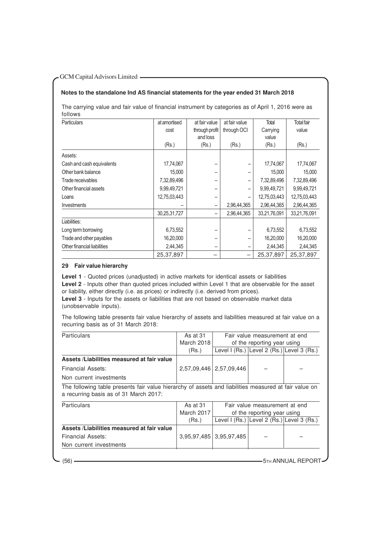# **Notes to the standalone Ind AS financial statements for the year ended 31 March 2018**

The carrying value and fair value of financial instrument by categories as of April 1, 2016 were as follows

| <b>Particulars</b>          | at amortised | at fair value            | at fair value            | Total        | <b>Total fair</b> |
|-----------------------------|--------------|--------------------------|--------------------------|--------------|-------------------|
|                             | cost         | through profit           | through OCI              | Carrying     | value             |
|                             |              | and loss                 |                          | value        |                   |
|                             | (Rs.)        | (Rs.)                    | (Rs.)                    | (Rs.)        | (Rs.)             |
| Assets:                     |              |                          |                          |              |                   |
| Cash and cash equivalents   | 17,74,067    |                          | -                        | 17,74,067    | 17,74,067         |
| Other bank balance          | 15,000       |                          | -                        | 15,000       | 15,000            |
| Trade receivables           | 7,32,89,496  | $\overline{\phantom{0}}$ | -                        | 7,32,89,496  | 7,32,89,496       |
| Other financial assets      | 9,99,49,721  | -                        | -                        | 9,99,49,721  | 9,99,49,721       |
| Loans                       | 12,75,03,443 | -                        |                          | 12,75,03,443 | 12,75,03,443      |
| Investments                 |              | -                        | 2,96,44,365              | 2,96,44,365  | 2,96,44,365       |
|                             | 30,25,31,727 | -                        | 2,96,44,365              | 33,21,76,091 | 33,21,76,091      |
| Liabilities:                |              |                          |                          |              |                   |
| Long term borrowing         | 6,73,552     |                          |                          | 6,73,552     | 6,73,552          |
| Trade and other payables    | 16,20,000    | -                        | -                        | 16,20,000    | 16,20,000         |
| Other financial liabilities | 2,44,345     | -                        | -                        | 2,44,345     | 2,44,345          |
|                             | 25,37,897    |                          | $\overline{\phantom{m}}$ | 25,37,897    | 25,37,897         |

# **29 Fair value hierarchy**

**Level 1** - Quoted prices (unadjusted) in active markets for identical assets or liabilities **Level 2** - Inputs other than quoted prices included within Level 1 that are observable for the asset or liability, either directly (i.e. as prices) or indirectly (i.e. derived from prices).

Level 3 - Inputs for the assets or liabilities that are not based on observable market data (unobservable inputs).

The following table presents fair value hierarchy of assets and liabilities measured at fair value on a recurring basis as of 31 March 2018:

| <b>Particulars</b>                                                                                                                              | As at 31   | Fair value measurement at end |                                            |  |  |
|-------------------------------------------------------------------------------------------------------------------------------------------------|------------|-------------------------------|--------------------------------------------|--|--|
|                                                                                                                                                 | March 2018 | of the reporting year using   |                                            |  |  |
|                                                                                                                                                 | (Rs.)      |                               | Level I (Rs.) Level 2 (Rs.) Level 3 (Rs.)  |  |  |
| Assets /Liabilities measured at fair value                                                                                                      |            |                               |                                            |  |  |
| Financial Assets:                                                                                                                               |            | 2,57,09,446   2,57,09,446     |                                            |  |  |
| Non current investments                                                                                                                         |            |                               |                                            |  |  |
| The following table presents fair value hierarchy of assets and liabilities measured at fair value on<br>a recurring basis as of 31 March 2017: |            |                               |                                            |  |  |
| <b>Particulars</b>                                                                                                                              | As at 31   |                               | Fair value measurement at end              |  |  |
|                                                                                                                                                 | March 2017 |                               | of the reporting year using                |  |  |
|                                                                                                                                                 | (Rs.)      |                               | Level $I(Rs.)$ Level 2 (Rs.) Level 3 (Rs.) |  |  |
|                                                                                                                                                 |            |                               |                                            |  |  |
| Assets /Liabilities measured at fair value                                                                                                      |            |                               |                                            |  |  |
| Financial Assets:                                                                                                                               |            | 3,95,97,485 3,95,97,485       |                                            |  |  |
|                                                                                                                                                 |            |                               |                                            |  |  |

(56) **5TH ANNUAL REPORT**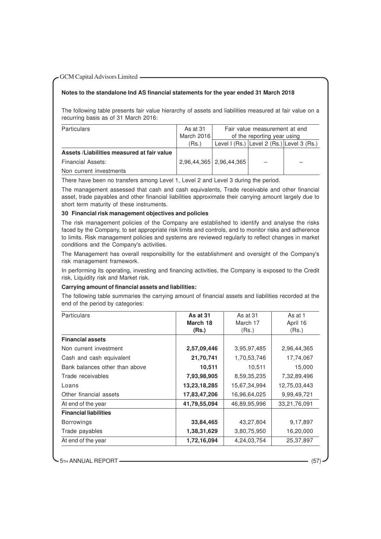# **Notes to the standalone Ind AS financial statements for the year ended 31 March 2018**

The following table presents fair value hierarchy of assets and liabilities measured at fair value on a recurring basis as of 31 March 2016:

| <b>Particulars</b>                         | As at 31   | Fair value measurement at end |                                           |  |
|--------------------------------------------|------------|-------------------------------|-------------------------------------------|--|
|                                            | March 2016 | of the reporting year using   |                                           |  |
|                                            | (Rs.)      |                               | Level I (Rs.) Level 2 (Rs.) Level 3 (Rs.) |  |
| Assets /Liabilities measured at fair value |            |                               |                                           |  |
| Financial Assets:                          |            | 2,96,44,365   2,96,44,365     |                                           |  |
| Non current investments                    |            |                               |                                           |  |

There have been no transfers among Level 1, Level 2 and Level 3 during the period.

The management assessed that cash and cash equivalents, Trade receivable and other financial asset, trade payables and other financial liabilities approximate their carrying amount largely due to short term maturity of these instruments.

# **30 Financial risk management objectives and policies**

The risk management policies of the Company are established to identify and analyse the risks faced by the Company, to set appropriate risk limits and controls, and to monitor risks and adherence to limits. Risk management policies and systems are reviewed regularly to reflect changes in market conditions and the Company's activities.

The Management has overall responsibility for the establishment and oversight of the Company's risk management framework.

In performing its operating, investing and financing activities, the Company is exposed to the Credit risk, Liquidity risk and Market risk.

#### **Carrying amount of financial assets and liabilities:**

The following table summaries the carrying amount of financial assets and liabilities recorded at the end of the period by categories:

| <b>Particulars</b>             | As at 31     | As at 31     | As at 1      |
|--------------------------------|--------------|--------------|--------------|
|                                | March 18     | March 17     | April 16     |
|                                | (Rs.)        | (Rs.)        | (Rs.)        |
| <b>Financial assets</b>        |              |              |              |
| Non current investment         | 2,57,09,446  | 3,95,97,485  | 2,96,44,365  |
| Cash and cash equivalent       | 21,70,741    | 1,70,53,746  | 17,74,067    |
| Bank balances other than above | 10,511       | 10,511       | 15,000       |
| Trade receivables              | 7,93,98,905  | 8,59,35,235  | 7,32,89,496  |
| Loans                          | 13,23,18,285 | 15,67,34,994 | 12,75,03,443 |
| Other financial assets         | 17,83,47,206 | 16,96,64,025 | 9,99,49,721  |
| At end of the year             | 41,79,55,094 | 46,89,95,996 | 33,21,76,091 |
| <b>Financial liabilities</b>   |              |              |              |
| <b>Borrowings</b>              | 33,84,465    | 43,27,804    | 9,17,897     |
| Trade payables                 | 1,38,31,629  | 3,80,75,950  | 16,20,000    |
| At end of the year             | 1,72,16,094  | 4,24,03,754  | 25,37,897    |

5TH ANNUAL REPORT -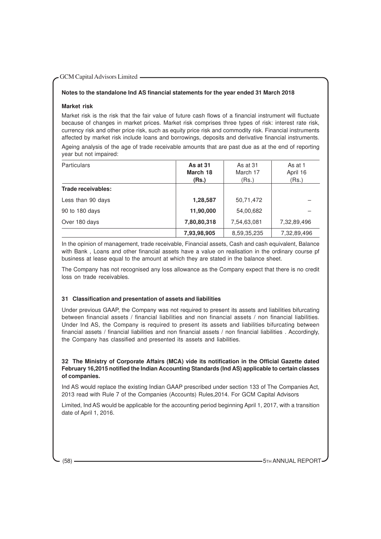# **Notes to the standalone Ind AS financial statements for the year ended 31 March 2018**

#### **Market risk**

Market risk is the risk that the fair value of future cash flows of a financial instrument will fluctuate because of changes in market prices. Market risk comprises three types of risk: interest rate risk, currency risk and other price risk, such as equity price risk and commodity risk. Financial instruments affected by market risk include loans and borrowings, deposits and derivative financial instruments. Ageing analysis of the age of trade receivable amounts that are past due as at the end of reporting year but not impaired:

| <b>Particulars</b> | As at 31<br>March 18 | As at 31<br>March 17 | As at 1<br>April 16 |
|--------------------|----------------------|----------------------|---------------------|
|                    | (Rs.)                | (Rs.)                | (Rs.)               |
| Trade receivables: |                      |                      |                     |
| Less than 90 days  | 1,28,587             | 50,71,472            |                     |
| 90 to 180 days     | 11,90,000            | 54,00,682            |                     |
| Over 180 days      | 7,80,80,318          | 7,54,63,081          | 7,32,89,496         |
|                    | 7,93,98,905          | 8,59,35,235          | 7,32,89,496         |

In the opinion of management, trade receivable, Financial assets, Cash and cash equivalent, Balance with Bank , Loans and other financial assets have a value on realisation in the ordinary course pf business at lease equal to the amount at which they are stated in the balance sheet.

The Company has not recognised any loss allowance as the Company expect that there is no credit loss on trade receivables.

# **31 Classification and presentation of assets and liabilities**

Under previous GAAP, the Company was not required to present its assets and liabilities bifurcating between financial assets / financial liabilities and non financial assets / non financial liabilities. Under Ind AS, the Company is required to present its assets and liabilities bifurcating between financial assets / financial liabilities and non financial assets / non financial liabilities . Accordingly, the Company has classified and presented its assets and liabilities.

**32 The Ministry of Corporate Affairs (MCA) vide its notification in the Official Gazette dated February 16,2015 notified the Indian Accounting Standards (Ind AS) applicable to certain classes of companies.**

Ind AS would replace the existing Indian GAAP prescribed under section 133 of The Companies Act, 2013 read with Rule 7 of the Companies (Accounts) Rules,2014. For GCM Capital Advisors

Limited, Ind AS would be applicable for the accounting period beginning April 1, 2017, with a transition date of April 1, 2016.

(58) **- The Contract of the Contract of the Contract of the Contract of the Contract of the Contract of the Contract of the Contract of the Contract of the Contract of the Contract of the Contract of the Contract of the Co**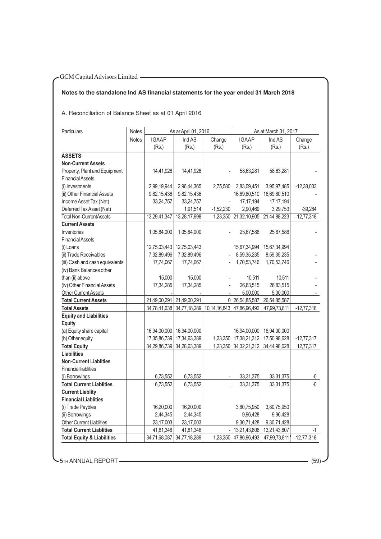# **Notes to the standalone Ind AS financial statements for the year ended 31 March 2018**

A. Reconciliation of Balance Sheet as at 01 April 2016

| Particulars                           | Notes        |              | As ar April 01, 2016                   |                |                       | As at March 31, 2017 |                |
|---------------------------------------|--------------|--------------|----------------------------------------|----------------|-----------------------|----------------------|----------------|
|                                       | <b>Notes</b> | <b>IGAAP</b> | Ind AS                                 | Change         | <b>IGAAP</b>          | Ind AS               | Change         |
|                                       |              | (Rs.)        | (Rs.)                                  | (Rs.)          | (Rs.)                 | (Rs.)                | (Rs.)          |
| <b>ASSETS</b>                         |              |              |                                        |                |                       |                      |                |
| <b>Non-Current Assets</b>             |              |              |                                        |                |                       |                      |                |
| Property, Plant and Equipment         |              | 14,41,926    | 14,41,926                              |                | 58,63,281             | 58,63,281            |                |
| <b>Financial Assets</b>               |              |              |                                        |                |                       |                      |                |
| (i) Investments                       |              | 2,99,19,944  | 2,96,44,365                            | 2,75,580       | 3,83,09,451           | 3,95,97,485          | $-12,38,033$   |
| [ii) Other Financial Assets           |              | 9,82,15,436  | 9,82,15,436                            |                | 16,69,80,510          | 16,69,80,510         |                |
| Income Asset Tax (Net)                |              | 33,24,757    | 33,24,757                              |                | 17, 17, 194           | 17, 17, 194          |                |
| Deferred Tax Asset (Net)              |              |              | 1,91,514                               | $-1,52,230$    | 2,90,469              | 3,29,753             | $-39,284$      |
| <b>Total Non-CurrentAssets</b>        |              | 13,29,41,347 | 13,28,17,998                           |                | 1,23,350 21,32,10,905 | 21,44,88,223         | $-12,77,318$   |
| <b>Current Assets</b>                 |              |              |                                        |                |                       |                      |                |
| Inventories                           |              | 1,05,84,000  | 1,05,84,000                            |                | 25,67,586             | 25,67,586            |                |
| <b>Financial Assets</b>               |              |              |                                        |                |                       |                      |                |
| (i) Loans                             |              |              | 12,75,03,443   12,75,03,443            |                | 15,67,34,994          | 15,67,34,994         |                |
| [ii) Trade Receivables                |              | 7,32,89,496  | 7,32,89,496                            |                | 8,59,35,235           | 8,59,35,235          |                |
| (iii) Cash and cash equivalents       |              | 17,74,067    | 17,74,067                              |                | 1,70,53,746           | 1,70,53,746          |                |
| (iv) Bank Balances other              |              |              |                                        |                |                       |                      |                |
| than (ii) above                       |              | 15,000       | 15,000                                 |                | 10,511                | 10,511               |                |
| (iv) Other Financial Assets           |              | 17,34,285    | 17,34,285                              |                | 26,83,515             | 26,83,515            |                |
| <b>Other Current Assets</b>           |              |              |                                        |                | 5.00.000              | 5,00,000             |                |
| <b>Total Current Assets</b>           |              |              | 21,49,00,291 21,49,00,291              | 0 <sup>1</sup> | 26,54,85,587          | 26,54,85,587         |                |
| <b>Total Assets</b>                   |              |              | 34,78,41,638 34,77,18,289 10,14,16,843 |                | 47,86,96,492          | 47,99,73,811         | $-12,77,318$   |
| <b>Equity and Liabilities</b>         |              |              |                                        |                |                       |                      |                |
| <b>Equity</b>                         |              |              |                                        |                |                       |                      |                |
| (a) Equity share capital              |              | 16,94,00,000 | 16,94,00,000                           |                | 16,94,00,000          | 16,94,00,000         |                |
| (b) Other equity                      |              | 17,35,86,739 | 17,34,63,389                           | 1,23,350       | 17,38,21,312          | 17,50,98,628         | $-12,77,317$   |
| <b>Total Equity</b>                   |              | 34,29,86,739 | 34,28,63,389                           | 1,23,350       | 34, 32, 21, 312       | 34,44,98,628         | 12,77,317      |
| <b>Liabilities</b>                    |              |              |                                        |                |                       |                      |                |
| <b>Non-Current Liablities</b>         |              |              |                                        |                |                       |                      |                |
| <b>Financial liablities</b>           |              |              |                                        |                |                       |                      |                |
| (i) Borrowings                        |              | 6,73,552     | 6,73,552                               |                | 33,31,375             | 33, 31, 375          | $\overline{0}$ |
| <b>Total Current Liablities</b>       |              | 6,73,552     | 6,73,552                               |                | 33, 31, 375           | 33, 31, 375          | -0             |
| <b>Current Liablity</b>               |              |              |                                        |                |                       |                      |                |
| <b>Financial Liablities</b>           |              |              |                                        |                |                       |                      |                |
| (i) Trade Paybles                     |              | 16,20,000    | 16,20,000                              |                | 3,80,75,950           | 3,80,75,950          |                |
| (ii) Borrowings                       |              | 2,44,345     | 2,44,345                               |                | 9,96,428              | 9,96,428             |                |
| Other Current Liablities              |              | 23,17.003    | 23,17,003                              |                | 9,30,71,428           | 9,30,71,428          |                |
| <b>Total Current Liablities</b>       |              | 41,81,348    | 41,81,348                              |                | 13,21,43,806          | 13,21,43,807         | -1             |
| <b>Total Equity &amp; Liabilities</b> |              | 34,71,68,087 | 34,77,18,289                           | 1,23,350       | 47,86,96,493          | 47,99,73,811         | $-12,77,318$   |

5TH ANNUAL REPORT (59)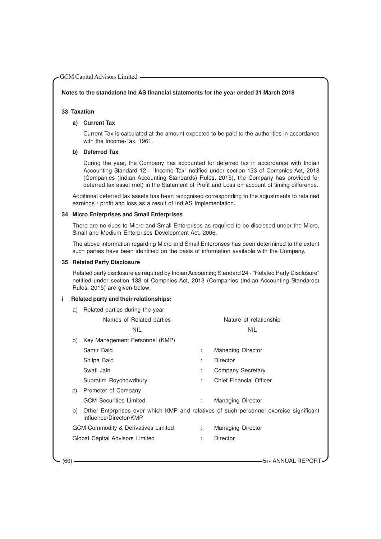#### **Notes to the standalone Ind AS financial statements for the year ended 31 March 2018**

# **33 Taxation**

# **a) Current Tax**

Current Tax is calculated at the amount expected to be paid to the authorities in accordance with the Income-Tax, 1961.

# **b) Deferred Tax**

During the year, the Company has accounted for deferred tax in accordance with Indian Accounting Standard 12 - "Income Tax" notified under section 133 of Compnies Act, 2013 (Companies (Indian Accounting Standards) Rules, 2015), the Company has provided for deferred tax asset (net) in the Statement of Profit and Loss on account of timing difference.

Additional deferred tax assets has been recognised corresponding to the adjustments to retained earnings / profit and loss as a result of Ind AS Implementation.

# **34 Micro Enterprises and Small Enterprises**

There are no dues to Micro and Small Enterprises as required to be disclosed under the Micro, Small and Medium Enterprises Development Act, 2006.

The above information regarding Micro and Small Enterprises has been determined to the extent such parties have been identified on the basis of information available with the Company.

#### **35 Related Party Disclosure**

Related party disclosure as required by Indian Accounting Standard 24 - "Related Party Disclosure" notified under section 133 of Compnies Act, 2013 (Companies (Indian Accounting Standards) Rules, 2015) are given below:

#### **i Related party and their relationships:**

| a) | Related parties during the year                                                                                 |    |                          |
|----|-----------------------------------------------------------------------------------------------------------------|----|--------------------------|
|    | Names of Related parties                                                                                        |    | Nature of relationship   |
|    | <b>NIL</b>                                                                                                      |    | <b>NIL</b>               |
| b) | Key Management Personnel (KMP)                                                                                  |    |                          |
|    | Samir Baid                                                                                                      | ÷  | Managing Director        |
|    | Shilpa Baid                                                                                                     | ÷  | Director                 |
|    | Swati Jain                                                                                                      | ÷  | Company Secretary        |
|    | Supratim Roychowdhury                                                                                           | ÷  | Chief Financial Officer  |
| C) | Promoter of Company                                                                                             |    |                          |
|    | <b>GCM Securities Limited</b>                                                                                   | ÷. | <b>Managing Director</b> |
| b) | Other Enterprises over which KMP and relatives of such personnel exercise significant<br>influence/Director/KMP |    |                          |
|    | <b>GCM Commodity &amp; Derivatives Limited</b>                                                                  |    | <b>Managing Director</b> |
|    | Global Capital Advisors Limited                                                                                 |    | Director                 |
|    |                                                                                                                 |    |                          |
|    |                                                                                                                 |    |                          |

(60) **600** 5TH ANNUAL REPORT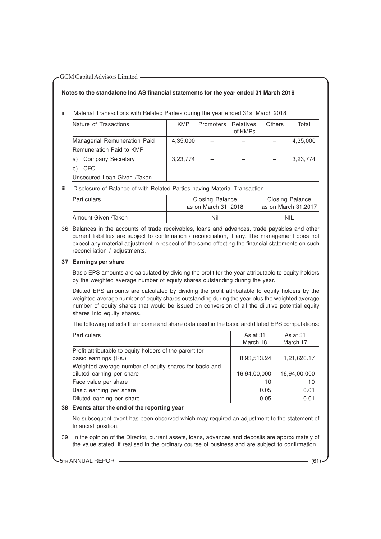# **Notes to the standalone Ind AS financial statements for the year ended 31 March 2018**

ii Material Transactions with Related Parties during the year ended 31st March 2018

| Nature of Trasactions          | <b>KMP</b> | Promoters | <b>Relatives</b><br>of KMPs | Others | Total    |
|--------------------------------|------------|-----------|-----------------------------|--------|----------|
| Managerial Remuneration Paid   | 4,35,000   |           |                             |        | 4,35,000 |
| Remuneration Paid to KMP       |            |           |                             |        |          |
| <b>Company Secretary</b><br>a) | 3,23,774   |           |                             |        | 3,23,774 |
| CFO                            |            |           |                             |        |          |
| Unsecured Loan Given /Taken    |            |           |                             |        |          |

iii Disclosure of Balance of with Related Parties having Material Transaction

| <b>Particulars</b>  | Closing Balance<br>as on March 31, 2018 | <b>Closing Balance</b><br>as on March 31,2017 |
|---------------------|-----------------------------------------|-----------------------------------------------|
| Amount Given /Taken | Nil                                     | <b>NIL</b>                                    |

36 Balances in the accounts of trade receivables, loans and advances, trade payables and other current liabilities are subject to confirmation / reconciliation, if any. The management does not expect any material adjustment in respect of the same effecting the financial statements on such reconciliation / adjustments.

# **37 Earnings per share**

Basic EPS amounts are calculated by dividing the profit for the year attributable to equity holders by the weighted average number of equity shares outstanding during the year.

Diluted EPS amounts are calculated by dividing the profit attributable to equity holders by the weighted average number of equity shares outstanding during the year plus the weighted average number of equity shares that would be issued on conversion of all the dilutive potential equity shares into equity shares.

The following reflects the income and share data used in the basic and diluted EPS computations:

| <b>Particulars</b>                                      | As at 31<br>March 18 | As at 31<br>March 17 |
|---------------------------------------------------------|----------------------|----------------------|
| Profit attributable to equity holders of the parent for |                      |                      |
| basic earnings (Rs.)                                    | 8,93,513.24          | 1,21,626.17          |
| Weighted average number of equity shares for basic and  |                      |                      |
| diluted earning per share                               | 16,94,00,000         | 16,94,00,000         |
| Face value per share                                    | 10                   | 10                   |
| Basic earning per share                                 | 0.05                 | 0.01                 |
| Diluted earning per share                               | 0.05                 | 0.01                 |

#### **38 Events after the end of the reporting year**

No subsequent event has been observed which may required an adjustment to the statement of financial position.

39 In the opinion of the Director, current assets, loans, advances and deposits are approximately of the value stated, if realised in the ordinary course of business and are subject to confirmation.

5TH ANNUAL REPORT (61) (61)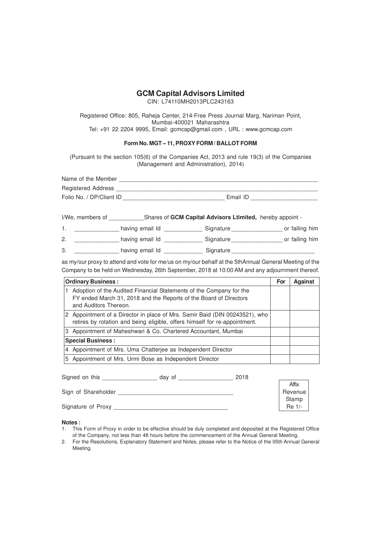CIN: L74110MH2013PLC243163

Registered Office: 805, Raheja Center, 214-Free Press Journal Marg, Nariman Point, Mumbai-400021 Maharashtra Tel: +91 22 2204 9995, Email: gcmcap@gmail.com , URL : www.gcmcap.com

# **Form No. MGT – 11, PROXY FORM / BALLOT FORM**

(Pursuant to the section 105(6) of the Companies Act, 2013 and rule 19(3) of the Companies (Management and Administration), 2014)

| Name of the Member        |          |
|---------------------------|----------|
| <b>Registered Address</b> |          |
| Folio No. / DP/Client ID  | Email ID |

I/We, members of **GRI CAPT CAPTED SHARES OF GCM Capital Advisors Ltimited,** hereby appoint -

1. \_\_\_\_\_\_\_\_\_\_\_\_\_\_\_\_ having email Id \_\_\_\_\_\_\_\_\_\_\_\_\_\_\_ Signature \_\_\_\_\_\_\_\_\_\_\_\_\_\_\_\_\_\_ or failing him 2. \_\_\_\_\_\_\_\_\_\_\_\_\_\_\_\_ having email Id \_\_\_\_\_\_\_\_\_\_\_\_\_\_\_ Signature \_\_\_\_\_\_\_\_\_\_\_\_\_\_\_\_\_\_ or failing him

3. \_\_\_\_\_\_\_\_\_\_\_\_\_\_\_\_\_\_\_\_ having email Id \_\_\_\_\_\_\_\_\_\_\_\_\_\_\_\_\_ Signature

as my/our proxy to attend and vote for me/us on my/our behalf at the 5thAnnual General Meeting of the Company to be held on Wednesday, 26th September, 2018 at 10:00 AM and any adjournment thereof.

| <b>Ordinary Business:</b>                                                                                                                                         |  | <b>Against</b> |
|-------------------------------------------------------------------------------------------------------------------------------------------------------------------|--|----------------|
| Adoption of the Audited Financial Statements of the Company for the<br>FY ended March 31, 2018 and the Reports of the Board of Directors<br>and Auditors Thereon. |  |                |
| 2 Appointment of a Director in place of Mrs. Samir Baid (DIN 00243521), who<br>retires by rotation and being eligible, offers himself for re-appointment.         |  |                |
| 3 Appointment of Maheshwari & Co. Chartered Accountant, Mumbai                                                                                                    |  |                |
| <b>Special Business:</b>                                                                                                                                          |  |                |
| 4 Appointment of Mrs. Uma Chatterjee as Independent Director                                                                                                      |  |                |
| Appointment of Mrs. Urmi Bose as Independent Director<br>5.                                                                                                       |  |                |

| Signed on this      | day of | 2018 |         |
|---------------------|--------|------|---------|
|                     |        |      | Affix   |
| Sign of Shareholder |        |      | Revenue |
|                     |        |      | Stamp   |
| Signature of Proxy  |        |      | Re 1/-  |

**Notes :**

- 1. This Form of Proxy in order to be effective should be duly completed and deposited at the Registered Office of the Company, not less than 48 hours before the commencement of the Annual General Meeting.
- 2. For the Resolutions, Explanatory Statement and Notes, please refer to the Notice of the 05th Annual General Meeting.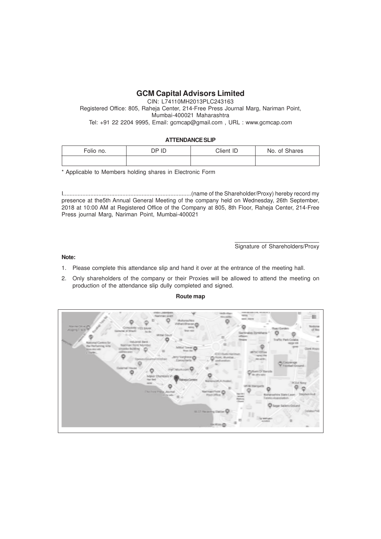CIN: L74110MH2013PLC243163 Registered Office: 805, Raheja Center, 214-Free Press Journal Marg, Nariman Point, Mumbai-400021 Maharashtra Tel: +91 22 2204 9995, Email: gcmcap@gmail.com , URL : www.gcmcap.com

# **ATTENDANCE SLIP**

| Folio no. | DP ID | Client ID | No. of Shares |
|-----------|-------|-----------|---------------|
|           |       |           |               |

\* Applicable to Members holding shares in Electronic Form

I................................................................................(name of the Shareholder/Proxy) hereby record my presence at the5th Annual General Meeting of the company held on Wednesday, 26th September, 2018 at 10:00 AM at Registered Office of the Company at 805, 8th Floor, Raheja Center, 214-Free Press journal Marg, Nariman Point, Mumbai-400021

Signature of Shareholders/Proxy

#### **Note:**

- 1. Please complete this attendance slip and hand it over at the entrance of the meeting hall.
- 2. Only shareholders of the company or their Proxies will be allowed to attend the meeting on production of the attendance slip dully completed and signed.

#### **Route map**